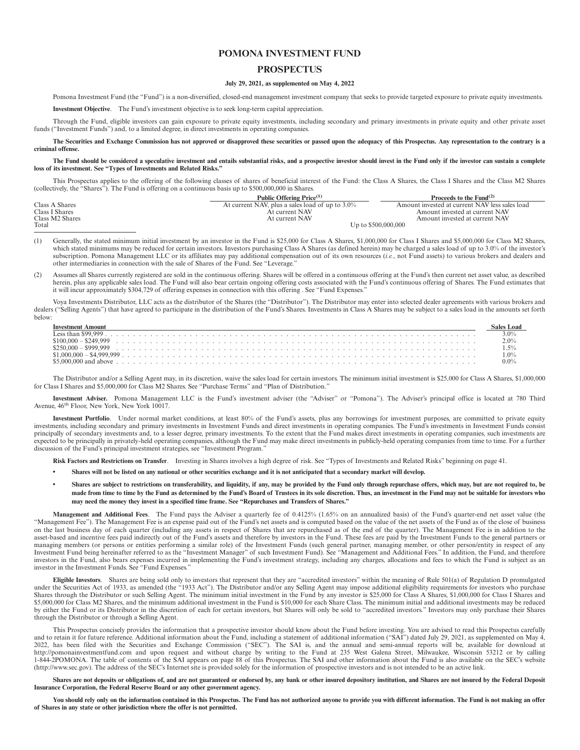## **POMONA INVESTMENT FUND**

## **PROSPECTUS**

### **July 29, 2021, as supplemented on May 4, 2022**

Pomona Investment Fund (the "Fund") is a non-diversified, closed-end management investment company that seeks to provide targeted exposure to private equity investments.

**Investment Objective**. The Fund's investment objective is to seek long-term capital appreciation.

Through the Fund, eligible investors can gain exposure to private equity investments, including secondary and primary investments in private equity and other private asset funds ("Investment Funds") and, to a limited degree, in direct investments in operating companies.

**The Securities and Exchange Commission has not approved or disapproved these securities or passed upon the adequacy of this Prospectus. Any representation to the contrary is a criminal offense.**

**The Fund should be considered a speculative investment and entails substantial risks, and a prospective investor should invest in the Fund only if the investor can sustain a complete loss of its investment. See "Types of Investments and Related Risks."**

This Prospectus applies to the offering of the following classes of shares of beneficial interest of the Fund: the Class A Shares, the Class I Shares and the Class M2 Shares (collectively, the "Shares"). The Fund is offering on a continuous basis up to \$500,000,000 in Shares.

|                 | Public Offering Price <sup>(1)</sup>            | Proceeds to the Fund <sup>(2)</sup>            |
|-----------------|-------------------------------------------------|------------------------------------------------|
| Class A Shares  | At current NAV, plus a sales load of up to 3.0% | Amount invested at current NAV less sales load |
| Class I Shares  | At current NAV                                  | Amount invested at current NAV                 |
| Class M2 Shares | At current NAV                                  | Amount invested at current NAV                 |
| Total           |                                                 | Up to \$500,000,000                            |

- (1) Generally, the stated minimum initial investment by an investor in the Fund is \$25,000 for Class A Shares, \$1,000,000 for Class I Shares and \$5,000,000 for Class M2 Shares, which stated minimums may be reduced for certain investors. Investors purchasing Class A Shares (as defined herein) may be charged a sales load of up to 3.0% of the investor's subscription. Pomona Management LLC or its affiliates may pay additional compensation out of its own resources (*i.e.*, not Fund assets) to various brokers and dealers and other intermediaries in connection with the sale of Shares of the Fund. See "Leverage."
- (2) Assumes all Shares currently registered are sold in the continuous offering. Shares will be offered in a continuous offering at the Fund's then current net asset value, as described herein, plus any applicable sales load. The Fund will also bear certain ongoing offering costs associated with the Fund's continuous offering of Shares. The Fund estimates that it will incur approximately \$304,729 of offering expenses in connection with this offering . See "Fund Expenses."

Voya Investments Distributor, LLC acts as the distributor of the Shares (the "Distributor"). The Distributor may enter into selected dealer agreements with various brokers and dealers ("Selling Agents") that have agreed to participate in the distribution of the Fund's Shares. Investments in Class A Shares may be subject to a sales load in the amounts set forth below:

The Distributor and/or a Selling Agent may, in its discretion, waive the sales load for certain investors. The minimum initial investment is \$25,000 for Class A Shares, \$1,000,000 for Class I Shares and \$5,000,000 for Class M2 Shares. See "Purchase Terms" and "Plan of Distribution."

**Investment Adviser.** Pomona Management LLC is the Fund's investment adviser (the "Adviser" or "Pomona"). The Adviser's principal office is located at 780 Third Avenue, 46th Floor, New York, New York 10017.

**Investment Portfolio**. Under normal market conditions, at least 80% of the Fund's assets, plus any borrowings for investment purposes, are committed to private equity investments, including secondary and primary investments in Investment Funds and direct investments in operating companies. The Fund's investments in Investment Funds consist principally of secondary investments and, to a lesser degree, primary investments. To the extent that the Fund makes direct investments in operating companies, such investments are expected to be principally in privately-held operating companies, although the Fund may make direct investments in publicly-held operating companies from time to time. For a further discussion of the Fund's principal investment strategies, see "Investment Program."

**Risk Factors and Restrictions on Transfer**. Investing in Shares involves a high degree of risk. See "Types of Investments and Related Risks" beginning on page 41.

- **Shares will not be listed on any national or other securities exchange and it is not anticipated that a secondary market will develop.**
- **Shares are subject to restrictions on transferability, and liquidity, if any, may be provided by the Fund only through repurchase offers, which may, but are not required to, be made from time to time by the Fund as determined by the Fund's Board of Trustees in its sole discretion. Thus, an investment in the Fund may not be suitable for investors who may need the money they invest in a specified time frame. See "Repurchases and Transfers of Shares."**

**Management and Additional Fees**. The Fund pays the Adviser a quarterly fee of 0.4125% (1.65% on an annualized basis) of the Fund's quarter-end net asset value (the "Management Fee"). The Management Fee is an expense paid out of the Fund's net assets and is computed based on the value of the net assets of the Fund as of the close of business on the last business day of each quarter (including any assets in respect of Shares that are repurchased as of the end of the quarter). The Management Fee is in addition to the asset-based and incentive fees paid indirectly out of the Fund's assets and therefore by investors in the Fund. These fees are paid by the Investment Funds to the general partners or<br>managing members (or persons or entitie Investment Fund being hereinafter referred to as the "Investment Manager" of such Investment Fund). See "Management and Additional Fees." In addition, the Fund, and therefore investors in the Fund, also bears expenses incurred in implementing the Fund's investment strategy, including any charges, allocations and fees to which the Fund is subject as an investor in the Investment Funds. See "Fund Expenses."

**Eligible Investors**. Shares are being sold only to investors that represent that they are "accredited investors" within the meaning of Rule 501(a) of Regulation D promulgated under the Securities Act of 1933, as amended (the "1933 Act"). The Distributor and/or any Selling Agent may impose additional eligibility requirements for investors who purchase Shares through the Distributor or such Selling Agent. The minimum initial investment in the Fund by any investor is \$25,000 for Class A Shares, \$1,000,000 for Class I Shares and \$5,000,000 for Class M2 Shares, and the minimum additional investment in the Fund is \$10,000 for each Share Class. The minimum initial and additional investments may be reduced by either the Fund or its Distributor in the discretion of each for certain investors, but Shares will only be sold to "accredited investors." Investors may only purchase their Shares through the Distributor or through a Selling Agent.

This Prospectus concisely provides the information that a prospective investor should know about the Fund before investing. You are advised to read this Prospectus carefully<br>And to retain it for future reference. Additiona 2022, has been filed with the Securities and Exchange Commission ("SEC"). The SAI is, and the annual and semi-annual reports will be, available for download at http://pomonainvestmentfund.com and upon request and without charge by writing to the Fund at 235 West Galena Street, Milwaukee, Wisconsin 53212 or by calling 1-844-2POMONA. The table of contents of the SAI appears on page 88 of this Prospectus. The SAI and other information about the Fund is also available on the SEC's website (http://www.sec.gov). The address of the SEC's Internet site is provided solely for the information of prospective investors and is not intended to be an active link.

Shares are not deposits or obligations of, and are not guaranteed or endorsed by, any bank or other insured depository institution, and Shares are not insured by the Federal Deposit **Insurance Corporation, the Federal Reserve Board or any other government agency.**

**You should rely only on the information contained in this Prospectus. The Fund has not authorized anyone to provide you with different information. The Fund is not making an offer of Shares in any state or other jurisdiction where the offer is not permitted.**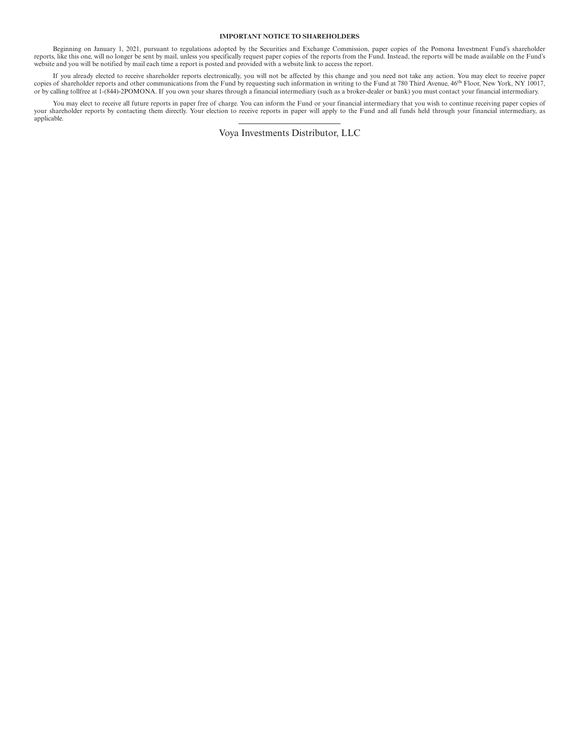## **IMPORTANT NOTICE TO SHAREHOLDERS**

Beginning on January 1, 2021, pursuant to regulations adopted by the Securities and Exchange Commission, paper copies of the Pomona Investment Fund's shareholder<br>reports, like this one, will no longer be sent by mail, unle website and you will be notified by mail each time a report is posted and provided with a website link to access the report.

If you already elected to receive shareholder reports electronically, you will not be affected by this change and you need not take any action. You may elect to receive paper<br>copies of shareholder reports and other communi or by calling tollfree at 1-(844)-2POMONA. If you own your shares through a financial intermediary (such as a broker-dealer or bank) you must contact your financial intermediary.

You may elect to receive all future reports in paper free of charge. You can inform the Fund or your financial intermediary that you wish to continue receiving paper copies of your shareholder reports by contacting them directly. Your election to receive reports in paper will apply to the Fund and all funds held through your financial intermediary, as applicable.

Voya Investments Distributor, LLC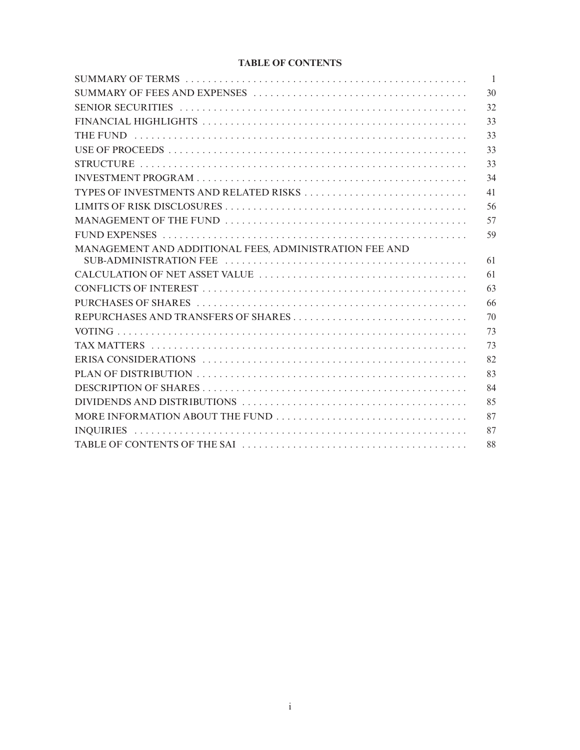## **TABLE OF CONTENTS**

|                                                        | $\overline{1}$ |
|--------------------------------------------------------|----------------|
|                                                        | 30             |
|                                                        | 32             |
|                                                        | 33             |
|                                                        | 33             |
|                                                        | 33             |
|                                                        | 33             |
|                                                        | 34             |
| TYPES OF INVESTMENTS AND RELATED RISKS                 | 41             |
|                                                        | 56             |
|                                                        | 57             |
|                                                        | 59             |
| MANAGEMENT AND ADDITIONAL FEES, ADMINISTRATION FEE AND | 61             |
|                                                        | 61             |
|                                                        | 63             |
|                                                        | 66             |
|                                                        | 70             |
|                                                        | 73             |
|                                                        | 73             |
|                                                        | 82             |
|                                                        | 83             |
|                                                        | 84             |
|                                                        | 85             |
|                                                        | 87             |
|                                                        | 87             |
|                                                        | 88             |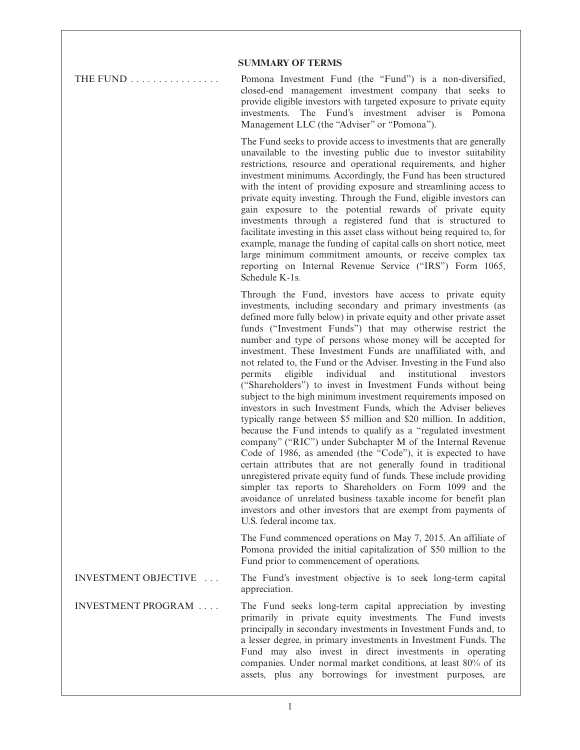## **SUMMARY OF TERMS**

THE FUND ................ Pomona Investment Fund (the "Fund") is a non-diversified, closed-end management investment company that seeks to provide eligible investors with targeted exposure to private equity investments. The Fund's investment adviser is Pomona Management LLC (the "Adviser" or "Pomona").

> The Fund seeks to provide access to investments that are generally unavailable to the investing public due to investor suitability restrictions, resource and operational requirements, and higher investment minimums. Accordingly, the Fund has been structured with the intent of providing exposure and streamlining access to private equity investing. Through the Fund, eligible investors can gain exposure to the potential rewards of private equity investments through a registered fund that is structured to facilitate investing in this asset class without being required to, for example, manage the funding of capital calls on short notice, meet large minimum commitment amounts, or receive complex tax reporting on Internal Revenue Service ("IRS") Form 1065, Schedule K-1s.

> Through the Fund, investors have access to private equity investments, including secondary and primary investments (as defined more fully below) in private equity and other private asset funds ("Investment Funds") that may otherwise restrict the number and type of persons whose money will be accepted for investment. These Investment Funds are unaffiliated with, and not related to, the Fund or the Adviser. Investing in the Fund also permits eligible individual and institutional investors ("Shareholders") to invest in Investment Funds without being subject to the high minimum investment requirements imposed on investors in such Investment Funds, which the Adviser believes typically range between \$5 million and \$20 million. In addition, because the Fund intends to qualify as a "regulated investment company" ("RIC") under Subchapter M of the Internal Revenue Code of 1986, as amended (the "Code"), it is expected to have certain attributes that are not generally found in traditional unregistered private equity fund of funds. These include providing simpler tax reports to Shareholders on Form 1099 and the avoidance of unrelated business taxable income for benefit plan investors and other investors that are exempt from payments of U.S. federal income tax.

> The Fund commenced operations on May 7, 2015. An affiliate of Pomona provided the initial capitalization of \$50 million to the Fund prior to commencement of operations.

INVESTMENT OBJECTIVE . . . The Fund's investment objective is to seek long-term capital appreciation.

INVESTMENT PROGRAM . . . . The Fund seeks long-term capital appreciation by investing primarily in private equity investments. The Fund invests principally in secondary investments in Investment Funds and, to a lesser degree, in primary investments in Investment Funds. The Fund may also invest in direct investments in operating companies. Under normal market conditions, at least 80% of its assets, plus any borrowings for investment purposes, are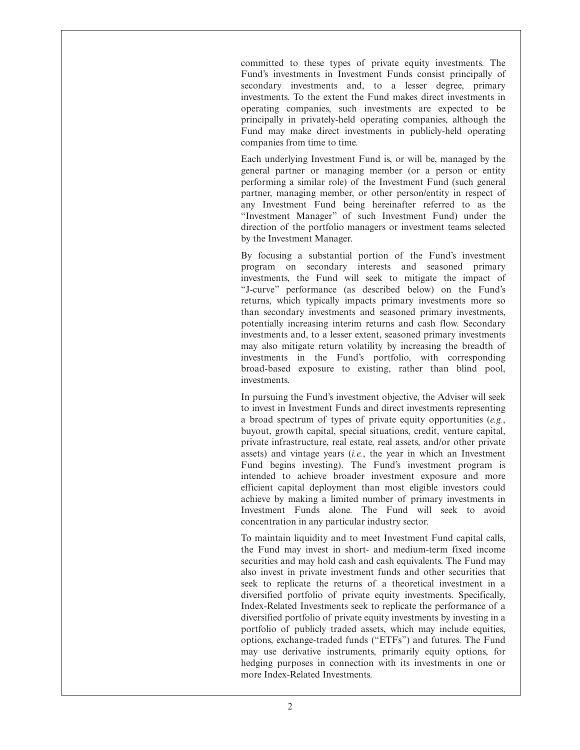committed to these types of private equity investments. The Fund's investments in Investment Funds consist principally of secondary investments and, to a lesser degree, primary investments. To the extent the Fund makes direct investments in operating companies, such investments are expected to be principally in privately-held operating companies, although the Fund may make direct investments in publicly-held operating companies from time to time.

Each underlying Investment Fund is, or will be, managed by the general partner or managing member (or a person or entity performing a similar role) of the Investment Fund (such general partner, managing member, or other person/entity in respect of any Investment Fund being hereinafter referred to as the "Investment Manager" of such Investment Fund) under the direction of the portfolio managers or investment teams selected by the Investment Manager.

By focusing a substantial portion of the Fund's investment program on secondary interests and seasoned primary investments, the Fund will seek to mitigate the impact of "J-curve" performance (as described below) on the Fund's returns, which typically impacts primary investments more so than secondary investments and seasoned primary investments, potentially increasing interim returns and cash flow. Secondary investments and, to a lesser extent, seasoned primary investments may also mitigate return volatility by increasing the breadth of investments in the Fund's portfolio, with corresponding broad-based exposure to existing, rather than blind pool, investments.

In pursuing the Fund's investment objective, the Adviser will seek to invest in Investment Funds and direct investments representing a broad spectrum of types of private equity opportunities (*e.g.*, buyout, growth capital, special situations, credit, venture capital, private infrastructure, real estate, real assets, and/or other private assets) and vintage years (*i.e.*, the year in which an Investment Fund begins investing). The Fund's investment program is intended to achieve broader investment exposure and more efficient capital deployment than most eligible investors could achieve by making a limited number of primary investments in Investment Funds alone. The Fund will seek to avoid concentration in any particular industry sector.

To maintain liquidity and to meet Investment Fund capital calls, the Fund may invest in short- and medium-term fixed income securities and may hold cash and cash equivalents. The Fund may also invest in private investment funds and other securities that seek to replicate the returns of a theoretical investment in a diversified portfolio of private equity investments. Specifically, Index-Related Investments seek to replicate the performance of a diversified portfolio of private equity investments by investing in a portfolio of publicly traded assets, which may include equities, options, exchange-traded funds ("ETFs") and futures. The Fund may use derivative instruments, primarily equity options, for hedging purposes in connection with its investments in one or more Index-Related Investments.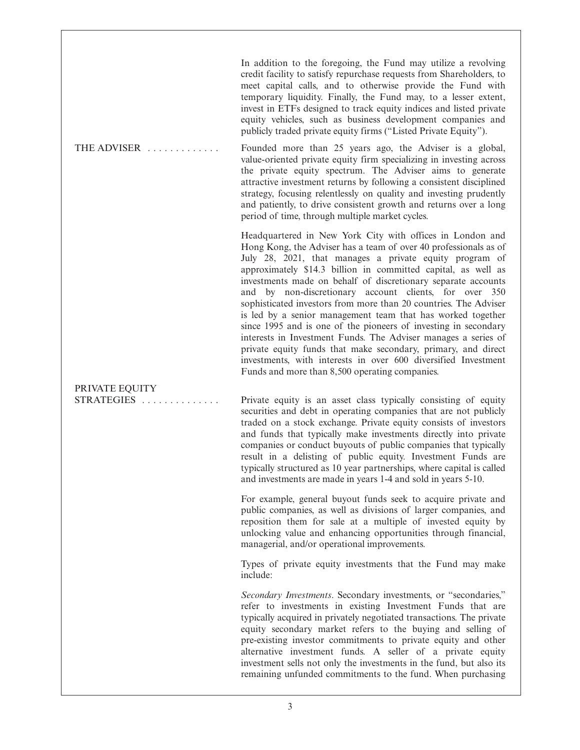In addition to the foregoing, the Fund may utilize a revolving credit facility to satisfy repurchase requests from Shareholders, to meet capital calls, and to otherwise provide the Fund with temporary liquidity. Finally, the Fund may, to a lesser extent, invest in ETFs designed to track equity indices and listed private equity vehicles, such as business development companies and publicly traded private equity firms ("Listed Private Equity").

THE ADVISER ............. Founded more than 25 years ago, the Adviser is a global, value-oriented private equity firm specializing in investing across the private equity spectrum. The Adviser aims to generate attractive investment returns by following a consistent disciplined strategy, focusing relentlessly on quality and investing prudently and patiently, to drive consistent growth and returns over a long period of time, through multiple market cycles.

> Headquartered in New York City with offices in London and Hong Kong, the Adviser has a team of over 40 professionals as of July 28, 2021, that manages a private equity program of approximately \$14.3 billion in committed capital, as well as investments made on behalf of discretionary separate accounts and by non-discretionary account clients, for over 350 sophisticated investors from more than 20 countries. The Adviser is led by a senior management team that has worked together since 1995 and is one of the pioneers of investing in secondary interests in Investment Funds. The Adviser manages a series of private equity funds that make secondary, primary, and direct investments, with interests in over 600 diversified Investment Funds and more than 8,500 operating companies.

# PRIVATE EQUITY

STRATEGIES . . . . . . . . . . . . . . Private equity is an asset class typically consisting of equity securities and debt in operating companies that are not publicly traded on a stock exchange. Private equity consists of investors and funds that typically make investments directly into private companies or conduct buyouts of public companies that typically result in a delisting of public equity. Investment Funds are typically structured as 10 year partnerships, where capital is called and investments are made in years 1-4 and sold in years 5-10.

> For example, general buyout funds seek to acquire private and public companies, as well as divisions of larger companies, and reposition them for sale at a multiple of invested equity by unlocking value and enhancing opportunities through financial, managerial, and/or operational improvements.

> Types of private equity investments that the Fund may make include:

> *Secondary Investments*. Secondary investments, or "secondaries," refer to investments in existing Investment Funds that are typically acquired in privately negotiated transactions. The private equity secondary market refers to the buying and selling of pre-existing investor commitments to private equity and other alternative investment funds. A seller of a private equity investment sells not only the investments in the fund, but also its remaining unfunded commitments to the fund. When purchasing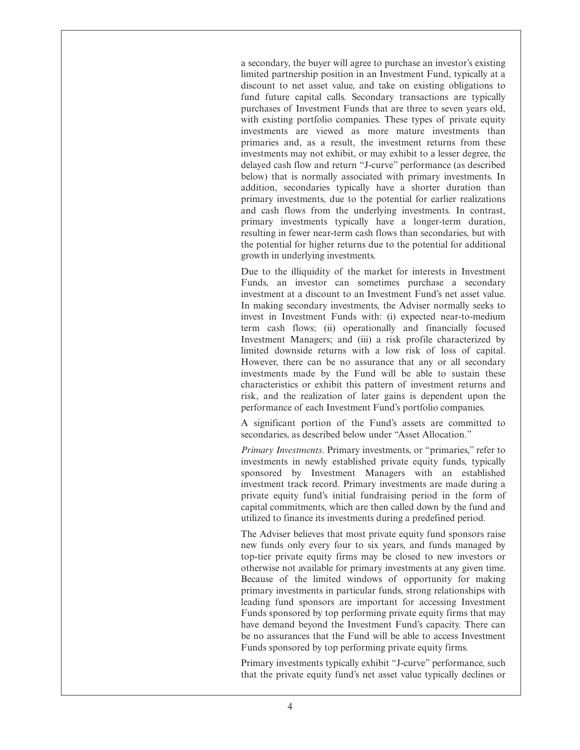a secondary, the buyer will agree to purchase an investor's existing limited partnership position in an Investment Fund, typically at a discount to net asset value, and take on existing obligations to fund future capital calls. Secondary transactions are typically purchases of Investment Funds that are three to seven years old, with existing portfolio companies. These types of private equity investments are viewed as more mature investments than primaries and, as a result, the investment returns from these investments may not exhibit, or may exhibit to a lesser degree, the delayed cash flow and return "J-curve" performance (as described below) that is normally associated with primary investments. In addition, secondaries typically have a shorter duration than primary investments, due to the potential for earlier realizations and cash flows from the underlying investments. In contrast, primary investments typically have a longer-term duration, resulting in fewer near-term cash flows than secondaries, but with the potential for higher returns due to the potential for additional growth in underlying investments.

Due to the illiquidity of the market for interests in Investment Funds, an investor can sometimes purchase a secondary investment at a discount to an Investment Fund's net asset value. In making secondary investments, the Adviser normally seeks to invest in Investment Funds with: (i) expected near-to-medium term cash flows; (ii) operationally and financially focused Investment Managers; and (iii) a risk profile characterized by limited downside returns with a low risk of loss of capital. However, there can be no assurance that any or all secondary investments made by the Fund will be able to sustain these characteristics or exhibit this pattern of investment returns and risk, and the realization of later gains is dependent upon the performance of each Investment Fund's portfolio companies.

A significant portion of the Fund's assets are committed to secondaries, as described below under "Asset Allocation."

*Primary Investments*. Primary investments, or "primaries," refer to investments in newly established private equity funds, typically sponsored by Investment Managers with an established investment track record. Primary investments are made during a private equity fund's initial fundraising period in the form of capital commitments, which are then called down by the fund and utilized to finance its investments during a predefined period.

The Adviser believes that most private equity fund sponsors raise new funds only every four to six years, and funds managed by top-tier private equity firms may be closed to new investors or otherwise not available for primary investments at any given time. Because of the limited windows of opportunity for making primary investments in particular funds, strong relationships with leading fund sponsors are important for accessing Investment Funds sponsored by top performing private equity firms that may have demand beyond the Investment Fund's capacity. There can be no assurances that the Fund will be able to access Investment Funds sponsored by top performing private equity firms.

Primary investments typically exhibit "J-curve" performance, such that the private equity fund's net asset value typically declines or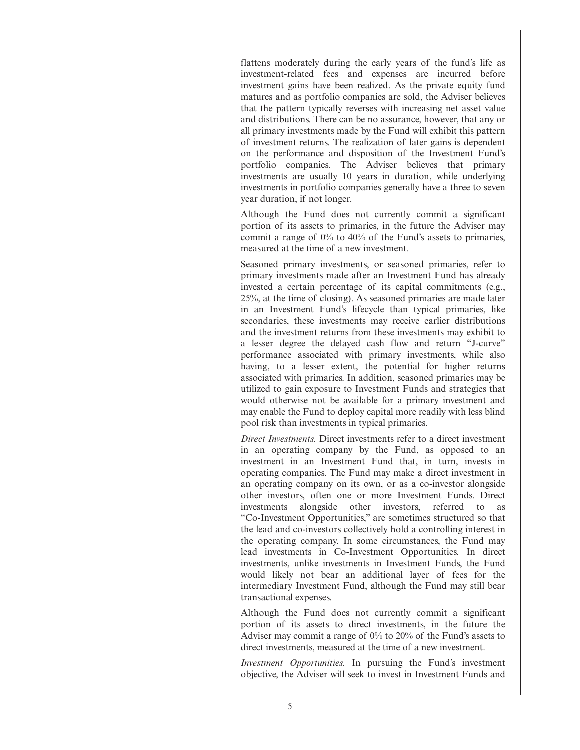flattens moderately during the early years of the fund's life as investment-related fees and expenses are incurred before investment gains have been realized. As the private equity fund matures and as portfolio companies are sold, the Adviser believes that the pattern typically reverses with increasing net asset value and distributions. There can be no assurance, however, that any or all primary investments made by the Fund will exhibit this pattern of investment returns. The realization of later gains is dependent on the performance and disposition of the Investment Fund's portfolio companies. The Adviser believes that primary investments are usually 10 years in duration, while underlying investments in portfolio companies generally have a three to seven year duration, if not longer.

Although the Fund does not currently commit a significant portion of its assets to primaries, in the future the Adviser may commit a range of 0% to 40% of the Fund's assets to primaries, measured at the time of a new investment.

Seasoned primary investments, or seasoned primaries, refer to primary investments made after an Investment Fund has already invested a certain percentage of its capital commitments (e.g., 25%, at the time of closing). As seasoned primaries are made later in an Investment Fund's lifecycle than typical primaries, like secondaries, these investments may receive earlier distributions and the investment returns from these investments may exhibit to a lesser degree the delayed cash flow and return "J-curve" performance associated with primary investments, while also having, to a lesser extent, the potential for higher returns associated with primaries. In addition, seasoned primaries may be utilized to gain exposure to Investment Funds and strategies that would otherwise not be available for a primary investment and may enable the Fund to deploy capital more readily with less blind pool risk than investments in typical primaries.

*Direct Investments.* Direct investments refer to a direct investment in an operating company by the Fund, as opposed to an investment in an Investment Fund that, in turn, invests in operating companies. The Fund may make a direct investment in an operating company on its own, or as a co-investor alongside other investors, often one or more Investment Funds. Direct investments alongside other investors, referred to as "Co-Investment Opportunities," are sometimes structured so that the lead and co-investors collectively hold a controlling interest in the operating company. In some circumstances, the Fund may lead investments in Co-Investment Opportunities. In direct investments, unlike investments in Investment Funds, the Fund would likely not bear an additional layer of fees for the intermediary Investment Fund, although the Fund may still bear transactional expenses.

Although the Fund does not currently commit a significant portion of its assets to direct investments, in the future the Adviser may commit a range of 0% to 20% of the Fund's assets to direct investments, measured at the time of a new investment.

*Investment Opportunities.* In pursuing the Fund's investment objective, the Adviser will seek to invest in Investment Funds and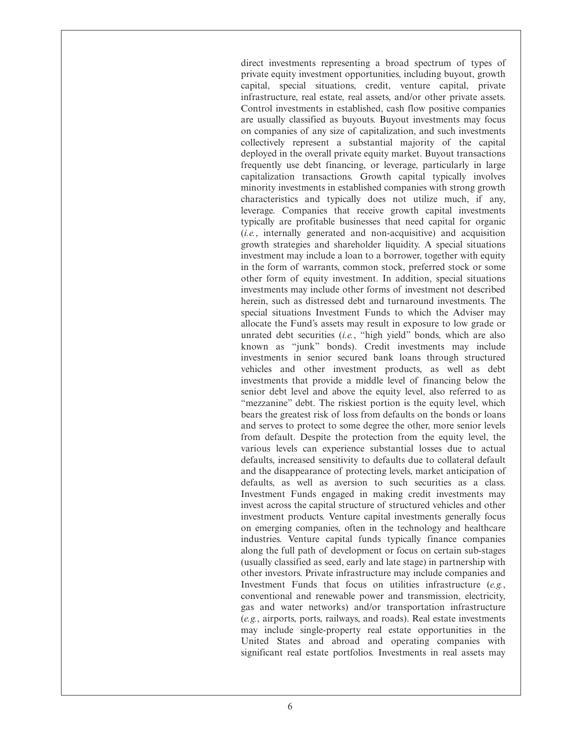direct investments representing a broad spectrum of types of private equity investment opportunities, including buyout, growth capital, special situations, credit, venture capital, private infrastructure, real estate, real assets, and/or other private assets. Control investments in established, cash flow positive companies are usually classified as buyouts. Buyout investments may focus on companies of any size of capitalization, and such investments collectively represent a substantial majority of the capital deployed in the overall private equity market. Buyout transactions frequently use debt financing, or leverage, particularly in large capitalization transactions. Growth capital typically involves minority investments in established companies with strong growth characteristics and typically does not utilize much, if any, leverage. Companies that receive growth capital investments typically are profitable businesses that need capital for organic (*i.e.*, internally generated and non-acquisitive) and acquisition growth strategies and shareholder liquidity. A special situations investment may include a loan to a borrower, together with equity in the form of warrants, common stock, preferred stock or some other form of equity investment. In addition, special situations investments may include other forms of investment not described herein, such as distressed debt and turnaround investments. The special situations Investment Funds to which the Adviser may allocate the Fund's assets may result in exposure to low grade or unrated debt securities (*i.e.*, "high yield" bonds, which are also known as "junk" bonds). Credit investments may include investments in senior secured bank loans through structured vehicles and other investment products, as well as debt investments that provide a middle level of financing below the senior debt level and above the equity level, also referred to as "mezzanine" debt. The riskiest portion is the equity level, which bears the greatest risk of loss from defaults on the bonds or loans and serves to protect to some degree the other, more senior levels from default. Despite the protection from the equity level, the various levels can experience substantial losses due to actual defaults, increased sensitivity to defaults due to collateral default and the disappearance of protecting levels, market anticipation of defaults, as well as aversion to such securities as a class. Investment Funds engaged in making credit investments may invest across the capital structure of structured vehicles and other investment products. Venture capital investments generally focus on emerging companies, often in the technology and healthcare industries. Venture capital funds typically finance companies along the full path of development or focus on certain sub-stages (usually classified as seed, early and late stage) in partnership with other investors. Private infrastructure may include companies and Investment Funds that focus on utilities infrastructure (*e.g.*, conventional and renewable power and transmission, electricity, gas and water networks) and/or transportation infrastructure (*e.g.*, airports, ports, railways, and roads). Real estate investments may include single-property real estate opportunities in the United States and abroad and operating companies with significant real estate portfolios. Investments in real assets may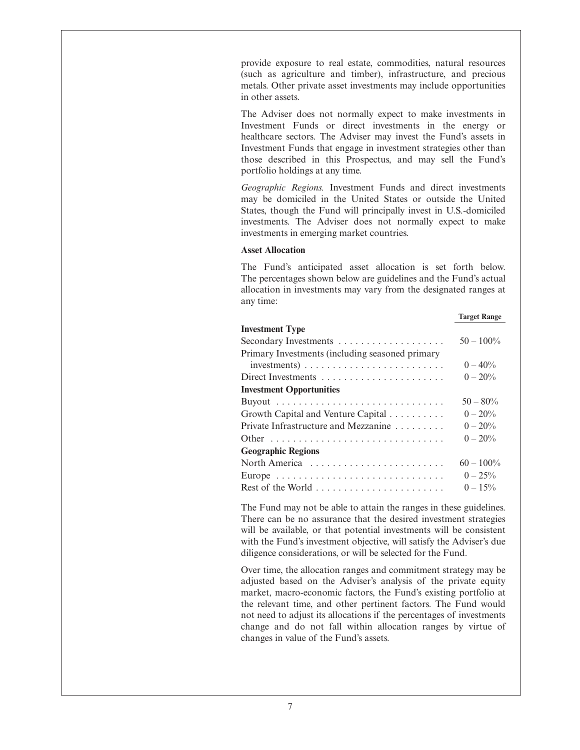provide exposure to real estate, commodities, natural resources (such as agriculture and timber), infrastructure, and precious metals. Other private asset investments may include opportunities in other assets.

The Adviser does not normally expect to make investments in Investment Funds or direct investments in the energy or healthcare sectors. The Adviser may invest the Fund's assets in Investment Funds that engage in investment strategies other than those described in this Prospectus, and may sell the Fund's portfolio holdings at any time.

*Geographic Regions.* Investment Funds and direct investments may be domiciled in the United States or outside the United States, though the Fund will principally invest in U.S.-domiciled investments. The Adviser does not normally expect to make investments in emerging market countries.

## **Asset Allocation**

The Fund's anticipated asset allocation is set forth below. The percentages shown below are guidelines and the Fund's actual allocation in investments may vary from the designated ranges at any time:

## **Target Range**

| <b>Investment Type</b>                                                 |              |
|------------------------------------------------------------------------|--------------|
|                                                                        | $50 - 100\%$ |
| Primary Investments (including seasoned primary                        |              |
| $investments) \ldots \ldots \ldots \ldots \ldots \ldots \ldots \ldots$ | $0 - 40\%$   |
|                                                                        | $0 - 20\%$   |
| <b>Investment Opportunities</b>                                        |              |
|                                                                        | $50 - 80\%$  |
| Growth Capital and Venture Capital                                     | $0 - 20\%$   |
| Private Infrastructure and Mezzanine                                   | $0 - 20\%$   |
|                                                                        | $0 - 20\%$   |
| <b>Geographic Regions</b>                                              |              |
| North America                                                          | $60 - 100\%$ |
|                                                                        | $0 - 25\%$   |
|                                                                        | $0 - 15\%$   |

The Fund may not be able to attain the ranges in these guidelines. There can be no assurance that the desired investment strategies will be available, or that potential investments will be consistent with the Fund's investment objective, will satisfy the Adviser's due diligence considerations, or will be selected for the Fund.

Over time, the allocation ranges and commitment strategy may be adjusted based on the Adviser's analysis of the private equity market, macro-economic factors, the Fund's existing portfolio at the relevant time, and other pertinent factors. The Fund would not need to adjust its allocations if the percentages of investments change and do not fall within allocation ranges by virtue of changes in value of the Fund's assets.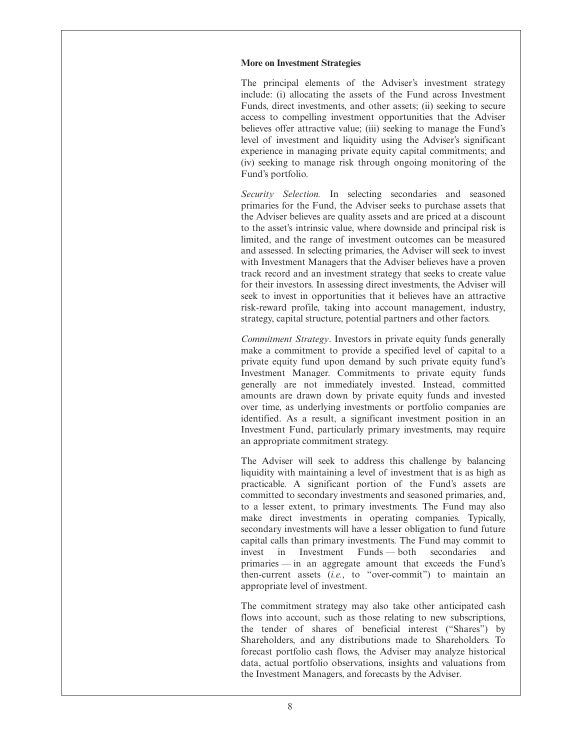## **More on Investment Strategies**

The principal elements of the Adviser's investment strategy include: (i) allocating the assets of the Fund across Investment Funds, direct investments, and other assets; (ii) seeking to secure access to compelling investment opportunities that the Adviser believes offer attractive value; (iii) seeking to manage the Fund's level of investment and liquidity using the Adviser's significant experience in managing private equity capital commitments; and (iv) seeking to manage risk through ongoing monitoring of the Fund's portfolio.

*Security Selection.* In selecting secondaries and seasoned primaries for the Fund, the Adviser seeks to purchase assets that the Adviser believes are quality assets and are priced at a discount to the asset's intrinsic value, where downside and principal risk is limited, and the range of investment outcomes can be measured and assessed. In selecting primaries, the Adviser will seek to invest with Investment Managers that the Adviser believes have a proven track record and an investment strategy that seeks to create value for their investors. In assessing direct investments, the Adviser will seek to invest in opportunities that it believes have an attractive risk-reward profile, taking into account management, industry, strategy, capital structure, potential partners and other factors.

*Commitment Strategy*. Investors in private equity funds generally make a commitment to provide a specified level of capital to a private equity fund upon demand by such private equity fund's Investment Manager. Commitments to private equity funds generally are not immediately invested. Instead, committed amounts are drawn down by private equity funds and invested over time, as underlying investments or portfolio companies are identified. As a result, a significant investment position in an Investment Fund, particularly primary investments, may require an appropriate commitment strategy.

The Adviser will seek to address this challenge by balancing liquidity with maintaining a level of investment that is as high as practicable. A significant portion of the Fund's assets are committed to secondary investments and seasoned primaries, and, to a lesser extent, to primary investments. The Fund may also make direct investments in operating companies. Typically, secondary investments will have a lesser obligation to fund future capital calls than primary investments. The Fund may commit to invest in Investment Funds — both secondaries and primaries — in an aggregate amount that exceeds the Fund's then-current assets (*i.e.*, to "over-commit") to maintain an appropriate level of investment.

The commitment strategy may also take other anticipated cash flows into account, such as those relating to new subscriptions, the tender of shares of beneficial interest ("Shares") by Shareholders, and any distributions made to Shareholders. To forecast portfolio cash flows, the Adviser may analyze historical data, actual portfolio observations, insights and valuations from the Investment Managers, and forecasts by the Adviser.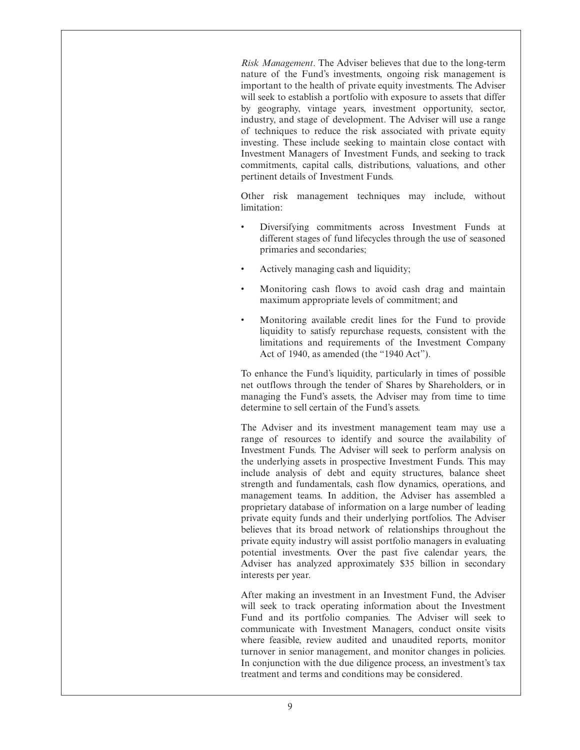*Risk Management*. The Adviser believes that due to the long-term nature of the Fund's investments, ongoing risk management is important to the health of private equity investments. The Adviser will seek to establish a portfolio with exposure to assets that differ by geography, vintage years, investment opportunity, sector, industry, and stage of development. The Adviser will use a range of techniques to reduce the risk associated with private equity investing. These include seeking to maintain close contact with Investment Managers of Investment Funds, and seeking to track commitments, capital calls, distributions, valuations, and other pertinent details of Investment Funds.

Other risk management techniques may include, without limitation:

- Diversifying commitments across Investment Funds at different stages of fund lifecycles through the use of seasoned primaries and secondaries;
- Actively managing cash and liquidity;
- Monitoring cash flows to avoid cash drag and maintain maximum appropriate levels of commitment; and
- Monitoring available credit lines for the Fund to provide liquidity to satisfy repurchase requests, consistent with the limitations and requirements of the Investment Company Act of 1940, as amended (the "1940 Act").

To enhance the Fund's liquidity, particularly in times of possible net outflows through the tender of Shares by Shareholders, or in managing the Fund's assets, the Adviser may from time to time determine to sell certain of the Fund's assets.

The Adviser and its investment management team may use a range of resources to identify and source the availability of Investment Funds. The Adviser will seek to perform analysis on the underlying assets in prospective Investment Funds. This may include analysis of debt and equity structures, balance sheet strength and fundamentals, cash flow dynamics, operations, and management teams. In addition, the Adviser has assembled a proprietary database of information on a large number of leading private equity funds and their underlying portfolios. The Adviser believes that its broad network of relationships throughout the private equity industry will assist portfolio managers in evaluating potential investments. Over the past five calendar years, the Adviser has analyzed approximately \$35 billion in secondary interests per year.

After making an investment in an Investment Fund, the Adviser will seek to track operating information about the Investment Fund and its portfolio companies. The Adviser will seek to communicate with Investment Managers, conduct onsite visits where feasible, review audited and unaudited reports, monitor turnover in senior management, and monitor changes in policies. In conjunction with the due diligence process, an investment's tax treatment and terms and conditions may be considered.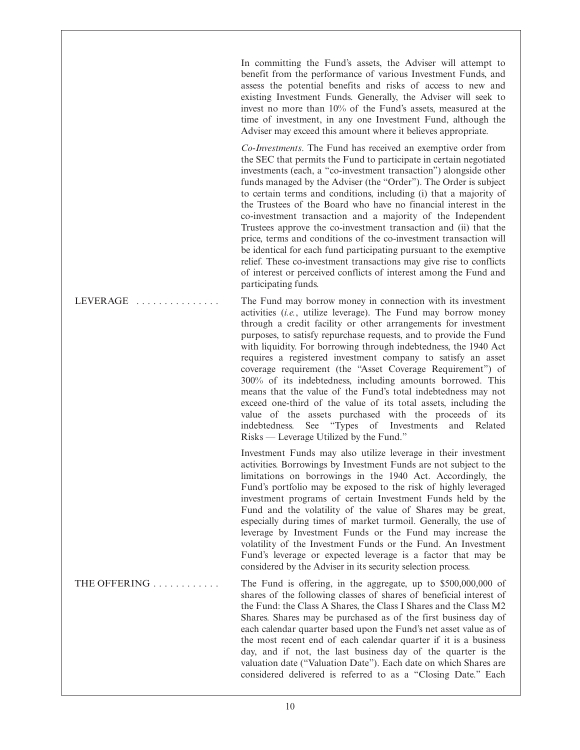In committing the Fund's assets, the Adviser will attempt to benefit from the performance of various Investment Funds, and assess the potential benefits and risks of access to new and existing Investment Funds. Generally, the Adviser will seek to invest no more than 10% of the Fund's assets, measured at the time of investment, in any one Investment Fund, although the Adviser may exceed this amount where it believes appropriate.

*Co-Investments*. The Fund has received an exemptive order from the SEC that permits the Fund to participate in certain negotiated investments (each, a "co-investment transaction") alongside other funds managed by the Adviser (the "Order"). The Order is subject to certain terms and conditions, including (i) that a majority of the Trustees of the Board who have no financial interest in the co-investment transaction and a majority of the Independent Trustees approve the co-investment transaction and (ii) that the price, terms and conditions of the co-investment transaction will be identical for each fund participating pursuant to the exemptive relief. These co-investment transactions may give rise to conflicts of interest or perceived conflicts of interest among the Fund and participating funds.

LEVERAGE  $\dots \dots \dots \dots$  The Fund may borrow money in connection with its investment activities (*i.e.*, utilize leverage). The Fund may borrow money through a credit facility or other arrangements for investment purposes, to satisfy repurchase requests, and to provide the Fund with liquidity. For borrowing through indebtedness, the 1940 Act requires a registered investment company to satisfy an asset coverage requirement (the "Asset Coverage Requirement") of 300% of its indebtedness, including amounts borrowed. This means that the value of the Fund's total indebtedness may not exceed one-third of the value of its total assets, including the value of the assets purchased with the proceeds of its indebtedness. See "Types of Investments and Related Risks — Leverage Utilized by the Fund."

> Investment Funds may also utilize leverage in their investment activities. Borrowings by Investment Funds are not subject to the limitations on borrowings in the 1940 Act. Accordingly, the Fund's portfolio may be exposed to the risk of highly leveraged investment programs of certain Investment Funds held by the Fund and the volatility of the value of Shares may be great, especially during times of market turmoil. Generally, the use of leverage by Investment Funds or the Fund may increase the volatility of the Investment Funds or the Fund. An Investment Fund's leverage or expected leverage is a factor that may be considered by the Adviser in its security selection process.

THE OFFERING . . . . . . . . . . . The Fund is offering, in the aggregate, up to \$500,000,000 of shares of the following classes of shares of beneficial interest of the Fund: the Class A Shares, the Class I Shares and the Class M2 Shares. Shares may be purchased as of the first business day of each calendar quarter based upon the Fund's net asset value as of the most recent end of each calendar quarter if it is a business day, and if not, the last business day of the quarter is the valuation date ("Valuation Date"). Each date on which Shares are considered delivered is referred to as a "Closing Date." Each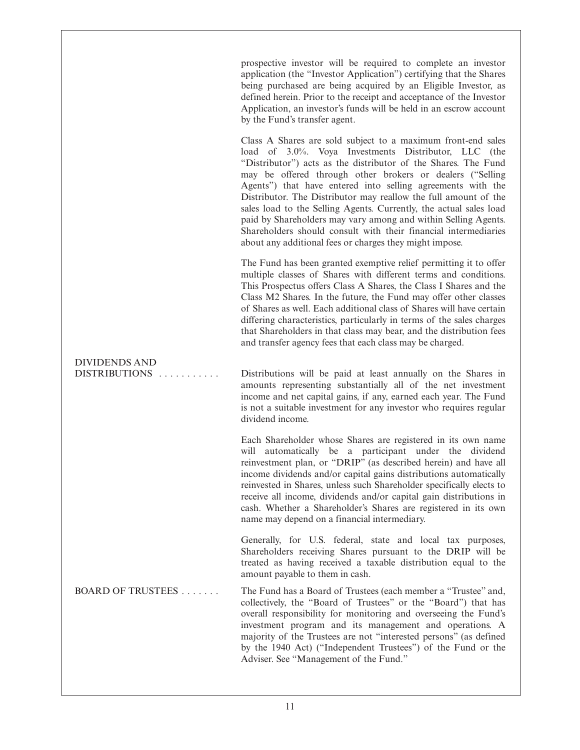prospective investor will be required to complete an investor application (the "Investor Application") certifying that the Shares being purchased are being acquired by an Eligible Investor, as defined herein. Prior to the receipt and acceptance of the Investor Application, an investor's funds will be held in an escrow account by the Fund's transfer agent.

Class A Shares are sold subject to a maximum front-end sales load of 3.0%. Voya Investments Distributor, LLC (the "Distributor") acts as the distributor of the Shares. The Fund may be offered through other brokers or dealers ("Selling Agents") that have entered into selling agreements with the Distributor. The Distributor may reallow the full amount of the sales load to the Selling Agents. Currently, the actual sales load paid by Shareholders may vary among and within Selling Agents. Shareholders should consult with their financial intermediaries about any additional fees or charges they might impose.

The Fund has been granted exemptive relief permitting it to offer multiple classes of Shares with different terms and conditions. This Prospectus offers Class A Shares, the Class I Shares and the Class M2 Shares. In the future, the Fund may offer other classes of Shares as well. Each additional class of Shares will have certain differing characteristics, particularly in terms of the sales charges that Shareholders in that class may bear, and the distribution fees and transfer agency fees that each class may be charged.

# DIVIDENDS AND

DISTRIBUTIONS ........... Distributions will be paid at least annually on the Shares in amounts representing substantially all of the net investment income and net capital gains, if any, earned each year. The Fund is not a suitable investment for any investor who requires regular dividend income.

> Each Shareholder whose Shares are registered in its own name will automatically be a participant under the dividend reinvestment plan, or "DRIP" (as described herein) and have all income dividends and/or capital gains distributions automatically reinvested in Shares, unless such Shareholder specifically elects to receive all income, dividends and/or capital gain distributions in cash. Whether a Shareholder's Shares are registered in its own name may depend on a financial intermediary.

> Generally, for U.S. federal, state and local tax purposes, Shareholders receiving Shares pursuant to the DRIP will be treated as having received a taxable distribution equal to the amount payable to them in cash.

BOARD OF TRUSTEES . . . . . . . The Fund has a Board of Trustees (each member a "Trustee" and, collectively, the "Board of Trustees" or the "Board") that has overall responsibility for monitoring and overseeing the Fund's investment program and its management and operations. A majority of the Trustees are not "interested persons" (as defined by the 1940 Act) ("Independent Trustees") of the Fund or the Adviser. See "Management of the Fund."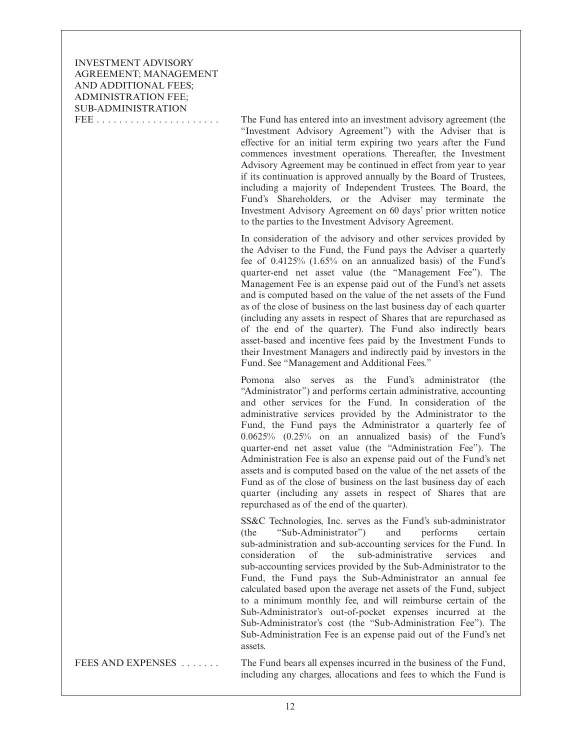INVESTMENT ADVISORY AGREEMENT; MANAGEMENT AND ADDITIONAL FEES; ADMINISTRATION FEE; SUB-ADMINISTRATION

FEE . . . . . . . . . . . . . . . . . . . . . . The Fund has entered into an investment advisory agreement (the "Investment Advisory Agreement") with the Adviser that is effective for an initial term expiring two years after the Fund commences investment operations. Thereafter, the Investment Advisory Agreement may be continued in effect from year to year if its continuation is approved annually by the Board of Trustees, including a majority of Independent Trustees. The Board, the Fund's Shareholders, or the Adviser may terminate the Investment Advisory Agreement on 60 days' prior written notice to the parties to the Investment Advisory Agreement.

> In consideration of the advisory and other services provided by the Adviser to the Fund, the Fund pays the Adviser a quarterly fee of 0.4125% (1.65% on an annualized basis) of the Fund's quarter-end net asset value (the "Management Fee"). The Management Fee is an expense paid out of the Fund's net assets and is computed based on the value of the net assets of the Fund as of the close of business on the last business day of each quarter (including any assets in respect of Shares that are repurchased as of the end of the quarter). The Fund also indirectly bears asset-based and incentive fees paid by the Investment Funds to their Investment Managers and indirectly paid by investors in the Fund. See "Management and Additional Fees."

> Pomona also serves as the Fund's administrator (the "Administrator") and performs certain administrative, accounting and other services for the Fund. In consideration of the administrative services provided by the Administrator to the Fund, the Fund pays the Administrator a quarterly fee of 0.0625% (0.25% on an annualized basis) of the Fund's quarter-end net asset value (the "Administration Fee"). The Administration Fee is also an expense paid out of the Fund's net assets and is computed based on the value of the net assets of the Fund as of the close of business on the last business day of each quarter (including any assets in respect of Shares that are repurchased as of the end of the quarter).

> SS&C Technologies, Inc. serves as the Fund's sub-administrator (the "Sub-Administrator") and performs certain sub-administration and sub-accounting services for the Fund. In consideration of the sub-administrative services and sub-accounting services provided by the Sub-Administrator to the Fund, the Fund pays the Sub-Administrator an annual fee calculated based upon the average net assets of the Fund, subject to a minimum monthly fee, and will reimburse certain of the Sub-Administrator's out-of-pocket expenses incurred at the Sub-Administrator's cost (the "Sub-Administration Fee"). The Sub-Administration Fee is an expense paid out of the Fund's net assets.

FEES AND EXPENSES . . . . . . . The Fund bears all expenses incurred in the business of the Fund, including any charges, allocations and fees to which the Fund is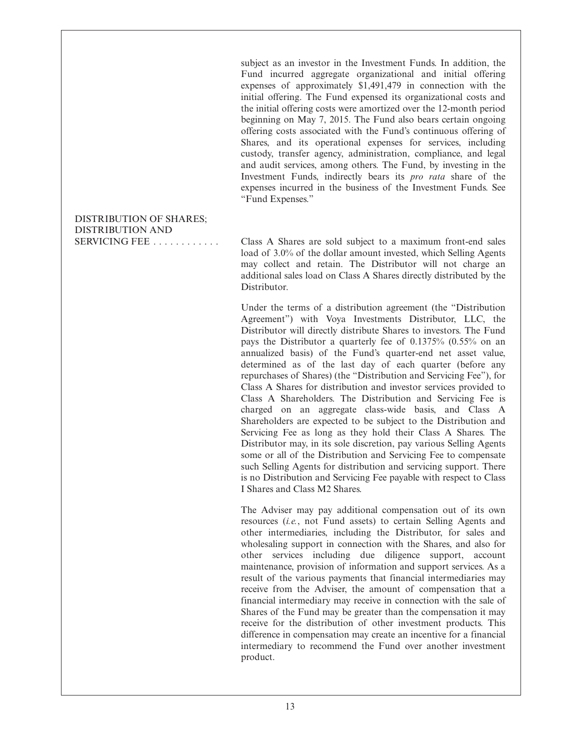subject as an investor in the Investment Funds. In addition, the Fund incurred aggregate organizational and initial offering expenses of approximately \$1,491,479 in connection with the initial offering. The Fund expensed its organizational costs and the initial offering costs were amortized over the 12-month period beginning on May 7, 2015. The Fund also bears certain ongoing offering costs associated with the Fund's continuous offering of Shares, and its operational expenses for services, including custody, transfer agency, administration, compliance, and legal and audit services, among others. The Fund, by investing in the Investment Funds, indirectly bears its *pro rata* share of the expenses incurred in the business of the Investment Funds. See "Fund Expenses."

## DISTRIBUTION OF SHARES; DISTRIBUTION AND

SERVICING FEE ............ Class A Shares are sold subject to a maximum front-end sales load of 3.0% of the dollar amount invested, which Selling Agents may collect and retain. The Distributor will not charge an additional sales load on Class A Shares directly distributed by the Distributor.

> Under the terms of a distribution agreement (the "Distribution Agreement") with Voya Investments Distributor, LLC, the Distributor will directly distribute Shares to investors. The Fund pays the Distributor a quarterly fee of 0.1375% (0.55% on an annualized basis) of the Fund's quarter-end net asset value, determined as of the last day of each quarter (before any repurchases of Shares) (the "Distribution and Servicing Fee"), for Class A Shares for distribution and investor services provided to Class A Shareholders. The Distribution and Servicing Fee is charged on an aggregate class-wide basis, and Class A Shareholders are expected to be subject to the Distribution and Servicing Fee as long as they hold their Class A Shares. The Distributor may, in its sole discretion, pay various Selling Agents some or all of the Distribution and Servicing Fee to compensate such Selling Agents for distribution and servicing support. There is no Distribution and Servicing Fee payable with respect to Class I Shares and Class M2 Shares.

> The Adviser may pay additional compensation out of its own resources (*i.e.*, not Fund assets) to certain Selling Agents and other intermediaries, including the Distributor, for sales and wholesaling support in connection with the Shares, and also for other services including due diligence support, account maintenance, provision of information and support services. As a result of the various payments that financial intermediaries may receive from the Adviser, the amount of compensation that a financial intermediary may receive in connection with the sale of Shares of the Fund may be greater than the compensation it may receive for the distribution of other investment products. This difference in compensation may create an incentive for a financial intermediary to recommend the Fund over another investment product.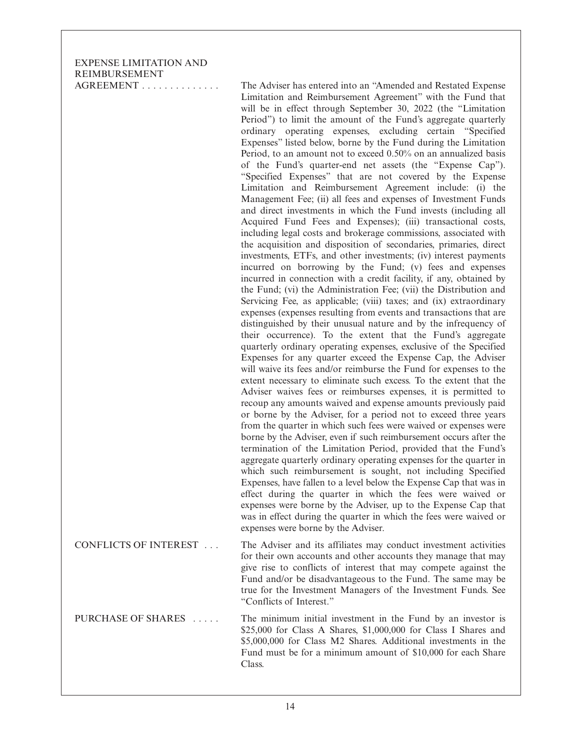EXPENSE LIMITATION AND REIMBURSEMENT

AGREEMENT . . . . . . . . . . . . . . The Adviser has entered into an "Amended and Restated Expense Limitation and Reimbursement Agreement" with the Fund that will be in effect through September 30, 2022 (the "Limitation Period") to limit the amount of the Fund's aggregate quarterly ordinary operating expenses, excluding certain "Specified Expenses" listed below, borne by the Fund during the Limitation Period, to an amount not to exceed 0.50% on an annualized basis of the Fund's quarter-end net assets (the "Expense Cap"). "Specified Expenses" that are not covered by the Expense Limitation and Reimbursement Agreement include: (i) the Management Fee; (ii) all fees and expenses of Investment Funds and direct investments in which the Fund invests (including all Acquired Fund Fees and Expenses); (iii) transactional costs, including legal costs and brokerage commissions, associated with the acquisition and disposition of secondaries, primaries, direct investments, ETFs, and other investments; (iv) interest payments incurred on borrowing by the Fund; (v) fees and expenses incurred in connection with a credit facility, if any, obtained by the Fund; (vi) the Administration Fee; (vii) the Distribution and Servicing Fee, as applicable; (viii) taxes; and (ix) extraordinary expenses (expenses resulting from events and transactions that are distinguished by their unusual nature and by the infrequency of their occurrence). To the extent that the Fund's aggregate quarterly ordinary operating expenses, exclusive of the Specified Expenses for any quarter exceed the Expense Cap, the Adviser will waive its fees and/or reimburse the Fund for expenses to the extent necessary to eliminate such excess. To the extent that the Adviser waives fees or reimburses expenses, it is permitted to recoup any amounts waived and expense amounts previously paid or borne by the Adviser, for a period not to exceed three years from the quarter in which such fees were waived or expenses were borne by the Adviser, even if such reimbursement occurs after the termination of the Limitation Period, provided that the Fund's aggregate quarterly ordinary operating expenses for the quarter in which such reimbursement is sought, not including Specified Expenses, have fallen to a level below the Expense Cap that was in effect during the quarter in which the fees were waived or expenses were borne by the Adviser, up to the Expense Cap that was in effect during the quarter in which the fees were waived or expenses were borne by the Adviser.

CONFLICTS OF INTEREST . . . The Adviser and its affiliates may conduct investment activities for their own accounts and other accounts they manage that may give rise to conflicts of interest that may compete against the Fund and/or be disadvantageous to the Fund. The same may be true for the Investment Managers of the Investment Funds. See "Conflicts of Interest."

PURCHASE OF SHARES . . . . . . The minimum initial investment in the Fund by an investor is \$25,000 for Class A Shares, \$1,000,000 for Class I Shares and \$5,000,000 for Class M2 Shares. Additional investments in the Fund must be for a minimum amount of \$10,000 for each Share Class.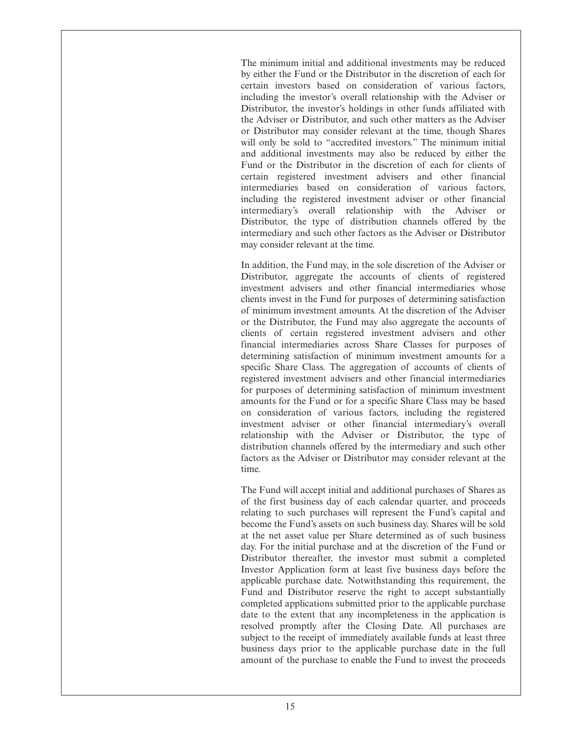The minimum initial and additional investments may be reduced by either the Fund or the Distributor in the discretion of each for certain investors based on consideration of various factors, including the investor's overall relationship with the Adviser or Distributor, the investor's holdings in other funds affiliated with the Adviser or Distributor, and such other matters as the Adviser or Distributor may consider relevant at the time, though Shares will only be sold to "accredited investors." The minimum initial and additional investments may also be reduced by either the Fund or the Distributor in the discretion of each for clients of certain registered investment advisers and other financial intermediaries based on consideration of various factors, including the registered investment adviser or other financial intermediary's overall relationship with the Adviser or Distributor, the type of distribution channels offered by the intermediary and such other factors as the Adviser or Distributor may consider relevant at the time.

In addition, the Fund may, in the sole discretion of the Adviser or Distributor, aggregate the accounts of clients of registered investment advisers and other financial intermediaries whose clients invest in the Fund for purposes of determining satisfaction of minimum investment amounts. At the discretion of the Adviser or the Distributor, the Fund may also aggregate the accounts of clients of certain registered investment advisers and other financial intermediaries across Share Classes for purposes of determining satisfaction of minimum investment amounts for a specific Share Class. The aggregation of accounts of clients of registered investment advisers and other financial intermediaries for purposes of determining satisfaction of minimum investment amounts for the Fund or for a specific Share Class may be based on consideration of various factors, including the registered investment adviser or other financial intermediary's overall relationship with the Adviser or Distributor, the type of distribution channels offered by the intermediary and such other factors as the Adviser or Distributor may consider relevant at the time.

The Fund will accept initial and additional purchases of Shares as of the first business day of each calendar quarter, and proceeds relating to such purchases will represent the Fund's capital and become the Fund's assets on such business day. Shares will be sold at the net asset value per Share determined as of such business day. For the initial purchase and at the discretion of the Fund or Distributor thereafter, the investor must submit a completed Investor Application form at least five business days before the applicable purchase date. Notwithstanding this requirement, the Fund and Distributor reserve the right to accept substantially completed applications submitted prior to the applicable purchase date to the extent that any incompleteness in the application is resolved promptly after the Closing Date. All purchases are subject to the receipt of immediately available funds at least three business days prior to the applicable purchase date in the full amount of the purchase to enable the Fund to invest the proceeds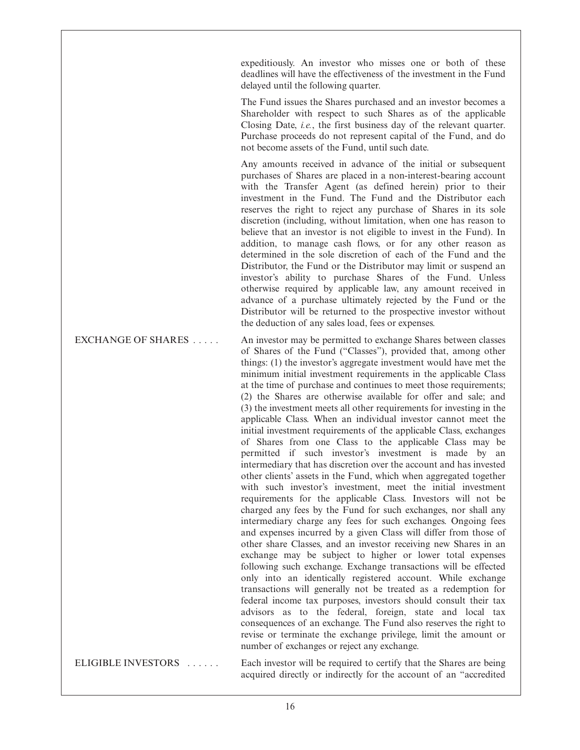expeditiously. An investor who misses one or both of these deadlines will have the effectiveness of the investment in the Fund delayed until the following quarter.

The Fund issues the Shares purchased and an investor becomes a Shareholder with respect to such Shares as of the applicable Closing Date, *i.e.*, the first business day of the relevant quarter. Purchase proceeds do not represent capital of the Fund, and do not become assets of the Fund, until such date.

Any amounts received in advance of the initial or subsequent purchases of Shares are placed in a non-interest-bearing account with the Transfer Agent (as defined herein) prior to their investment in the Fund. The Fund and the Distributor each reserves the right to reject any purchase of Shares in its sole discretion (including, without limitation, when one has reason to believe that an investor is not eligible to invest in the Fund). In addition, to manage cash flows, or for any other reason as determined in the sole discretion of each of the Fund and the Distributor, the Fund or the Distributor may limit or suspend an investor's ability to purchase Shares of the Fund. Unless otherwise required by applicable law, any amount received in advance of a purchase ultimately rejected by the Fund or the Distributor will be returned to the prospective investor without the deduction of any sales load, fees or expenses.

EXCHANGE OF SHARES . . . . . An investor may be permitted to exchange Shares between classes of Shares of the Fund ("Classes"), provided that, among other things: (1) the investor's aggregate investment would have met the minimum initial investment requirements in the applicable Class at the time of purchase and continues to meet those requirements; (2) the Shares are otherwise available for offer and sale; and (3) the investment meets all other requirements for investing in the applicable Class. When an individual investor cannot meet the initial investment requirements of the applicable Class, exchanges of Shares from one Class to the applicable Class may be permitted if such investor's investment is made by an intermediary that has discretion over the account and has invested other clients' assets in the Fund, which when aggregated together with such investor's investment, meet the initial investment requirements for the applicable Class. Investors will not be charged any fees by the Fund for such exchanges, nor shall any intermediary charge any fees for such exchanges. Ongoing fees and expenses incurred by a given Class will differ from those of other share Classes, and an investor receiving new Shares in an exchange may be subject to higher or lower total expenses following such exchange. Exchange transactions will be effected only into an identically registered account. While exchange transactions will generally not be treated as a redemption for federal income tax purposes, investors should consult their tax advisors as to the federal, foreign, state and local tax consequences of an exchange. The Fund also reserves the right to revise or terminate the exchange privilege, limit the amount or number of exchanges or reject any exchange.

ELIGIBLE INVESTORS ...... Each investor will be required to certify that the Shares are being acquired directly or indirectly for the account of an "accredited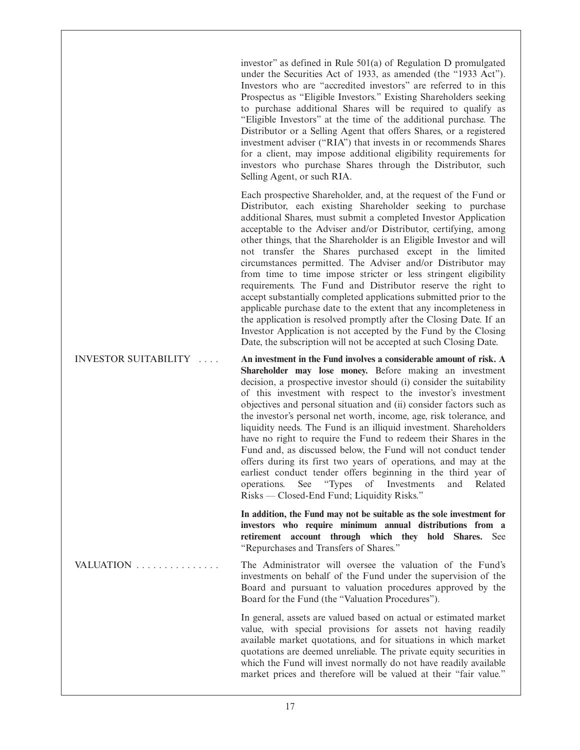investor" as defined in Rule 501(a) of Regulation D promulgated under the Securities Act of 1933, as amended (the "1933 Act"). Investors who are "accredited investors" are referred to in this Prospectus as "Eligible Investors." Existing Shareholders seeking to purchase additional Shares will be required to qualify as "Eligible Investors" at the time of the additional purchase. The Distributor or a Selling Agent that offers Shares, or a registered investment adviser ("RIA") that invests in or recommends Shares for a client, may impose additional eligibility requirements for investors who purchase Shares through the Distributor, such Selling Agent, or such RIA.

Each prospective Shareholder, and, at the request of the Fund or Distributor, each existing Shareholder seeking to purchase additional Shares, must submit a completed Investor Application acceptable to the Adviser and/or Distributor, certifying, among other things, that the Shareholder is an Eligible Investor and will not transfer the Shares purchased except in the limited circumstances permitted. The Adviser and/or Distributor may from time to time impose stricter or less stringent eligibility requirements. The Fund and Distributor reserve the right to accept substantially completed applications submitted prior to the applicable purchase date to the extent that any incompleteness in the application is resolved promptly after the Closing Date. If an Investor Application is not accepted by the Fund by the Closing Date, the subscription will not be accepted at such Closing Date.

INVESTOR SUITABILITY .... **An investment in the Fund involves a considerable amount of risk. A Shareholder may lose money.** Before making an investment decision, a prospective investor should (i) consider the suitability of this investment with respect to the investor's investment objectives and personal situation and (ii) consider factors such as the investor's personal net worth, income, age, risk tolerance, and liquidity needs. The Fund is an illiquid investment. Shareholders have no right to require the Fund to redeem their Shares in the Fund and, as discussed below, the Fund will not conduct tender offers during its first two years of operations, and may at the earliest conduct tender offers beginning in the third year of operations. See "Types of Investments and Related Risks — Closed-End Fund; Liquidity Risks."

> **In addition, the Fund may not be suitable as the sole investment for investors who require minimum annual distributions from a retirement account through which they hold Shares.** See "Repurchases and Transfers of Shares."

VALUATION . . . . . . . . . . . . . . . The Administrator will oversee the valuation of the Fund's investments on behalf of the Fund under the supervision of the Board and pursuant to valuation procedures approved by the Board for the Fund (the "Valuation Procedures").

> In general, assets are valued based on actual or estimated market value, with special provisions for assets not having readily available market quotations, and for situations in which market quotations are deemed unreliable. The private equity securities in which the Fund will invest normally do not have readily available market prices and therefore will be valued at their "fair value."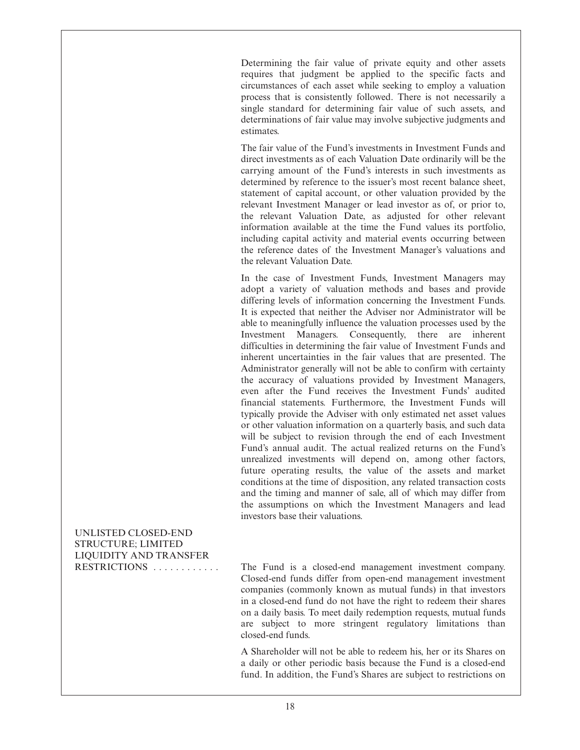Determining the fair value of private equity and other assets requires that judgment be applied to the specific facts and circumstances of each asset while seeking to employ a valuation process that is consistently followed. There is not necessarily a single standard for determining fair value of such assets, and determinations of fair value may involve subjective judgments and estimates.

The fair value of the Fund's investments in Investment Funds and direct investments as of each Valuation Date ordinarily will be the carrying amount of the Fund's interests in such investments as determined by reference to the issuer's most recent balance sheet, statement of capital account, or other valuation provided by the relevant Investment Manager or lead investor as of, or prior to, the relevant Valuation Date, as adjusted for other relevant information available at the time the Fund values its portfolio, including capital activity and material events occurring between the reference dates of the Investment Manager's valuations and the relevant Valuation Date.

In the case of Investment Funds, Investment Managers may adopt a variety of valuation methods and bases and provide differing levels of information concerning the Investment Funds. It is expected that neither the Adviser nor Administrator will be able to meaningfully influence the valuation processes used by the Investment Managers. Consequently, there are inherent difficulties in determining the fair value of Investment Funds and inherent uncertainties in the fair values that are presented. The Administrator generally will not be able to confirm with certainty the accuracy of valuations provided by Investment Managers, even after the Fund receives the Investment Funds' audited financial statements. Furthermore, the Investment Funds will typically provide the Adviser with only estimated net asset values or other valuation information on a quarterly basis, and such data will be subject to revision through the end of each Investment Fund's annual audit. The actual realized returns on the Fund's unrealized investments will depend on, among other factors, future operating results, the value of the assets and market conditions at the time of disposition, any related transaction costs and the timing and manner of sale, all of which may differ from the assumptions on which the Investment Managers and lead investors base their valuations.

UNLISTED CLOSED-END STRUCTURE; LIMITED LIQUIDITY AND TRANSFER

RESTRICTIONS . . . . . . . . . . . . The Fund is a closed-end management investment company. Closed-end funds differ from open-end management investment companies (commonly known as mutual funds) in that investors in a closed-end fund do not have the right to redeem their shares on a daily basis. To meet daily redemption requests, mutual funds are subject to more stringent regulatory limitations than closed-end funds.

> A Shareholder will not be able to redeem his, her or its Shares on a daily or other periodic basis because the Fund is a closed-end fund. In addition, the Fund's Shares are subject to restrictions on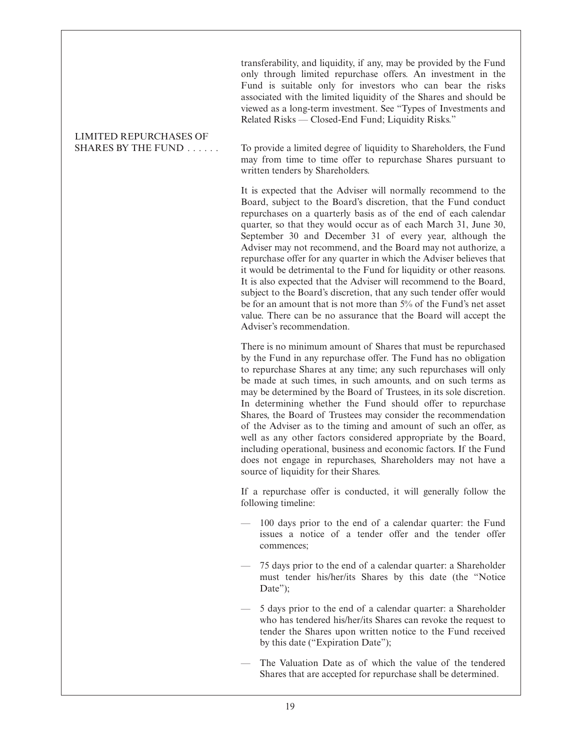transferability, and liquidity, if any, may be provided by the Fund only through limited repurchase offers. An investment in the Fund is suitable only for investors who can bear the risks associated with the limited liquidity of the Shares and should be viewed as a long-term investment. See "Types of Investments and Related Risks — Closed-End Fund; Liquidity Risks."

# LIMITED REPURCHASES OF

SHARES BY THE FUND . . . . . . To provide a limited degree of liquidity to Shareholders, the Fund may from time to time offer to repurchase Shares pursuant to written tenders by Shareholders.

> It is expected that the Adviser will normally recommend to the Board, subject to the Board's discretion, that the Fund conduct repurchases on a quarterly basis as of the end of each calendar quarter, so that they would occur as of each March 31, June 30, September 30 and December 31 of every year, although the Adviser may not recommend, and the Board may not authorize, a repurchase offer for any quarter in which the Adviser believes that it would be detrimental to the Fund for liquidity or other reasons. It is also expected that the Adviser will recommend to the Board, subject to the Board's discretion, that any such tender offer would be for an amount that is not more than 5% of the Fund's net asset value. There can be no assurance that the Board will accept the Adviser's recommendation.

> There is no minimum amount of Shares that must be repurchased by the Fund in any repurchase offer. The Fund has no obligation to repurchase Shares at any time; any such repurchases will only be made at such times, in such amounts, and on such terms as may be determined by the Board of Trustees, in its sole discretion. In determining whether the Fund should offer to repurchase Shares, the Board of Trustees may consider the recommendation of the Adviser as to the timing and amount of such an offer, as well as any other factors considered appropriate by the Board, including operational, business and economic factors. If the Fund does not engage in repurchases, Shareholders may not have a source of liquidity for their Shares.

> If a repurchase offer is conducted, it will generally follow the following timeline:

- 100 days prior to the end of a calendar quarter: the Fund issues a notice of a tender offer and the tender offer commences;
- 75 days prior to the end of a calendar quarter: a Shareholder must tender his/her/its Shares by this date (the "Notice Date");
- 5 days prior to the end of a calendar quarter: a Shareholder who has tendered his/her/its Shares can revoke the request to tender the Shares upon written notice to the Fund received by this date ("Expiration Date");
- The Valuation Date as of which the value of the tendered Shares that are accepted for repurchase shall be determined.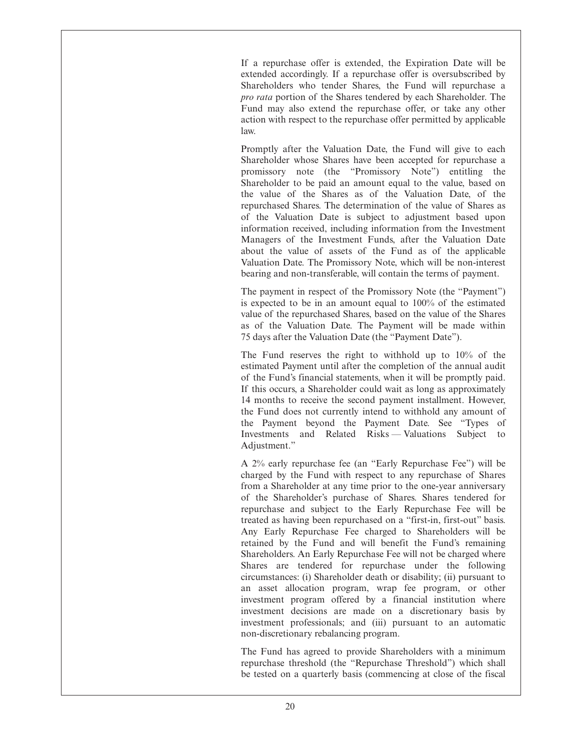If a repurchase offer is extended, the Expiration Date will be extended accordingly. If a repurchase offer is oversubscribed by Shareholders who tender Shares, the Fund will repurchase a *pro rata* portion of the Shares tendered by each Shareholder. The Fund may also extend the repurchase offer, or take any other action with respect to the repurchase offer permitted by applicable law.

Promptly after the Valuation Date, the Fund will give to each Shareholder whose Shares have been accepted for repurchase a promissory note (the "Promissory Note") entitling the Shareholder to be paid an amount equal to the value, based on the value of the Shares as of the Valuation Date, of the repurchased Shares. The determination of the value of Shares as of the Valuation Date is subject to adjustment based upon information received, including information from the Investment Managers of the Investment Funds, after the Valuation Date about the value of assets of the Fund as of the applicable Valuation Date. The Promissory Note, which will be non-interest bearing and non-transferable, will contain the terms of payment.

The payment in respect of the Promissory Note (the "Payment") is expected to be in an amount equal to 100% of the estimated value of the repurchased Shares, based on the value of the Shares as of the Valuation Date. The Payment will be made within 75 days after the Valuation Date (the "Payment Date").

The Fund reserves the right to withhold up to 10% of the estimated Payment until after the completion of the annual audit of the Fund's financial statements, when it will be promptly paid. If this occurs, a Shareholder could wait as long as approximately 14 months to receive the second payment installment. However, the Fund does not currently intend to withhold any amount of the Payment beyond the Payment Date. See "Types of Investments and Related Risks — Valuations Subject to Adjustment."

A 2% early repurchase fee (an "Early Repurchase Fee") will be charged by the Fund with respect to any repurchase of Shares from a Shareholder at any time prior to the one-year anniversary of the Shareholder's purchase of Shares. Shares tendered for repurchase and subject to the Early Repurchase Fee will be treated as having been repurchased on a "first-in, first-out" basis. Any Early Repurchase Fee charged to Shareholders will be retained by the Fund and will benefit the Fund's remaining Shareholders. An Early Repurchase Fee will not be charged where Shares are tendered for repurchase under the following circumstances: (i) Shareholder death or disability; (ii) pursuant to an asset allocation program, wrap fee program, or other investment program offered by a financial institution where investment decisions are made on a discretionary basis by investment professionals; and (iii) pursuant to an automatic non-discretionary rebalancing program.

The Fund has agreed to provide Shareholders with a minimum repurchase threshold (the "Repurchase Threshold") which shall be tested on a quarterly basis (commencing at close of the fiscal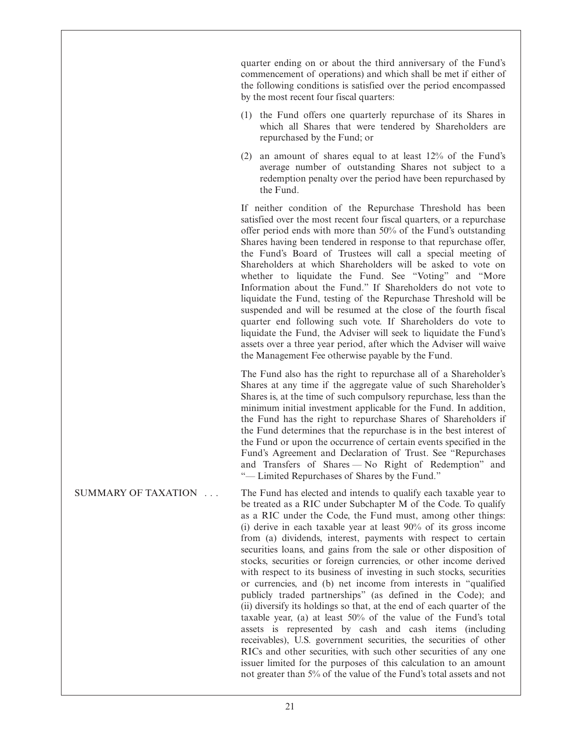quarter ending on or about the third anniversary of the Fund's commencement of operations) and which shall be met if either of the following conditions is satisfied over the period encompassed by the most recent four fiscal quarters:

- (1) the Fund offers one quarterly repurchase of its Shares in which all Shares that were tendered by Shareholders are repurchased by the Fund; or
- (2) an amount of shares equal to at least 12% of the Fund's average number of outstanding Shares not subject to a redemption penalty over the period have been repurchased by the Fund.

If neither condition of the Repurchase Threshold has been satisfied over the most recent four fiscal quarters, or a repurchase offer period ends with more than 50% of the Fund's outstanding Shares having been tendered in response to that repurchase offer, the Fund's Board of Trustees will call a special meeting of Shareholders at which Shareholders will be asked to vote on whether to liquidate the Fund. See "Voting" and "More Information about the Fund." If Shareholders do not vote to liquidate the Fund, testing of the Repurchase Threshold will be suspended and will be resumed at the close of the fourth fiscal quarter end following such vote. If Shareholders do vote to liquidate the Fund, the Adviser will seek to liquidate the Fund's assets over a three year period, after which the Adviser will waive the Management Fee otherwise payable by the Fund.

The Fund also has the right to repurchase all of a Shareholder's Shares at any time if the aggregate value of such Shareholder's Shares is, at the time of such compulsory repurchase, less than the minimum initial investment applicable for the Fund. In addition, the Fund has the right to repurchase Shares of Shareholders if the Fund determines that the repurchase is in the best interest of the Fund or upon the occurrence of certain events specified in the Fund's Agreement and Declaration of Trust. See "Repurchases and Transfers of Shares — No Right of Redemption" and "— Limited Repurchases of Shares by the Fund."

SUMMARY OF TAXATION . . . The Fund has elected and intends to qualify each taxable year to be treated as a RIC under Subchapter M of the Code. To qualify as a RIC under the Code, the Fund must, among other things: (i) derive in each taxable year at least 90% of its gross income from (a) dividends, interest, payments with respect to certain securities loans, and gains from the sale or other disposition of stocks, securities or foreign currencies, or other income derived with respect to its business of investing in such stocks, securities or currencies, and (b) net income from interests in "qualified publicly traded partnerships" (as defined in the Code); and (ii) diversify its holdings so that, at the end of each quarter of the taxable year, (a) at least 50% of the value of the Fund's total assets is represented by cash and cash items (including receivables), U.S. government securities, the securities of other RICs and other securities, with such other securities of any one issuer limited for the purposes of this calculation to an amount not greater than 5% of the value of the Fund's total assets and not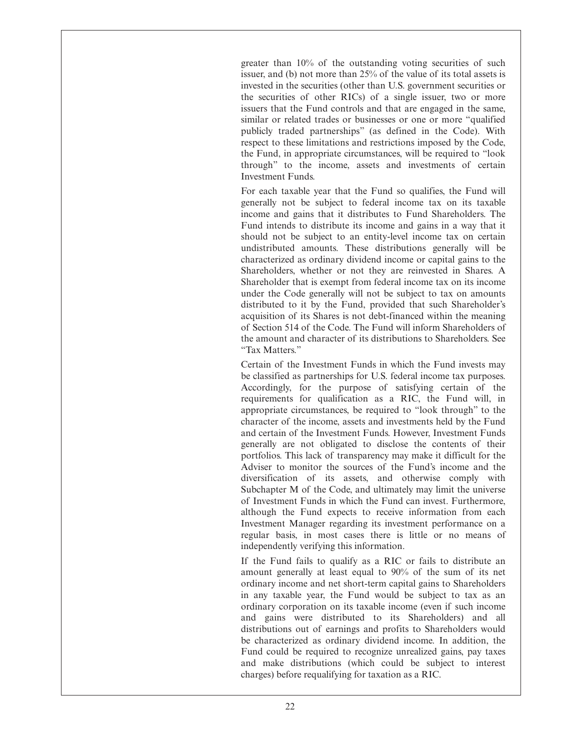greater than 10% of the outstanding voting securities of such issuer, and (b) not more than 25% of the value of its total assets is invested in the securities (other than U.S. government securities or the securities of other RICs) of a single issuer, two or more issuers that the Fund controls and that are engaged in the same, similar or related trades or businesses or one or more "qualified publicly traded partnerships" (as defined in the Code). With respect to these limitations and restrictions imposed by the Code, the Fund, in appropriate circumstances, will be required to "look through" to the income, assets and investments of certain Investment Funds.

For each taxable year that the Fund so qualifies, the Fund will generally not be subject to federal income tax on its taxable income and gains that it distributes to Fund Shareholders. The Fund intends to distribute its income and gains in a way that it should not be subject to an entity-level income tax on certain undistributed amounts. These distributions generally will be characterized as ordinary dividend income or capital gains to the Shareholders, whether or not they are reinvested in Shares. A Shareholder that is exempt from federal income tax on its income under the Code generally will not be subject to tax on amounts distributed to it by the Fund, provided that such Shareholder's acquisition of its Shares is not debt-financed within the meaning of Section 514 of the Code. The Fund will inform Shareholders of the amount and character of its distributions to Shareholders. See "Tax Matters."

Certain of the Investment Funds in which the Fund invests may be classified as partnerships for U.S. federal income tax purposes. Accordingly, for the purpose of satisfying certain of the requirements for qualification as a RIC, the Fund will, in appropriate circumstances, be required to "look through" to the character of the income, assets and investments held by the Fund and certain of the Investment Funds. However, Investment Funds generally are not obligated to disclose the contents of their portfolios. This lack of transparency may make it difficult for the Adviser to monitor the sources of the Fund's income and the diversification of its assets, and otherwise comply with Subchapter M of the Code, and ultimately may limit the universe of Investment Funds in which the Fund can invest. Furthermore, although the Fund expects to receive information from each Investment Manager regarding its investment performance on a regular basis, in most cases there is little or no means of independently verifying this information.

If the Fund fails to qualify as a RIC or fails to distribute an amount generally at least equal to 90% of the sum of its net ordinary income and net short-term capital gains to Shareholders in any taxable year, the Fund would be subject to tax as an ordinary corporation on its taxable income (even if such income and gains were distributed to its Shareholders) and all distributions out of earnings and profits to Shareholders would be characterized as ordinary dividend income. In addition, the Fund could be required to recognize unrealized gains, pay taxes and make distributions (which could be subject to interest charges) before requalifying for taxation as a RIC.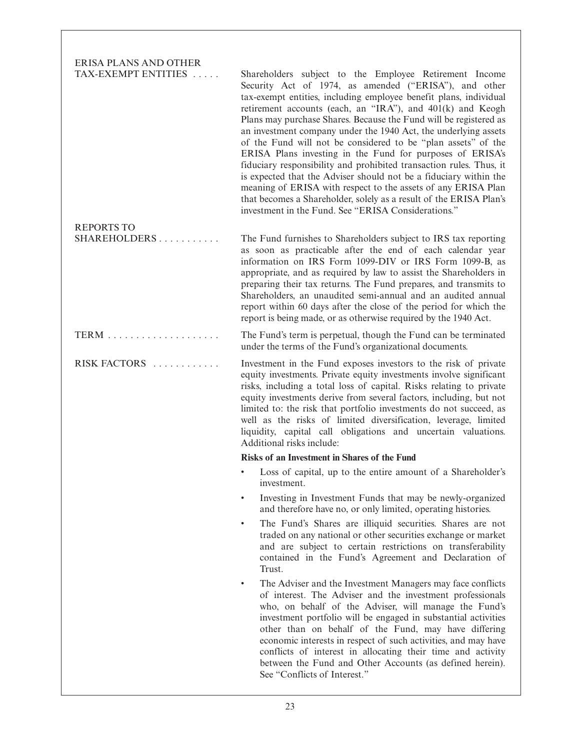ERISA PLANS AND OTHER TAX-EXEMPT ENTITIES ..... Shareholders subject to the Employee Retirement Income Security Act of 1974, as amended ("ERISA"), and other tax-exempt entities, including employee benefit plans, individual retirement accounts (each, an "IRA"), and 401(k) and Keogh Plans may purchase Shares. Because the Fund will be registered as an investment company under the 1940 Act, the underlying assets of the Fund will not be considered to be "plan assets" of the ERISA Plans investing in the Fund for purposes of ERISA's fiduciary responsibility and prohibited transaction rules. Thus, it is expected that the Adviser should not be a fiduciary within the meaning of ERISA with respect to the assets of any ERISA Plan that becomes a Shareholder, solely as a result of the ERISA Plan's investment in the Fund. See "ERISA Considerations." REPORTS TO SHAREHOLDERS . . . . . . . . . . . The Fund furnishes to Shareholders subject to IRS tax reporting as soon as practicable after the end of each calendar year information on IRS Form 1099-DIV or IRS Form 1099-B, as appropriate, and as required by law to assist the Shareholders in preparing their tax returns. The Fund prepares, and transmits to Shareholders, an unaudited semi-annual and an audited annual report within 60 days after the close of the period for which the report is being made, or as otherwise required by the 1940 Act. TERM . . . . . . . . . . . . . . . . . . . . The Fund's term is perpetual, though the Fund can be terminated under the terms of the Fund's organizational documents. RISK FACTORS . . . . . . . . . . . . Investment in the Fund exposes investors to the risk of private equity investments. Private equity investments involve significant risks, including a total loss of capital. Risks relating to private equity investments derive from several factors, including, but not limited to: the risk that portfolio investments do not succeed, as well as the risks of limited diversification, leverage, limited liquidity, capital call obligations and uncertain valuations. Additional risks include: **Risks of an Investment in Shares of the Fund** Loss of capital, up to the entire amount of a Shareholder's investment. • Investing in Investment Funds that may be newly-organized and therefore have no, or only limited, operating histories. • The Fund's Shares are illiquid securities. Shares are not traded on any national or other securities exchange or market and are subject to certain restrictions on transferability contained in the Fund's Agreement and Declaration of Trust. The Adviser and the Investment Managers may face conflicts of interest. The Adviser and the investment professionals who, on behalf of the Adviser, will manage the Fund's investment portfolio will be engaged in substantial activities other than on behalf of the Fund, may have differing economic interests in respect of such activities, and may have conflicts of interest in allocating their time and activity between the Fund and Other Accounts (as defined herein). See "Conflicts of Interest."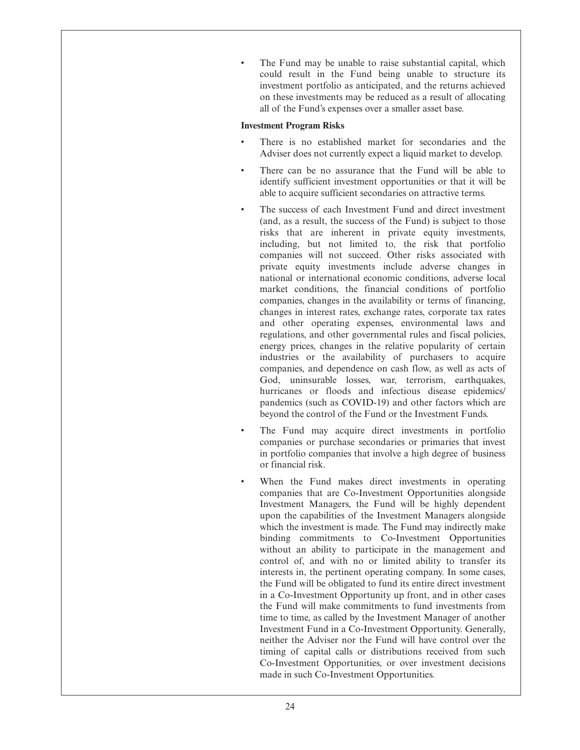The Fund may be unable to raise substantial capital, which could result in the Fund being unable to structure its investment portfolio as anticipated, and the returns achieved on these investments may be reduced as a result of allocating all of the Fund's expenses over a smaller asset base.

## **Investment Program Risks**

- There is no established market for secondaries and the Adviser does not currently expect a liquid market to develop.
- There can be no assurance that the Fund will be able to identify sufficient investment opportunities or that it will be able to acquire sufficient secondaries on attractive terms.
- The success of each Investment Fund and direct investment (and, as a result, the success of the Fund) is subject to those risks that are inherent in private equity investments, including, but not limited to, the risk that portfolio companies will not succeed. Other risks associated with private equity investments include adverse changes in national or international economic conditions, adverse local market conditions, the financial conditions of portfolio companies, changes in the availability or terms of financing, changes in interest rates, exchange rates, corporate tax rates and other operating expenses, environmental laws and regulations, and other governmental rules and fiscal policies, energy prices, changes in the relative popularity of certain industries or the availability of purchasers to acquire companies, and dependence on cash flow, as well as acts of God, uninsurable losses, war, terrorism, earthquakes, hurricanes or floods and infectious disease epidemics/ pandemics (such as COVID-19) and other factors which are beyond the control of the Fund or the Investment Funds.
- The Fund may acquire direct investments in portfolio companies or purchase secondaries or primaries that invest in portfolio companies that involve a high degree of business or financial risk.
- When the Fund makes direct investments in operating companies that are Co-Investment Opportunities alongside Investment Managers, the Fund will be highly dependent upon the capabilities of the Investment Managers alongside which the investment is made. The Fund may indirectly make binding commitments to Co-Investment Opportunities without an ability to participate in the management and control of, and with no or limited ability to transfer its interests in, the pertinent operating company. In some cases, the Fund will be obligated to fund its entire direct investment in a Co-Investment Opportunity up front, and in other cases the Fund will make commitments to fund investments from time to time, as called by the Investment Manager of another Investment Fund in a Co-Investment Opportunity. Generally, neither the Adviser nor the Fund will have control over the timing of capital calls or distributions received from such Co-Investment Opportunities, or over investment decisions made in such Co-Investment Opportunities.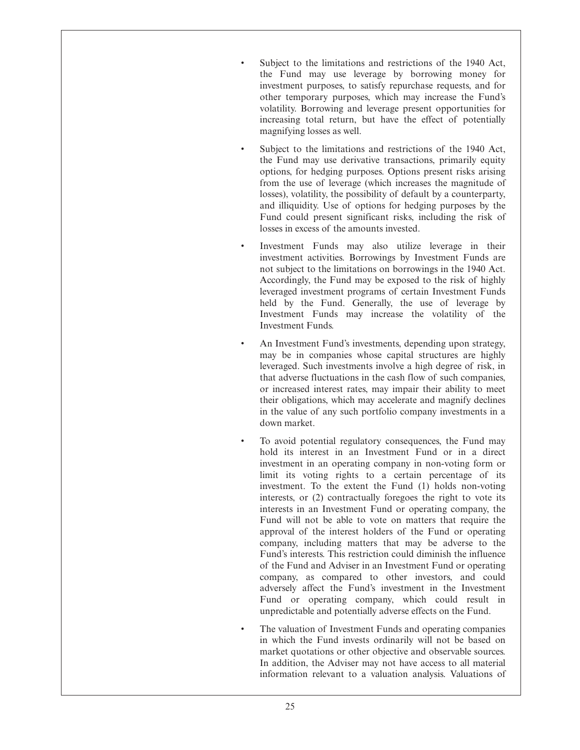- Subject to the limitations and restrictions of the 1940 Act, the Fund may use leverage by borrowing money for investment purposes, to satisfy repurchase requests, and for other temporary purposes, which may increase the Fund's volatility. Borrowing and leverage present opportunities for increasing total return, but have the effect of potentially magnifying losses as well.
- Subject to the limitations and restrictions of the 1940 Act, the Fund may use derivative transactions, primarily equity options, for hedging purposes. Options present risks arising from the use of leverage (which increases the magnitude of losses), volatility, the possibility of default by a counterparty, and illiquidity. Use of options for hedging purposes by the Fund could present significant risks, including the risk of losses in excess of the amounts invested.
- Investment Funds may also utilize leverage in their investment activities. Borrowings by Investment Funds are not subject to the limitations on borrowings in the 1940 Act. Accordingly, the Fund may be exposed to the risk of highly leveraged investment programs of certain Investment Funds held by the Fund. Generally, the use of leverage by Investment Funds may increase the volatility of the Investment Funds.
- An Investment Fund's investments, depending upon strategy, may be in companies whose capital structures are highly leveraged. Such investments involve a high degree of risk, in that adverse fluctuations in the cash flow of such companies, or increased interest rates, may impair their ability to meet their obligations, which may accelerate and magnify declines in the value of any such portfolio company investments in a down market.
- To avoid potential regulatory consequences, the Fund may hold its interest in an Investment Fund or in a direct investment in an operating company in non-voting form or limit its voting rights to a certain percentage of its investment. To the extent the Fund (1) holds non-voting interests, or (2) contractually foregoes the right to vote its interests in an Investment Fund or operating company, the Fund will not be able to vote on matters that require the approval of the interest holders of the Fund or operating company, including matters that may be adverse to the Fund's interests. This restriction could diminish the influence of the Fund and Adviser in an Investment Fund or operating company, as compared to other investors, and could adversely affect the Fund's investment in the Investment Fund or operating company, which could result in unpredictable and potentially adverse effects on the Fund.
- The valuation of Investment Funds and operating companies in which the Fund invests ordinarily will not be based on market quotations or other objective and observable sources. In addition, the Adviser may not have access to all material information relevant to a valuation analysis. Valuations of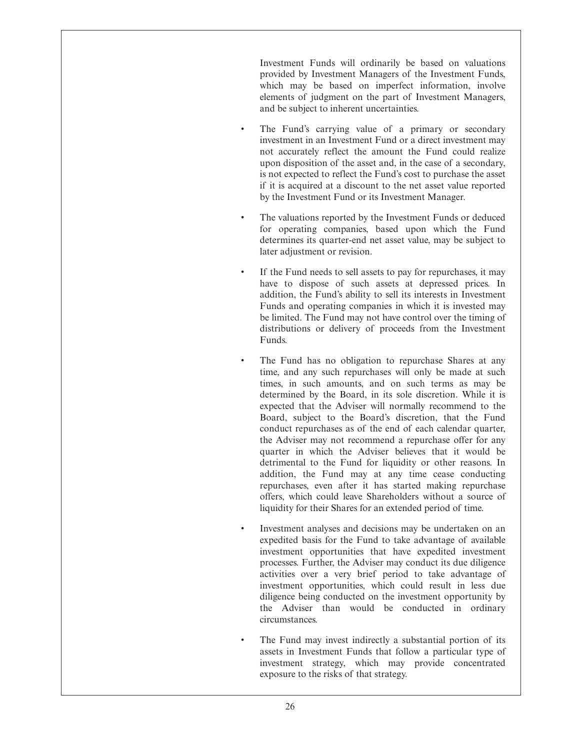Investment Funds will ordinarily be based on valuations provided by Investment Managers of the Investment Funds, which may be based on imperfect information, involve elements of judgment on the part of Investment Managers, and be subject to inherent uncertainties.

- The Fund's carrying value of a primary or secondary investment in an Investment Fund or a direct investment may not accurately reflect the amount the Fund could realize upon disposition of the asset and, in the case of a secondary, is not expected to reflect the Fund's cost to purchase the asset if it is acquired at a discount to the net asset value reported by the Investment Fund or its Investment Manager.
- The valuations reported by the Investment Funds or deduced for operating companies, based upon which the Fund determines its quarter-end net asset value, may be subject to later adjustment or revision.
- If the Fund needs to sell assets to pay for repurchases, it may have to dispose of such assets at depressed prices. In addition, the Fund's ability to sell its interests in Investment Funds and operating companies in which it is invested may be limited. The Fund may not have control over the timing of distributions or delivery of proceeds from the Investment Funds.
- The Fund has no obligation to repurchase Shares at any time, and any such repurchases will only be made at such times, in such amounts, and on such terms as may be determined by the Board, in its sole discretion. While it is expected that the Adviser will normally recommend to the Board, subject to the Board's discretion, that the Fund conduct repurchases as of the end of each calendar quarter, the Adviser may not recommend a repurchase offer for any quarter in which the Adviser believes that it would be detrimental to the Fund for liquidity or other reasons. In addition, the Fund may at any time cease conducting repurchases, even after it has started making repurchase offers, which could leave Shareholders without a source of liquidity for their Shares for an extended period of time.
- Investment analyses and decisions may be undertaken on an expedited basis for the Fund to take advantage of available investment opportunities that have expedited investment processes. Further, the Adviser may conduct its due diligence activities over a very brief period to take advantage of investment opportunities, which could result in less due diligence being conducted on the investment opportunity by the Adviser than would be conducted in ordinary circumstances.
- The Fund may invest indirectly a substantial portion of its assets in Investment Funds that follow a particular type of investment strategy, which may provide concentrated exposure to the risks of that strategy.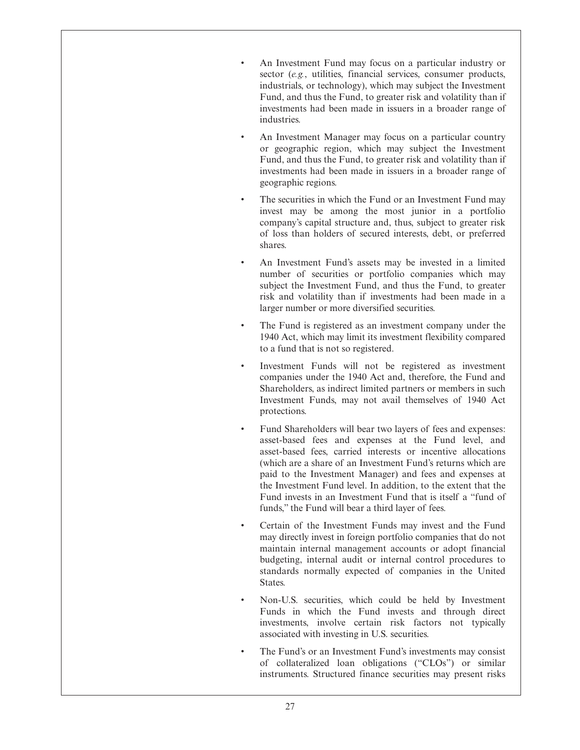- An Investment Fund may focus on a particular industry or sector (*e.g.*, utilities, financial services, consumer products, industrials, or technology), which may subject the Investment Fund, and thus the Fund, to greater risk and volatility than if investments had been made in issuers in a broader range of industries.
- An Investment Manager may focus on a particular country or geographic region, which may subject the Investment Fund, and thus the Fund, to greater risk and volatility than if investments had been made in issuers in a broader range of geographic regions.
- The securities in which the Fund or an Investment Fund may invest may be among the most junior in a portfolio company's capital structure and, thus, subject to greater risk of loss than holders of secured interests, debt, or preferred shares.
- An Investment Fund's assets may be invested in a limited number of securities or portfolio companies which may subject the Investment Fund, and thus the Fund, to greater risk and volatility than if investments had been made in a larger number or more diversified securities.
- The Fund is registered as an investment company under the 1940 Act, which may limit its investment flexibility compared to a fund that is not so registered.
- Investment Funds will not be registered as investment companies under the 1940 Act and, therefore, the Fund and Shareholders, as indirect limited partners or members in such Investment Funds, may not avail themselves of 1940 Act protections.
- Fund Shareholders will bear two layers of fees and expenses: asset-based fees and expenses at the Fund level, and asset-based fees, carried interests or incentive allocations (which are a share of an Investment Fund's returns which are paid to the Investment Manager) and fees and expenses at the Investment Fund level. In addition, to the extent that the Fund invests in an Investment Fund that is itself a "fund of funds," the Fund will bear a third layer of fees.
- Certain of the Investment Funds may invest and the Fund may directly invest in foreign portfolio companies that do not maintain internal management accounts or adopt financial budgeting, internal audit or internal control procedures to standards normally expected of companies in the United States.
- Non-U.S. securities, which could be held by Investment Funds in which the Fund invests and through direct investments, involve certain risk factors not typically associated with investing in U.S. securities.
- The Fund's or an Investment Fund's investments may consist of collateralized loan obligations ("CLOs") or similar instruments. Structured finance securities may present risks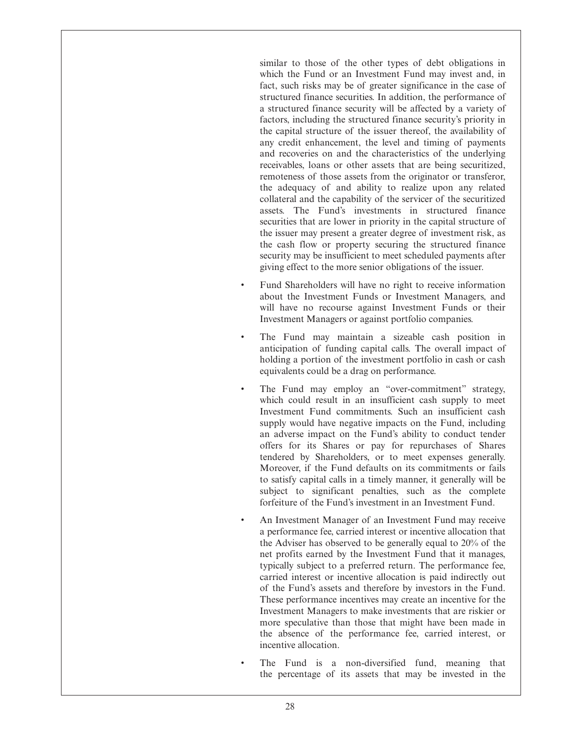similar to those of the other types of debt obligations in which the Fund or an Investment Fund may invest and, in fact, such risks may be of greater significance in the case of structured finance securities. In addition, the performance of a structured finance security will be affected by a variety of factors, including the structured finance security's priority in the capital structure of the issuer thereof, the availability of any credit enhancement, the level and timing of payments and recoveries on and the characteristics of the underlying receivables, loans or other assets that are being securitized, remoteness of those assets from the originator or transferor, the adequacy of and ability to realize upon any related collateral and the capability of the servicer of the securitized assets. The Fund's investments in structured finance securities that are lower in priority in the capital structure of the issuer may present a greater degree of investment risk, as the cash flow or property securing the structured finance security may be insufficient to meet scheduled payments after giving effect to the more senior obligations of the issuer.

- Fund Shareholders will have no right to receive information about the Investment Funds or Investment Managers, and will have no recourse against Investment Funds or their Investment Managers or against portfolio companies.
- The Fund may maintain a sizeable cash position in anticipation of funding capital calls. The overall impact of holding a portion of the investment portfolio in cash or cash equivalents could be a drag on performance.
- The Fund may employ an "over-commitment" strategy, which could result in an insufficient cash supply to meet Investment Fund commitments. Such an insufficient cash supply would have negative impacts on the Fund, including an adverse impact on the Fund's ability to conduct tender offers for its Shares or pay for repurchases of Shares tendered by Shareholders, or to meet expenses generally. Moreover, if the Fund defaults on its commitments or fails to satisfy capital calls in a timely manner, it generally will be subject to significant penalties, such as the complete forfeiture of the Fund's investment in an Investment Fund.
- An Investment Manager of an Investment Fund may receive a performance fee, carried interest or incentive allocation that the Adviser has observed to be generally equal to 20% of the net profits earned by the Investment Fund that it manages, typically subject to a preferred return. The performance fee, carried interest or incentive allocation is paid indirectly out of the Fund's assets and therefore by investors in the Fund. These performance incentives may create an incentive for the Investment Managers to make investments that are riskier or more speculative than those that might have been made in the absence of the performance fee, carried interest, or incentive allocation.
- The Fund is a non-diversified fund, meaning that the percentage of its assets that may be invested in the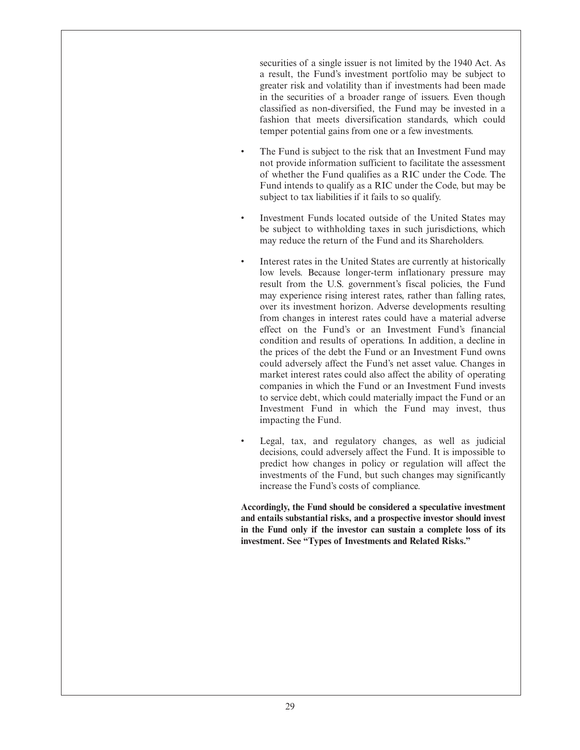securities of a single issuer is not limited by the 1940 Act. As a result, the Fund's investment portfolio may be subject to greater risk and volatility than if investments had been made in the securities of a broader range of issuers. Even though classified as non-diversified, the Fund may be invested in a fashion that meets diversification standards, which could temper potential gains from one or a few investments.

- The Fund is subject to the risk that an Investment Fund may not provide information sufficient to facilitate the assessment of whether the Fund qualifies as a RIC under the Code. The Fund intends to qualify as a RIC under the Code, but may be subject to tax liabilities if it fails to so qualify.
- Investment Funds located outside of the United States may be subject to withholding taxes in such jurisdictions, which may reduce the return of the Fund and its Shareholders.
- Interest rates in the United States are currently at historically low levels. Because longer-term inflationary pressure may result from the U.S. government's fiscal policies, the Fund may experience rising interest rates, rather than falling rates, over its investment horizon. Adverse developments resulting from changes in interest rates could have a material adverse effect on the Fund's or an Investment Fund's financial condition and results of operations. In addition, a decline in the prices of the debt the Fund or an Investment Fund owns could adversely affect the Fund's net asset value. Changes in market interest rates could also affect the ability of operating companies in which the Fund or an Investment Fund invests to service debt, which could materially impact the Fund or an Investment Fund in which the Fund may invest, thus impacting the Fund.
- Legal, tax, and regulatory changes, as well as judicial decisions, could adversely affect the Fund. It is impossible to predict how changes in policy or regulation will affect the investments of the Fund, but such changes may significantly increase the Fund's costs of compliance.

**Accordingly, the Fund should be considered a speculative investment and entails substantial risks, and a prospective investor should invest in the Fund only if the investor can sustain a complete loss of its investment. See "Types of Investments and Related Risks."**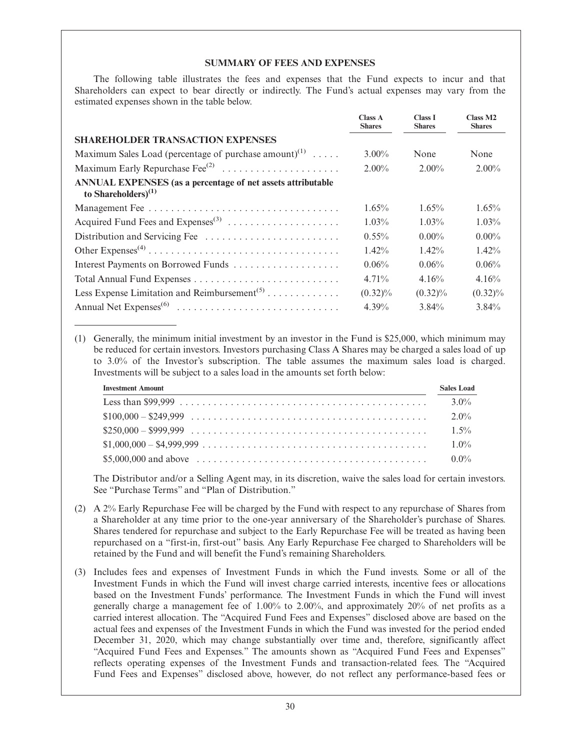## **SUMMARY OF FEES AND EXPENSES**

The following table illustrates the fees and expenses that the Fund expects to incur and that Shareholders can expect to bear directly or indirectly. The Fund's actual expenses may vary from the estimated expenses shown in the table below.

|                                                                                          | <b>Class A</b><br><b>Shares</b> | <b>Class I</b><br><b>Shares</b> | Class M <sub>2</sub><br><b>Shares</b> |
|------------------------------------------------------------------------------------------|---------------------------------|---------------------------------|---------------------------------------|
| <b>SHAREHOLDER TRANSACTION EXPENSES</b>                                                  |                                 |                                 |                                       |
| Maximum Sales Load (percentage of purchase amount) <sup>(1)</sup>                        | $3.00\%$                        | None                            | None                                  |
| Maximum Early Repurchase $\text{Fee}^{(2)}$                                              | $2.00\%$                        | $2.00\%$                        | $2.00\%$                              |
| ANNUAL EXPENSES (as a percentage of net assets attributable<br>to Shareholders $)^{(1)}$ |                                 |                                 |                                       |
|                                                                                          | 1.65%                           | $1.65\%$                        | $1.65\%$                              |
| Acquired Fund Fees and Expenses <sup>(3)</sup>                                           | $1.03\%$                        | $1.03\%$                        | $1.03\%$                              |
|                                                                                          | $0.55\%$                        | $0.00\%$                        | $0.00\%$                              |
|                                                                                          | $1.42\%$                        | $1.42\%$                        | $1.42\%$                              |
| Interest Payments on Borrowed Funds                                                      | 0.06%                           | 0.06%                           | 0.06%                                 |
|                                                                                          | $4.71\%$                        | 4.16%                           | 4.16%                                 |
|                                                                                          | $(0.32)\%$                      | $(0.32)\%$                      | $(0.32)\%$                            |
|                                                                                          | $4.39\%$                        | $3.84\%$                        | $3.84\%$                              |

(1) Generally, the minimum initial investment by an investor in the Fund is \$25,000, which minimum may be reduced for certain investors. Investors purchasing Class A Shares may be charged a sales load of up to 3.0% of the Investor's subscription. The table assumes the maximum sales load is charged. Investments will be subject to a sales load in the amounts set forth below:

| <b>Investment Amount</b>               | <b>Sales Load</b> |
|----------------------------------------|-------------------|
|                                        | $3.0\%$           |
|                                        | $2.0\%$           |
|                                        | $1.5\%$           |
| $$1,000,000 - $4,999,999             $ | $1.0\%$           |
|                                        |                   |

The Distributor and/or a Selling Agent may, in its discretion, waive the sales load for certain investors. See "Purchase Terms" and "Plan of Distribution."

- (2) A 2% Early Repurchase Fee will be charged by the Fund with respect to any repurchase of Shares from a Shareholder at any time prior to the one-year anniversary of the Shareholder's purchase of Shares. Shares tendered for repurchase and subject to the Early Repurchase Fee will be treated as having been repurchased on a "first-in, first-out" basis. Any Early Repurchase Fee charged to Shareholders will be retained by the Fund and will benefit the Fund's remaining Shareholders.
- (3) Includes fees and expenses of Investment Funds in which the Fund invests. Some or all of the Investment Funds in which the Fund will invest charge carried interests, incentive fees or allocations based on the Investment Funds' performance. The Investment Funds in which the Fund will invest generally charge a management fee of 1.00% to 2.00%, and approximately 20% of net profits as a carried interest allocation. The "Acquired Fund Fees and Expenses" disclosed above are based on the actual fees and expenses of the Investment Funds in which the Fund was invested for the period ended December 31, 2020, which may change substantially over time and, therefore, significantly affect "Acquired Fund Fees and Expenses." The amounts shown as "Acquired Fund Fees and Expenses" reflects operating expenses of the Investment Funds and transaction-related fees. The "Acquired Fund Fees and Expenses" disclosed above, however, do not reflect any performance-based fees or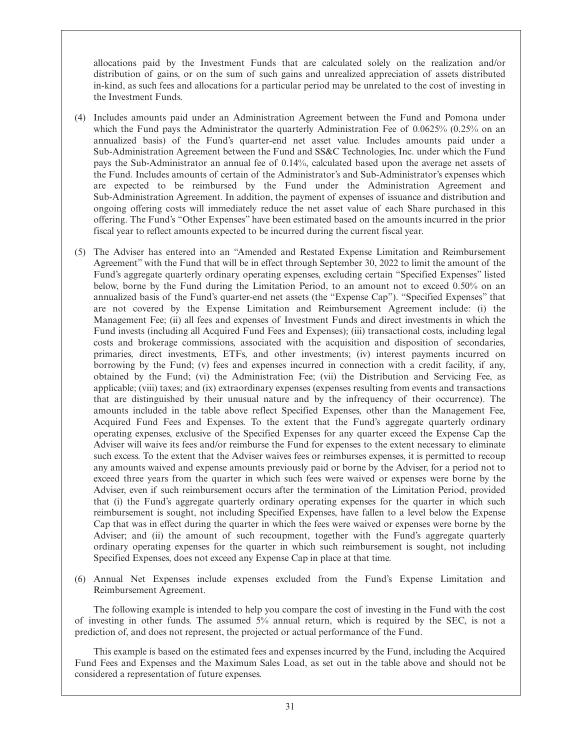allocations paid by the Investment Funds that are calculated solely on the realization and/or distribution of gains, or on the sum of such gains and unrealized appreciation of assets distributed in-kind, as such fees and allocations for a particular period may be unrelated to the cost of investing in the Investment Funds.

- (4) Includes amounts paid under an Administration Agreement between the Fund and Pomona under which the Fund pays the Administrator the quarterly Administration Fee of 0.0625% (0.25% on an annualized basis) of the Fund's quarter-end net asset value. Includes amounts paid under a Sub-Administration Agreement between the Fund and SS&C Technologies, Inc. under which the Fund pays the Sub-Administrator an annual fee of 0.14%, calculated based upon the average net assets of the Fund. Includes amounts of certain of the Administrator's and Sub-Administrator's expenses which are expected to be reimbursed by the Fund under the Administration Agreement and Sub-Administration Agreement. In addition, the payment of expenses of issuance and distribution and ongoing offering costs will immediately reduce the net asset value of each Share purchased in this offering. The Fund's "Other Expenses" have been estimated based on the amounts incurred in the prior fiscal year to reflect amounts expected to be incurred during the current fiscal year.
- (5) The Adviser has entered into an "Amended and Restated Expense Limitation and Reimbursement Agreement" with the Fund that will be in effect through September 30, 2022 to limit the amount of the Fund's aggregate quarterly ordinary operating expenses, excluding certain "Specified Expenses" listed below, borne by the Fund during the Limitation Period, to an amount not to exceed 0.50% on an annualized basis of the Fund's quarter-end net assets (the "Expense Cap"). "Specified Expenses" that are not covered by the Expense Limitation and Reimbursement Agreement include: (i) the Management Fee; (ii) all fees and expenses of Investment Funds and direct investments in which the Fund invests (including all Acquired Fund Fees and Expenses); (iii) transactional costs, including legal costs and brokerage commissions, associated with the acquisition and disposition of secondaries, primaries, direct investments, ETFs, and other investments; (iv) interest payments incurred on borrowing by the Fund; (v) fees and expenses incurred in connection with a credit facility, if any, obtained by the Fund; (vi) the Administration Fee; (vii) the Distribution and Servicing Fee, as applicable; (viii) taxes; and (ix) extraordinary expenses (expenses resulting from events and transactions that are distinguished by their unusual nature and by the infrequency of their occurrence). The amounts included in the table above reflect Specified Expenses, other than the Management Fee, Acquired Fund Fees and Expenses. To the extent that the Fund's aggregate quarterly ordinary operating expenses, exclusive of the Specified Expenses for any quarter exceed the Expense Cap the Adviser will waive its fees and/or reimburse the Fund for expenses to the extent necessary to eliminate such excess. To the extent that the Adviser waives fees or reimburses expenses, it is permitted to recoup any amounts waived and expense amounts previously paid or borne by the Adviser, for a period not to exceed three years from the quarter in which such fees were waived or expenses were borne by the Adviser, even if such reimbursement occurs after the termination of the Limitation Period, provided that (i) the Fund's aggregate quarterly ordinary operating expenses for the quarter in which such reimbursement is sought, not including Specified Expenses, have fallen to a level below the Expense Cap that was in effect during the quarter in which the fees were waived or expenses were borne by the Adviser; and (ii) the amount of such recoupment, together with the Fund's aggregate quarterly ordinary operating expenses for the quarter in which such reimbursement is sought, not including Specified Expenses, does not exceed any Expense Cap in place at that time.
- (6) Annual Net Expenses include expenses excluded from the Fund's Expense Limitation and Reimbursement Agreement.

The following example is intended to help you compare the cost of investing in the Fund with the cost of investing in other funds. The assumed 5% annual return, which is required by the SEC, is not a prediction of, and does not represent, the projected or actual performance of the Fund.

This example is based on the estimated fees and expenses incurred by the Fund, including the Acquired Fund Fees and Expenses and the Maximum Sales Load, as set out in the table above and should not be considered a representation of future expenses.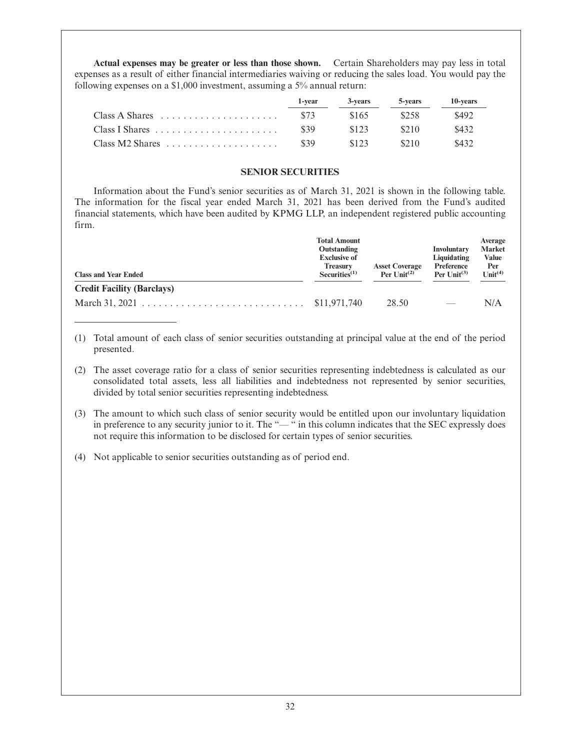**Actual expenses may be greater or less than those shown.** Certain Shareholders may pay less in total expenses as a result of either financial intermediaries waiving or reducing the sales load. You would pay the following expenses on a \$1,000 investment, assuming a 5% annual return:

|                                                                  | 1-vear | 3-vears | 5-vears | 10-years |
|------------------------------------------------------------------|--------|---------|---------|----------|
| $Class A Shares \dots \dots \dots \dots \dots \dots \dots \dots$ | \$73   | \$165   | \$258   | \$492    |
|                                                                  | \$39   | \$123   | \$210   | \$432    |
| $Class M2 Shares \dots \dots \dots \dots \dots \dots \dots$      | \$39   | \$123   | \$210   | \$432    |

## **SENIOR SECURITIES**

Information about the Fund's senior securities as of March 31, 2021 is shown in the following table. The information for the fiscal year ended March 31, 2021 has been derived from the Fund's audited financial statements, which have been audited by KPMG LLP, an independent registered public accounting firm.

| <b>Class and Year Ended</b>       | <b>Total Amount</b><br>Outstanding<br><b>Exclusive of</b><br><b>Asset Coverage</b><br><b>Treasury</b><br>Per $\text{Unit}^{(2)}$<br>$Securities^{(1)}$ |       | <b>Involuntary</b><br>Liquidating<br>Preference<br>Per $\text{Unit}^{(3)}$ | Average<br><b>Market</b><br><b>Value</b><br>Per<br>Unit <sup>(4)</sup> |
|-----------------------------------|--------------------------------------------------------------------------------------------------------------------------------------------------------|-------|----------------------------------------------------------------------------|------------------------------------------------------------------------|
| <b>Credit Facility (Barclays)</b> |                                                                                                                                                        |       |                                                                            |                                                                        |
|                                   |                                                                                                                                                        | 28.50 |                                                                            | N/A                                                                    |

- (1) Total amount of each class of senior securities outstanding at principal value at the end of the period presented.
- (2) The asset coverage ratio for a class of senior securities representing indebtedness is calculated as our consolidated total assets, less all liabilities and indebtedness not represented by senior securities, divided by total senior securities representing indebtedness.
- (3) The amount to which such class of senior security would be entitled upon our involuntary liquidation in preference to any security junior to it. The "-" in this column indicates that the SEC expressly does not require this information to be disclosed for certain types of senior securities.
- (4) Not applicable to senior securities outstanding as of period end.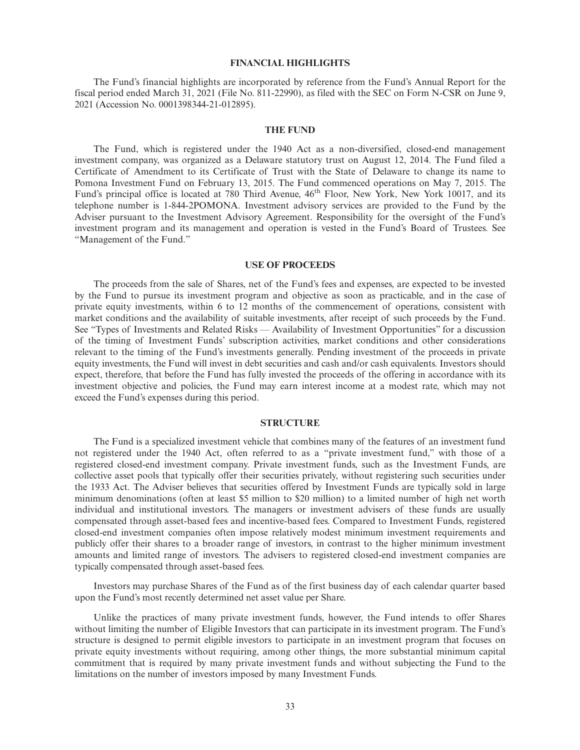## **FINANCIAL HIGHLIGHTS**

The Fund's financial highlights are incorporated by reference from the Fund's Annual Report for the fiscal period ended March 31, 2021 (File No. 811-22990), as filed with the SEC on Form N-CSR on June 9, 2021 (Accession No. 0001398344-21-012895).

## **THE FUND**

The Fund, which is registered under the 1940 Act as a non-diversified, closed-end management investment company, was organized as a Delaware statutory trust on August 12, 2014. The Fund filed a Certificate of Amendment to its Certificate of Trust with the State of Delaware to change its name to Pomona Investment Fund on February 13, 2015. The Fund commenced operations on May 7, 2015. The Fund's principal office is located at 780 Third Avenue, 46<sup>th</sup> Floor, New York, New York 10017, and its telephone number is 1-844-2POMONA. Investment advisory services are provided to the Fund by the Adviser pursuant to the Investment Advisory Agreement. Responsibility for the oversight of the Fund's investment program and its management and operation is vested in the Fund's Board of Trustees. See "Management of the Fund."

## **USE OF PROCEEDS**

The proceeds from the sale of Shares, net of the Fund's fees and expenses, are expected to be invested by the Fund to pursue its investment program and objective as soon as practicable, and in the case of private equity investments, within 6 to 12 months of the commencement of operations, consistent with market conditions and the availability of suitable investments, after receipt of such proceeds by the Fund. See "Types of Investments and Related Risks — Availability of Investment Opportunities" for a discussion of the timing of Investment Funds' subscription activities, market conditions and other considerations relevant to the timing of the Fund's investments generally. Pending investment of the proceeds in private equity investments, the Fund will invest in debt securities and cash and/or cash equivalents. Investors should expect, therefore, that before the Fund has fully invested the proceeds of the offering in accordance with its investment objective and policies, the Fund may earn interest income at a modest rate, which may not exceed the Fund's expenses during this period.

## **STRUCTURE**

The Fund is a specialized investment vehicle that combines many of the features of an investment fund not registered under the 1940 Act, often referred to as a "private investment fund," with those of a registered closed-end investment company. Private investment funds, such as the Investment Funds, are collective asset pools that typically offer their securities privately, without registering such securities under the 1933 Act. The Adviser believes that securities offered by Investment Funds are typically sold in large minimum denominations (often at least \$5 million to \$20 million) to a limited number of high net worth individual and institutional investors. The managers or investment advisers of these funds are usually compensated through asset-based fees and incentive-based fees. Compared to Investment Funds, registered closed-end investment companies often impose relatively modest minimum investment requirements and publicly offer their shares to a broader range of investors, in contrast to the higher minimum investment amounts and limited range of investors. The advisers to registered closed-end investment companies are typically compensated through asset-based fees.

Investors may purchase Shares of the Fund as of the first business day of each calendar quarter based upon the Fund's most recently determined net asset value per Share.

Unlike the practices of many private investment funds, however, the Fund intends to offer Shares without limiting the number of Eligible Investors that can participate in its investment program. The Fund's structure is designed to permit eligible investors to participate in an investment program that focuses on private equity investments without requiring, among other things, the more substantial minimum capital commitment that is required by many private investment funds and without subjecting the Fund to the limitations on the number of investors imposed by many Investment Funds.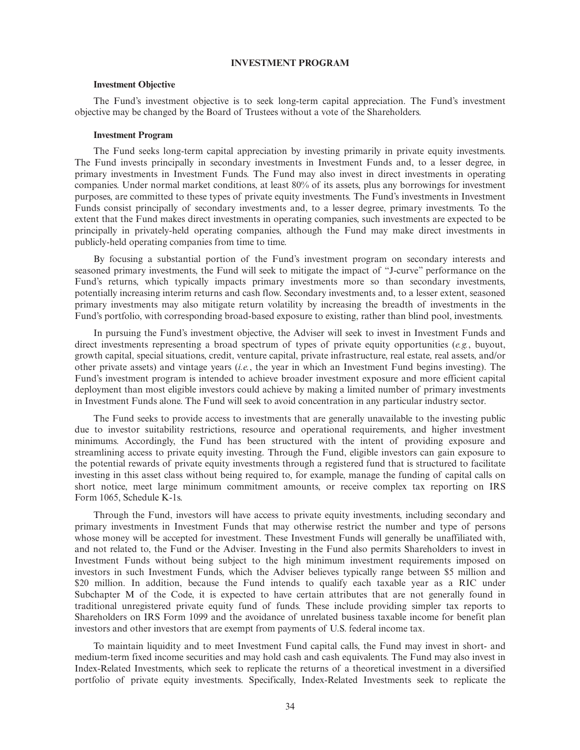# **INVESTMENT PROGRAM**

#### **Investment Objective**

The Fund's investment objective is to seek long-term capital appreciation. The Fund's investment objective may be changed by the Board of Trustees without a vote of the Shareholders.

## **Investment Program**

The Fund seeks long-term capital appreciation by investing primarily in private equity investments. The Fund invests principally in secondary investments in Investment Funds and, to a lesser degree, in primary investments in Investment Funds. The Fund may also invest in direct investments in operating companies. Under normal market conditions, at least 80% of its assets, plus any borrowings for investment purposes, are committed to these types of private equity investments. The Fund's investments in Investment Funds consist principally of secondary investments and, to a lesser degree, primary investments. To the extent that the Fund makes direct investments in operating companies, such investments are expected to be principally in privately-held operating companies, although the Fund may make direct investments in publicly-held operating companies from time to time.

By focusing a substantial portion of the Fund's investment program on secondary interests and seasoned primary investments, the Fund will seek to mitigate the impact of "J-curve" performance on the Fund's returns, which typically impacts primary investments more so than secondary investments, potentially increasing interim returns and cash flow. Secondary investments and, to a lesser extent, seasoned primary investments may also mitigate return volatility by increasing the breadth of investments in the Fund's portfolio, with corresponding broad-based exposure to existing, rather than blind pool, investments.

In pursuing the Fund's investment objective, the Adviser will seek to invest in Investment Funds and direct investments representing a broad spectrum of types of private equity opportunities (*e.g.*, buyout, growth capital, special situations, credit, venture capital, private infrastructure, real estate, real assets, and/or other private assets) and vintage years (*i.e.*, the year in which an Investment Fund begins investing). The Fund's investment program is intended to achieve broader investment exposure and more efficient capital deployment than most eligible investors could achieve by making a limited number of primary investments in Investment Funds alone. The Fund will seek to avoid concentration in any particular industry sector.

The Fund seeks to provide access to investments that are generally unavailable to the investing public due to investor suitability restrictions, resource and operational requirements, and higher investment minimums. Accordingly, the Fund has been structured with the intent of providing exposure and streamlining access to private equity investing. Through the Fund, eligible investors can gain exposure to the potential rewards of private equity investments through a registered fund that is structured to facilitate investing in this asset class without being required to, for example, manage the funding of capital calls on short notice, meet large minimum commitment amounts, or receive complex tax reporting on IRS Form 1065, Schedule K-1s.

Through the Fund, investors will have access to private equity investments, including secondary and primary investments in Investment Funds that may otherwise restrict the number and type of persons whose money will be accepted for investment. These Investment Funds will generally be unaffiliated with, and not related to, the Fund or the Adviser. Investing in the Fund also permits Shareholders to invest in Investment Funds without being subject to the high minimum investment requirements imposed on investors in such Investment Funds, which the Adviser believes typically range between \$5 million and \$20 million. In addition, because the Fund intends to qualify each taxable year as a RIC under Subchapter M of the Code, it is expected to have certain attributes that are not generally found in traditional unregistered private equity fund of funds. These include providing simpler tax reports to Shareholders on IRS Form 1099 and the avoidance of unrelated business taxable income for benefit plan investors and other investors that are exempt from payments of U.S. federal income tax.

To maintain liquidity and to meet Investment Fund capital calls, the Fund may invest in short- and medium-term fixed income securities and may hold cash and cash equivalents. The Fund may also invest in Index-Related Investments, which seek to replicate the returns of a theoretical investment in a diversified portfolio of private equity investments. Specifically, Index-Related Investments seek to replicate the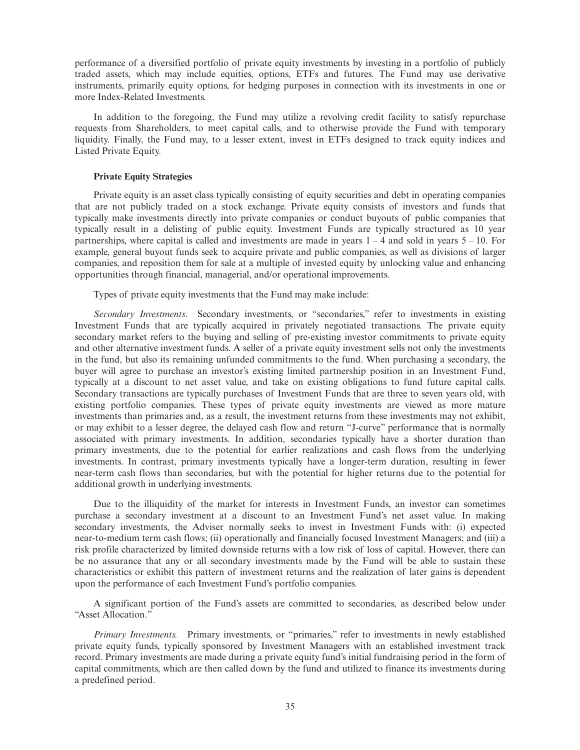performance of a diversified portfolio of private equity investments by investing in a portfolio of publicly traded assets, which may include equities, options, ETFs and futures. The Fund may use derivative instruments, primarily equity options, for hedging purposes in connection with its investments in one or more Index-Related Investments.

In addition to the foregoing, the Fund may utilize a revolving credit facility to satisfy repurchase requests from Shareholders, to meet capital calls, and to otherwise provide the Fund with temporary liquidity. Finally, the Fund may, to a lesser extent, invest in ETFs designed to track equity indices and Listed Private Equity.

# **Private Equity Strategies**

Private equity is an asset class typically consisting of equity securities and debt in operating companies that are not publicly traded on a stock exchange. Private equity consists of investors and funds that typically make investments directly into private companies or conduct buyouts of public companies that typically result in a delisting of public equity. Investment Funds are typically structured as 10 year partnerships, where capital is called and investments are made in years  $1 - 4$  and sold in years  $5 - 10$ . For example, general buyout funds seek to acquire private and public companies, as well as divisions of larger companies, and reposition them for sale at a multiple of invested equity by unlocking value and enhancing opportunities through financial, managerial, and/or operational improvements.

Types of private equity investments that the Fund may make include:

*Secondary Investments*. Secondary investments, or "secondaries," refer to investments in existing Investment Funds that are typically acquired in privately negotiated transactions. The private equity secondary market refers to the buying and selling of pre-existing investor commitments to private equity and other alternative investment funds. A seller of a private equity investment sells not only the investments in the fund, but also its remaining unfunded commitments to the fund. When purchasing a secondary, the buyer will agree to purchase an investor's existing limited partnership position in an Investment Fund, typically at a discount to net asset value, and take on existing obligations to fund future capital calls. Secondary transactions are typically purchases of Investment Funds that are three to seven years old, with existing portfolio companies. These types of private equity investments are viewed as more mature investments than primaries and, as a result, the investment returns from these investments may not exhibit, or may exhibit to a lesser degree, the delayed cash flow and return "J-curve" performance that is normally associated with primary investments. In addition, secondaries typically have a shorter duration than primary investments, due to the potential for earlier realizations and cash flows from the underlying investments. In contrast, primary investments typically have a longer-term duration, resulting in fewer near-term cash flows than secondaries, but with the potential for higher returns due to the potential for additional growth in underlying investments.

Due to the illiquidity of the market for interests in Investment Funds, an investor can sometimes purchase a secondary investment at a discount to an Investment Fund's net asset value. In making secondary investments, the Adviser normally seeks to invest in Investment Funds with: (i) expected near-to-medium term cash flows; (ii) operationally and financially focused Investment Managers; and (iii) a risk profile characterized by limited downside returns with a low risk of loss of capital. However, there can be no assurance that any or all secondary investments made by the Fund will be able to sustain these characteristics or exhibit this pattern of investment returns and the realization of later gains is dependent upon the performance of each Investment Fund's portfolio companies.

A significant portion of the Fund's assets are committed to secondaries, as described below under "Asset Allocation."

*Primary Investments.* Primary investments, or "primaries," refer to investments in newly established private equity funds, typically sponsored by Investment Managers with an established investment track record. Primary investments are made during a private equity fund's initial fundraising period in the form of capital commitments, which are then called down by the fund and utilized to finance its investments during a predefined period.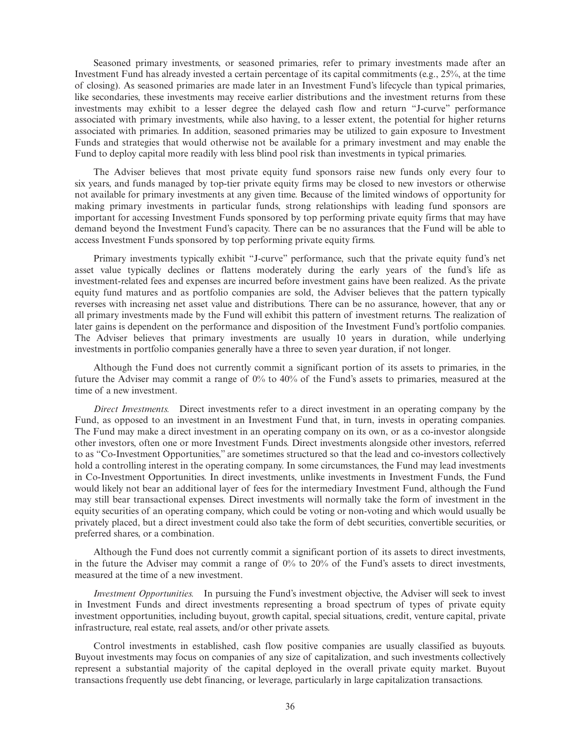Seasoned primary investments, or seasoned primaries, refer to primary investments made after an Investment Fund has already invested a certain percentage of its capital commitments (e.g., 25%, at the time of closing). As seasoned primaries are made later in an Investment Fund's lifecycle than typical primaries, like secondaries, these investments may receive earlier distributions and the investment returns from these investments may exhibit to a lesser degree the delayed cash flow and return "J-curve" performance associated with primary investments, while also having, to a lesser extent, the potential for higher returns associated with primaries. In addition, seasoned primaries may be utilized to gain exposure to Investment Funds and strategies that would otherwise not be available for a primary investment and may enable the Fund to deploy capital more readily with less blind pool risk than investments in typical primaries.

The Adviser believes that most private equity fund sponsors raise new funds only every four to six years, and funds managed by top-tier private equity firms may be closed to new investors or otherwise not available for primary investments at any given time. Because of the limited windows of opportunity for making primary investments in particular funds, strong relationships with leading fund sponsors are important for accessing Investment Funds sponsored by top performing private equity firms that may have demand beyond the Investment Fund's capacity. There can be no assurances that the Fund will be able to access Investment Funds sponsored by top performing private equity firms.

Primary investments typically exhibit "J-curve" performance, such that the private equity fund's net asset value typically declines or flattens moderately during the early years of the fund's life as investment-related fees and expenses are incurred before investment gains have been realized. As the private equity fund matures and as portfolio companies are sold, the Adviser believes that the pattern typically reverses with increasing net asset value and distributions. There can be no assurance, however, that any or all primary investments made by the Fund will exhibit this pattern of investment returns. The realization of later gains is dependent on the performance and disposition of the Investment Fund's portfolio companies. The Adviser believes that primary investments are usually 10 years in duration, while underlying investments in portfolio companies generally have a three to seven year duration, if not longer.

Although the Fund does not currently commit a significant portion of its assets to primaries, in the future the Adviser may commit a range of 0% to 40% of the Fund's assets to primaries, measured at the time of a new investment.

*Direct Investments.* Direct investments refer to a direct investment in an operating company by the Fund, as opposed to an investment in an Investment Fund that, in turn, invests in operating companies. The Fund may make a direct investment in an operating company on its own, or as a co-investor alongside other investors, often one or more Investment Funds. Direct investments alongside other investors, referred to as "Co-Investment Opportunities," are sometimes structured so that the lead and co-investors collectively hold a controlling interest in the operating company. In some circumstances, the Fund may lead investments in Co-Investment Opportunities. In direct investments, unlike investments in Investment Funds, the Fund would likely not bear an additional layer of fees for the intermediary Investment Fund, although the Fund may still bear transactional expenses. Direct investments will normally take the form of investment in the equity securities of an operating company, which could be voting or non-voting and which would usually be privately placed, but a direct investment could also take the form of debt securities, convertible securities, or preferred shares, or a combination.

Although the Fund does not currently commit a significant portion of its assets to direct investments, in the future the Adviser may commit a range of  $0\%$  to  $20\%$  of the Fund's assets to direct investments, measured at the time of a new investment.

*Investment Opportunities.* In pursuing the Fund's investment objective, the Adviser will seek to invest in Investment Funds and direct investments representing a broad spectrum of types of private equity investment opportunities, including buyout, growth capital, special situations, credit, venture capital, private infrastructure, real estate, real assets, and/or other private assets.

Control investments in established, cash flow positive companies are usually classified as buyouts. Buyout investments may focus on companies of any size of capitalization, and such investments collectively represent a substantial majority of the capital deployed in the overall private equity market. Buyout transactions frequently use debt financing, or leverage, particularly in large capitalization transactions.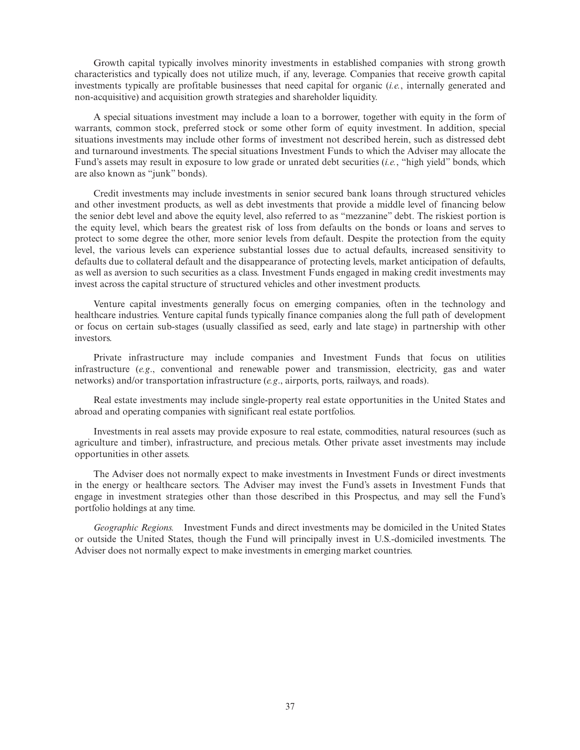Growth capital typically involves minority investments in established companies with strong growth characteristics and typically does not utilize much, if any, leverage. Companies that receive growth capital investments typically are profitable businesses that need capital for organic (*i.e.*, internally generated and non-acquisitive) and acquisition growth strategies and shareholder liquidity.

A special situations investment may include a loan to a borrower, together with equity in the form of warrants, common stock, preferred stock or some other form of equity investment. In addition, special situations investments may include other forms of investment not described herein, such as distressed debt and turnaround investments. The special situations Investment Funds to which the Adviser may allocate the Fund's assets may result in exposure to low grade or unrated debt securities (*i.e.*, "high yield" bonds, which are also known as "junk" bonds).

Credit investments may include investments in senior secured bank loans through structured vehicles and other investment products, as well as debt investments that provide a middle level of financing below the senior debt level and above the equity level, also referred to as "mezzanine" debt. The riskiest portion is the equity level, which bears the greatest risk of loss from defaults on the bonds or loans and serves to protect to some degree the other, more senior levels from default. Despite the protection from the equity level, the various levels can experience substantial losses due to actual defaults, increased sensitivity to defaults due to collateral default and the disappearance of protecting levels, market anticipation of defaults, as well as aversion to such securities as a class. Investment Funds engaged in making credit investments may invest across the capital structure of structured vehicles and other investment products.

Venture capital investments generally focus on emerging companies, often in the technology and healthcare industries. Venture capital funds typically finance companies along the full path of development or focus on certain sub-stages (usually classified as seed, early and late stage) in partnership with other investors.

Private infrastructure may include companies and Investment Funds that focus on utilities infrastructure (*e.g*., conventional and renewable power and transmission, electricity, gas and water networks) and/or transportation infrastructure (*e.g*., airports, ports, railways, and roads).

Real estate investments may include single-property real estate opportunities in the United States and abroad and operating companies with significant real estate portfolios.

Investments in real assets may provide exposure to real estate, commodities, natural resources (such as agriculture and timber), infrastructure, and precious metals. Other private asset investments may include opportunities in other assets.

The Adviser does not normally expect to make investments in Investment Funds or direct investments in the energy or healthcare sectors. The Adviser may invest the Fund's assets in Investment Funds that engage in investment strategies other than those described in this Prospectus, and may sell the Fund's portfolio holdings at any time.

*Geographic Regions.* Investment Funds and direct investments may be domiciled in the United States or outside the United States, though the Fund will principally invest in U.S.-domiciled investments. The Adviser does not normally expect to make investments in emerging market countries.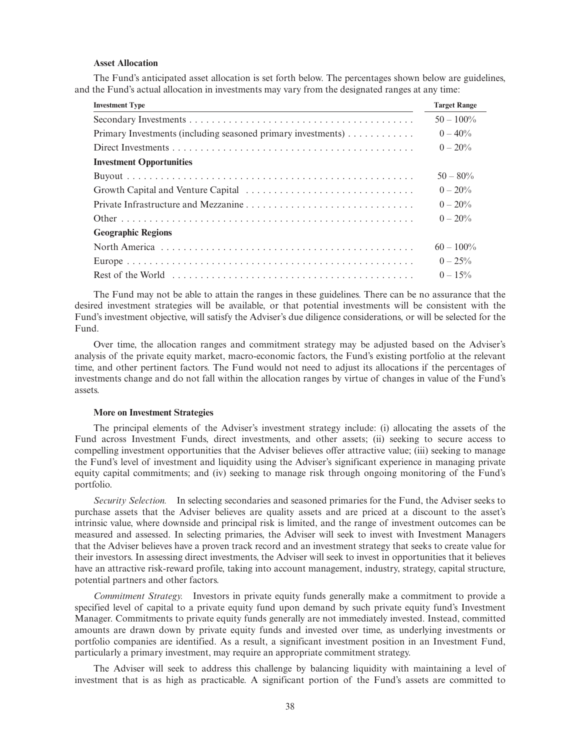### **Asset Allocation**

The Fund's anticipated asset allocation is set forth below. The percentages shown below are guidelines, and the Fund's actual allocation in investments may vary from the designated ranges at any time:

| <b>Investment Type</b>                                       | <b>Target Range</b> |
|--------------------------------------------------------------|---------------------|
|                                                              | $50 - 100\%$        |
| Primary Investments (including seasoned primary investments) | $0 - 40\%$          |
|                                                              | $0 - 20\%$          |
| <b>Investment Opportunities</b>                              |                     |
|                                                              | $50 - 80\%$         |
|                                                              | $0 - 20\%$          |
|                                                              | $0 - 20\%$          |
|                                                              | $0 - 20\%$          |
| <b>Geographic Regions</b>                                    |                     |
|                                                              | $60 - 100\%$        |
|                                                              | $0 - 25\%$          |
|                                                              | $0 - 15\%$          |

The Fund may not be able to attain the ranges in these guidelines. There can be no assurance that the desired investment strategies will be available, or that potential investments will be consistent with the Fund's investment objective, will satisfy the Adviser's due diligence considerations, or will be selected for the Fund.

Over time, the allocation ranges and commitment strategy may be adjusted based on the Adviser's analysis of the private equity market, macro-economic factors, the Fund's existing portfolio at the relevant time, and other pertinent factors. The Fund would not need to adjust its allocations if the percentages of investments change and do not fall within the allocation ranges by virtue of changes in value of the Fund's assets.

#### **More on Investment Strategies**

The principal elements of the Adviser's investment strategy include: (i) allocating the assets of the Fund across Investment Funds, direct investments, and other assets; (ii) seeking to secure access to compelling investment opportunities that the Adviser believes offer attractive value; (iii) seeking to manage the Fund's level of investment and liquidity using the Adviser's significant experience in managing private equity capital commitments; and (iv) seeking to manage risk through ongoing monitoring of the Fund's portfolio.

*Security Selection.* In selecting secondaries and seasoned primaries for the Fund, the Adviser seeks to purchase assets that the Adviser believes are quality assets and are priced at a discount to the asset's intrinsic value, where downside and principal risk is limited, and the range of investment outcomes can be measured and assessed. In selecting primaries, the Adviser will seek to invest with Investment Managers that the Adviser believes have a proven track record and an investment strategy that seeks to create value for their investors. In assessing direct investments, the Adviser will seek to invest in opportunities that it believes have an attractive risk-reward profile, taking into account management, industry, strategy, capital structure, potential partners and other factors.

*Commitment Strategy.* Investors in private equity funds generally make a commitment to provide a specified level of capital to a private equity fund upon demand by such private equity fund's Investment Manager. Commitments to private equity funds generally are not immediately invested. Instead, committed amounts are drawn down by private equity funds and invested over time, as underlying investments or portfolio companies are identified. As a result, a significant investment position in an Investment Fund, particularly a primary investment, may require an appropriate commitment strategy.

The Adviser will seek to address this challenge by balancing liquidity with maintaining a level of investment that is as high as practicable. A significant portion of the Fund's assets are committed to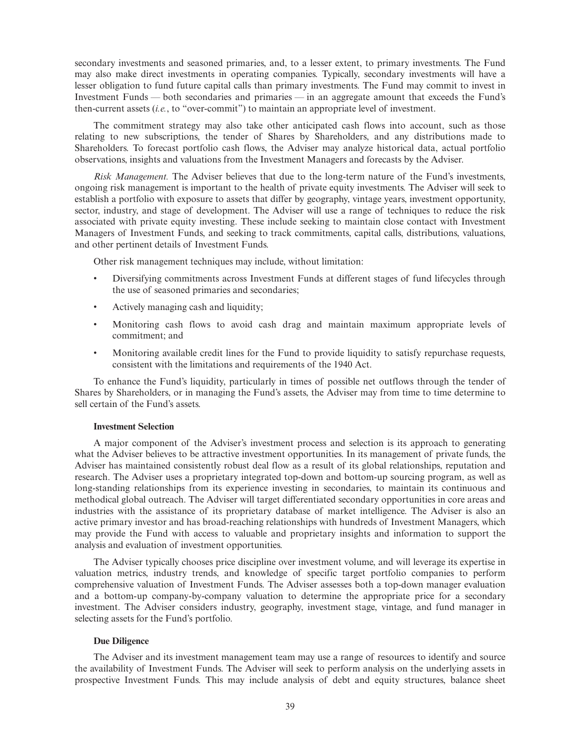secondary investments and seasoned primaries, and, to a lesser extent, to primary investments. The Fund may also make direct investments in operating companies. Typically, secondary investments will have a lesser obligation to fund future capital calls than primary investments. The Fund may commit to invest in Investment Funds — both secondaries and primaries — in an aggregate amount that exceeds the Fund's then-current assets (*i.e.*, to "over-commit") to maintain an appropriate level of investment.

The commitment strategy may also take other anticipated cash flows into account, such as those relating to new subscriptions, the tender of Shares by Shareholders, and any distributions made to Shareholders. To forecast portfolio cash flows, the Adviser may analyze historical data, actual portfolio observations, insights and valuations from the Investment Managers and forecasts by the Adviser.

*Risk Management.* The Adviser believes that due to the long-term nature of the Fund's investments, ongoing risk management is important to the health of private equity investments. The Adviser will seek to establish a portfolio with exposure to assets that differ by geography, vintage years, investment opportunity, sector, industry, and stage of development. The Adviser will use a range of techniques to reduce the risk associated with private equity investing. These include seeking to maintain close contact with Investment Managers of Investment Funds, and seeking to track commitments, capital calls, distributions, valuations, and other pertinent details of Investment Funds.

Other risk management techniques may include, without limitation:

- Diversifying commitments across Investment Funds at different stages of fund lifecycles through the use of seasoned primaries and secondaries;
- Actively managing cash and liquidity;
- Monitoring cash flows to avoid cash drag and maintain maximum appropriate levels of commitment; and
- Monitoring available credit lines for the Fund to provide liquidity to satisfy repurchase requests, consistent with the limitations and requirements of the 1940 Act.

To enhance the Fund's liquidity, particularly in times of possible net outflows through the tender of Shares by Shareholders, or in managing the Fund's assets, the Adviser may from time to time determine to sell certain of the Fund's assets.

### **Investment Selection**

A major component of the Adviser's investment process and selection is its approach to generating what the Adviser believes to be attractive investment opportunities. In its management of private funds, the Adviser has maintained consistently robust deal flow as a result of its global relationships, reputation and research. The Adviser uses a proprietary integrated top-down and bottom-up sourcing program, as well as long-standing relationships from its experience investing in secondaries, to maintain its continuous and methodical global outreach. The Adviser will target differentiated secondary opportunities in core areas and industries with the assistance of its proprietary database of market intelligence. The Adviser is also an active primary investor and has broad-reaching relationships with hundreds of Investment Managers, which may provide the Fund with access to valuable and proprietary insights and information to support the analysis and evaluation of investment opportunities.

The Adviser typically chooses price discipline over investment volume, and will leverage its expertise in valuation metrics, industry trends, and knowledge of specific target portfolio companies to perform comprehensive valuation of Investment Funds. The Adviser assesses both a top-down manager evaluation and a bottom-up company-by-company valuation to determine the appropriate price for a secondary investment. The Adviser considers industry, geography, investment stage, vintage, and fund manager in selecting assets for the Fund's portfolio.

### **Due Diligence**

The Adviser and its investment management team may use a range of resources to identify and source the availability of Investment Funds. The Adviser will seek to perform analysis on the underlying assets in prospective Investment Funds. This may include analysis of debt and equity structures, balance sheet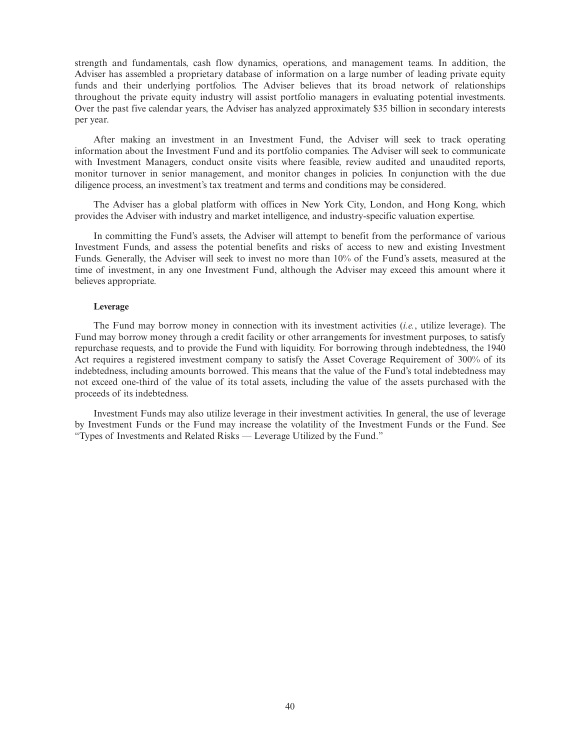strength and fundamentals, cash flow dynamics, operations, and management teams. In addition, the Adviser has assembled a proprietary database of information on a large number of leading private equity funds and their underlying portfolios. The Adviser believes that its broad network of relationships throughout the private equity industry will assist portfolio managers in evaluating potential investments. Over the past five calendar years, the Adviser has analyzed approximately \$35 billion in secondary interests per year.

After making an investment in an Investment Fund, the Adviser will seek to track operating information about the Investment Fund and its portfolio companies. The Adviser will seek to communicate with Investment Managers, conduct onsite visits where feasible, review audited and unaudited reports, monitor turnover in senior management, and monitor changes in policies. In conjunction with the due diligence process, an investment's tax treatment and terms and conditions may be considered.

The Adviser has a global platform with offices in New York City, London, and Hong Kong, which provides the Adviser with industry and market intelligence, and industry-specific valuation expertise.

In committing the Fund's assets, the Adviser will attempt to benefit from the performance of various Investment Funds, and assess the potential benefits and risks of access to new and existing Investment Funds. Generally, the Adviser will seek to invest no more than 10% of the Fund's assets, measured at the time of investment, in any one Investment Fund, although the Adviser may exceed this amount where it believes appropriate.

### **Leverage**

The Fund may borrow money in connection with its investment activities (*i.e.*, utilize leverage). The Fund may borrow money through a credit facility or other arrangements for investment purposes, to satisfy repurchase requests, and to provide the Fund with liquidity. For borrowing through indebtedness, the 1940 Act requires a registered investment company to satisfy the Asset Coverage Requirement of 300% of its indebtedness, including amounts borrowed. This means that the value of the Fund's total indebtedness may not exceed one-third of the value of its total assets, including the value of the assets purchased with the proceeds of its indebtedness.

Investment Funds may also utilize leverage in their investment activities. In general, the use of leverage by Investment Funds or the Fund may increase the volatility of the Investment Funds or the Fund. See "Types of Investments and Related Risks — Leverage Utilized by the Fund."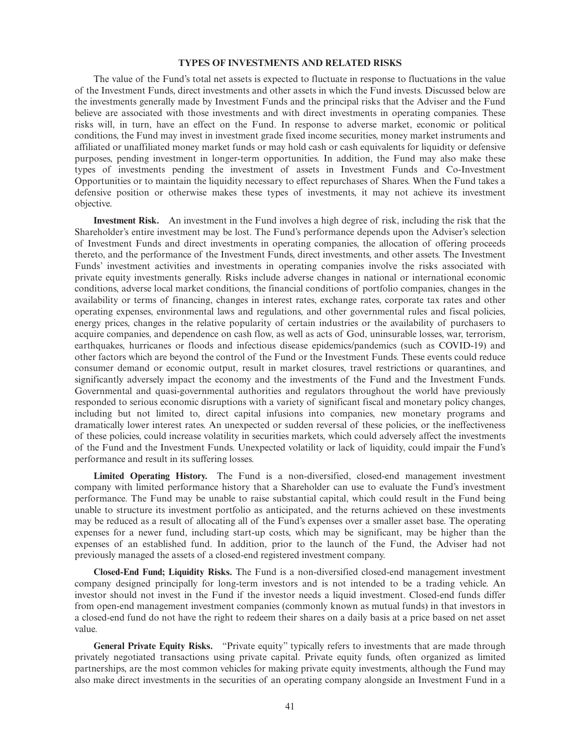### **TYPES OF INVESTMENTS AND RELATED RISKS**

The value of the Fund's total net assets is expected to fluctuate in response to fluctuations in the value of the Investment Funds, direct investments and other assets in which the Fund invests. Discussed below are the investments generally made by Investment Funds and the principal risks that the Adviser and the Fund believe are associated with those investments and with direct investments in operating companies. These risks will, in turn, have an effect on the Fund. In response to adverse market, economic or political conditions, the Fund may invest in investment grade fixed income securities, money market instruments and affiliated or unaffiliated money market funds or may hold cash or cash equivalents for liquidity or defensive purposes, pending investment in longer-term opportunities. In addition, the Fund may also make these types of investments pending the investment of assets in Investment Funds and Co-Investment Opportunities or to maintain the liquidity necessary to effect repurchases of Shares. When the Fund takes a defensive position or otherwise makes these types of investments, it may not achieve its investment objective.

**Investment Risk.** An investment in the Fund involves a high degree of risk, including the risk that the Shareholder's entire investment may be lost. The Fund's performance depends upon the Adviser's selection of Investment Funds and direct investments in operating companies, the allocation of offering proceeds thereto, and the performance of the Investment Funds, direct investments, and other assets. The Investment Funds' investment activities and investments in operating companies involve the risks associated with private equity investments generally. Risks include adverse changes in national or international economic conditions, adverse local market conditions, the financial conditions of portfolio companies, changes in the availability or terms of financing, changes in interest rates, exchange rates, corporate tax rates and other operating expenses, environmental laws and regulations, and other governmental rules and fiscal policies, energy prices, changes in the relative popularity of certain industries or the availability of purchasers to acquire companies, and dependence on cash flow, as well as acts of God, uninsurable losses, war, terrorism, earthquakes, hurricanes or floods and infectious disease epidemics/pandemics (such as COVID-19) and other factors which are beyond the control of the Fund or the Investment Funds. These events could reduce consumer demand or economic output, result in market closures, travel restrictions or quarantines, and significantly adversely impact the economy and the investments of the Fund and the Investment Funds. Governmental and quasi-governmental authorities and regulators throughout the world have previously responded to serious economic disruptions with a variety of significant fiscal and monetary policy changes, including but not limited to, direct capital infusions into companies, new monetary programs and dramatically lower interest rates. An unexpected or sudden reversal of these policies, or the ineffectiveness of these policies, could increase volatility in securities markets, which could adversely affect the investments of the Fund and the Investment Funds. Unexpected volatility or lack of liquidity, could impair the Fund's performance and result in its suffering losses.

**Limited Operating History.** The Fund is a non-diversified, closed-end management investment company with limited performance history that a Shareholder can use to evaluate the Fund's investment performance. The Fund may be unable to raise substantial capital, which could result in the Fund being unable to structure its investment portfolio as anticipated, and the returns achieved on these investments may be reduced as a result of allocating all of the Fund's expenses over a smaller asset base. The operating expenses for a newer fund, including start-up costs, which may be significant, may be higher than the expenses of an established fund. In addition, prior to the launch of the Fund, the Adviser had not previously managed the assets of a closed-end registered investment company.

**Closed-End Fund; Liquidity Risks.** The Fund is a non-diversified closed-end management investment company designed principally for long-term investors and is not intended to be a trading vehicle. An investor should not invest in the Fund if the investor needs a liquid investment. Closed-end funds differ from open-end management investment companies (commonly known as mutual funds) in that investors in a closed-end fund do not have the right to redeem their shares on a daily basis at a price based on net asset value.

**General Private Equity Risks.** "Private equity" typically refers to investments that are made through privately negotiated transactions using private capital. Private equity funds, often organized as limited partnerships, are the most common vehicles for making private equity investments, although the Fund may also make direct investments in the securities of an operating company alongside an Investment Fund in a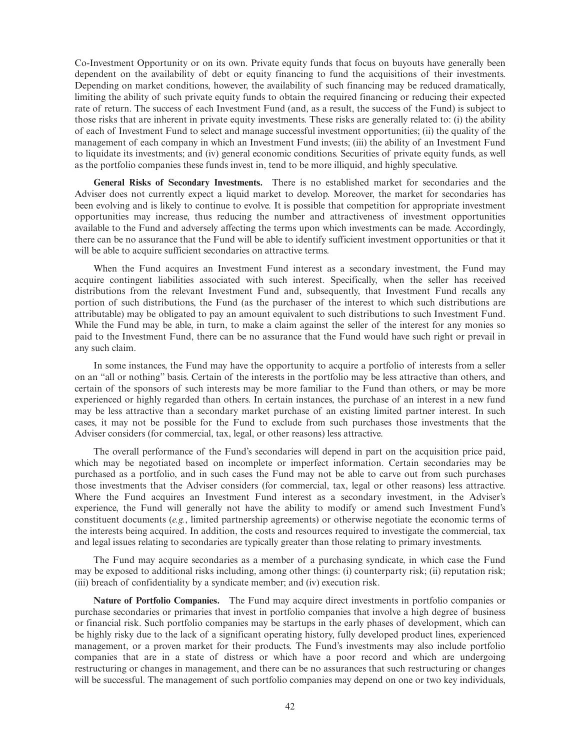Co-Investment Opportunity or on its own. Private equity funds that focus on buyouts have generally been dependent on the availability of debt or equity financing to fund the acquisitions of their investments. Depending on market conditions, however, the availability of such financing may be reduced dramatically, limiting the ability of such private equity funds to obtain the required financing or reducing their expected rate of return. The success of each Investment Fund (and, as a result, the success of the Fund) is subject to those risks that are inherent in private equity investments. These risks are generally related to: (i) the ability of each of Investment Fund to select and manage successful investment opportunities; (ii) the quality of the management of each company in which an Investment Fund invests; (iii) the ability of an Investment Fund to liquidate its investments; and (iv) general economic conditions. Securities of private equity funds, as well as the portfolio companies these funds invest in, tend to be more illiquid, and highly speculative.

**General Risks of Secondary Investments.** There is no established market for secondaries and the Adviser does not currently expect a liquid market to develop. Moreover, the market for secondaries has been evolving and is likely to continue to evolve. It is possible that competition for appropriate investment opportunities may increase, thus reducing the number and attractiveness of investment opportunities available to the Fund and adversely affecting the terms upon which investments can be made. Accordingly, there can be no assurance that the Fund will be able to identify sufficient investment opportunities or that it will be able to acquire sufficient secondaries on attractive terms.

When the Fund acquires an Investment Fund interest as a secondary investment, the Fund may acquire contingent liabilities associated with such interest. Specifically, when the seller has received distributions from the relevant Investment Fund and, subsequently, that Investment Fund recalls any portion of such distributions, the Fund (as the purchaser of the interest to which such distributions are attributable) may be obligated to pay an amount equivalent to such distributions to such Investment Fund. While the Fund may be able, in turn, to make a claim against the seller of the interest for any monies so paid to the Investment Fund, there can be no assurance that the Fund would have such right or prevail in any such claim.

In some instances, the Fund may have the opportunity to acquire a portfolio of interests from a seller on an "all or nothing" basis. Certain of the interests in the portfolio may be less attractive than others, and certain of the sponsors of such interests may be more familiar to the Fund than others, or may be more experienced or highly regarded than others. In certain instances, the purchase of an interest in a new fund may be less attractive than a secondary market purchase of an existing limited partner interest. In such cases, it may not be possible for the Fund to exclude from such purchases those investments that the Adviser considers (for commercial, tax, legal, or other reasons) less attractive.

The overall performance of the Fund's secondaries will depend in part on the acquisition price paid, which may be negotiated based on incomplete or imperfect information. Certain secondaries may be purchased as a portfolio, and in such cases the Fund may not be able to carve out from such purchases those investments that the Adviser considers (for commercial, tax, legal or other reasons) less attractive. Where the Fund acquires an Investment Fund interest as a secondary investment, in the Adviser's experience, the Fund will generally not have the ability to modify or amend such Investment Fund's constituent documents (*e.g.*, limited partnership agreements) or otherwise negotiate the economic terms of the interests being acquired. In addition, the costs and resources required to investigate the commercial, tax and legal issues relating to secondaries are typically greater than those relating to primary investments.

The Fund may acquire secondaries as a member of a purchasing syndicate, in which case the Fund may be exposed to additional risks including, among other things: (i) counterparty risk; (ii) reputation risk; (iii) breach of confidentiality by a syndicate member; and (iv) execution risk.

**Nature of Portfolio Companies.** The Fund may acquire direct investments in portfolio companies or purchase secondaries or primaries that invest in portfolio companies that involve a high degree of business or financial risk. Such portfolio companies may be startups in the early phases of development, which can be highly risky due to the lack of a significant operating history, fully developed product lines, experienced management, or a proven market for their products. The Fund's investments may also include portfolio companies that are in a state of distress or which have a poor record and which are undergoing restructuring or changes in management, and there can be no assurances that such restructuring or changes will be successful. The management of such portfolio companies may depend on one or two key individuals,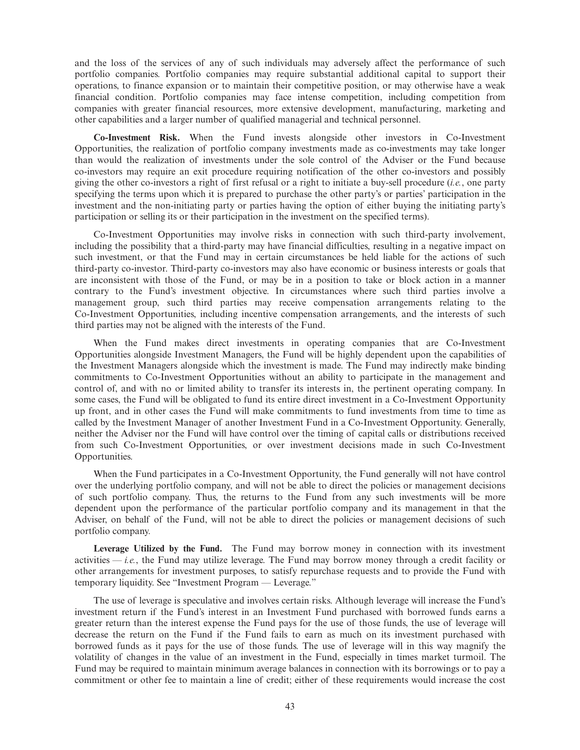and the loss of the services of any of such individuals may adversely affect the performance of such portfolio companies. Portfolio companies may require substantial additional capital to support their operations, to finance expansion or to maintain their competitive position, or may otherwise have a weak financial condition. Portfolio companies may face intense competition, including competition from companies with greater financial resources, more extensive development, manufacturing, marketing and other capabilities and a larger number of qualified managerial and technical personnel.

**Co-Investment Risk.** When the Fund invests alongside other investors in Co-Investment Opportunities, the realization of portfolio company investments made as co-investments may take longer than would the realization of investments under the sole control of the Adviser or the Fund because co-investors may require an exit procedure requiring notification of the other co-investors and possibly giving the other co-investors a right of first refusal or a right to initiate a buy-sell procedure (*i.e.*, one party specifying the terms upon which it is prepared to purchase the other party's or parties' participation in the investment and the non-initiating party or parties having the option of either buying the initiating party's participation or selling its or their participation in the investment on the specified terms).

Co-Investment Opportunities may involve risks in connection with such third-party involvement, including the possibility that a third-party may have financial difficulties, resulting in a negative impact on such investment, or that the Fund may in certain circumstances be held liable for the actions of such third-party co-investor. Third-party co-investors may also have economic or business interests or goals that are inconsistent with those of the Fund, or may be in a position to take or block action in a manner contrary to the Fund's investment objective. In circumstances where such third parties involve a management group, such third parties may receive compensation arrangements relating to the Co-Investment Opportunities, including incentive compensation arrangements, and the interests of such third parties may not be aligned with the interests of the Fund.

When the Fund makes direct investments in operating companies that are Co-Investment Opportunities alongside Investment Managers, the Fund will be highly dependent upon the capabilities of the Investment Managers alongside which the investment is made. The Fund may indirectly make binding commitments to Co-Investment Opportunities without an ability to participate in the management and control of, and with no or limited ability to transfer its interests in, the pertinent operating company. In some cases, the Fund will be obligated to fund its entire direct investment in a Co-Investment Opportunity up front, and in other cases the Fund will make commitments to fund investments from time to time as called by the Investment Manager of another Investment Fund in a Co-Investment Opportunity. Generally, neither the Adviser nor the Fund will have control over the timing of capital calls or distributions received from such Co-Investment Opportunities, or over investment decisions made in such Co-Investment Opportunities.

When the Fund participates in a Co-Investment Opportunity, the Fund generally will not have control over the underlying portfolio company, and will not be able to direct the policies or management decisions of such portfolio company. Thus, the returns to the Fund from any such investments will be more dependent upon the performance of the particular portfolio company and its management in that the Adviser, on behalf of the Fund, will not be able to direct the policies or management decisions of such portfolio company.

**Leverage Utilized by the Fund.** The Fund may borrow money in connection with its investment activities  $-i.e.$ , the Fund may utilize leverage. The Fund may borrow money through a credit facility or other arrangements for investment purposes, to satisfy repurchase requests and to provide the Fund with temporary liquidity. See "Investment Program — Leverage."

The use of leverage is speculative and involves certain risks. Although leverage will increase the Fund's investment return if the Fund's interest in an Investment Fund purchased with borrowed funds earns a greater return than the interest expense the Fund pays for the use of those funds, the use of leverage will decrease the return on the Fund if the Fund fails to earn as much on its investment purchased with borrowed funds as it pays for the use of those funds. The use of leverage will in this way magnify the volatility of changes in the value of an investment in the Fund, especially in times market turmoil. The Fund may be required to maintain minimum average balances in connection with its borrowings or to pay a commitment or other fee to maintain a line of credit; either of these requirements would increase the cost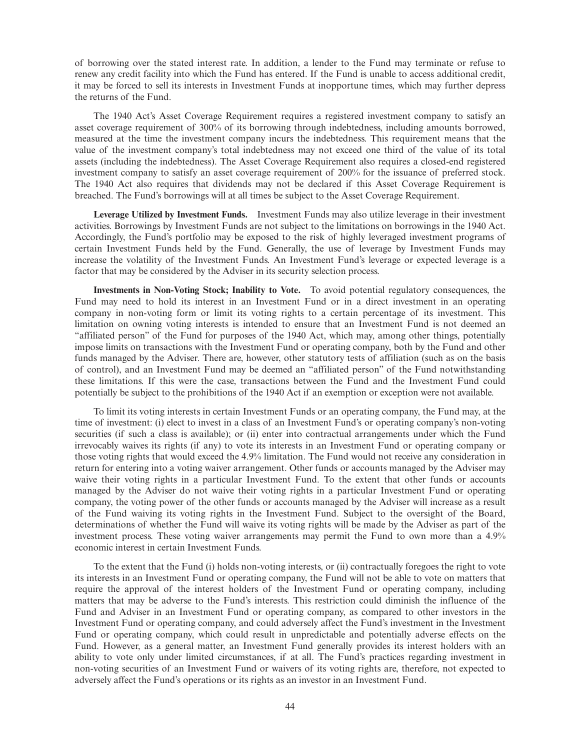of borrowing over the stated interest rate. In addition, a lender to the Fund may terminate or refuse to renew any credit facility into which the Fund has entered. If the Fund is unable to access additional credit, it may be forced to sell its interests in Investment Funds at inopportune times, which may further depress the returns of the Fund.

The 1940 Act's Asset Coverage Requirement requires a registered investment company to satisfy an asset coverage requirement of 300% of its borrowing through indebtedness, including amounts borrowed, measured at the time the investment company incurs the indebtedness. This requirement means that the value of the investment company's total indebtedness may not exceed one third of the value of its total assets (including the indebtedness). The Asset Coverage Requirement also requires a closed-end registered investment company to satisfy an asset coverage requirement of 200% for the issuance of preferred stock. The 1940 Act also requires that dividends may not be declared if this Asset Coverage Requirement is breached. The Fund's borrowings will at all times be subject to the Asset Coverage Requirement.

**Leverage Utilized by Investment Funds.** Investment Funds may also utilize leverage in their investment activities. Borrowings by Investment Funds are not subject to the limitations on borrowings in the 1940 Act. Accordingly, the Fund's portfolio may be exposed to the risk of highly leveraged investment programs of certain Investment Funds held by the Fund. Generally, the use of leverage by Investment Funds may increase the volatility of the Investment Funds. An Investment Fund's leverage or expected leverage is a factor that may be considered by the Adviser in its security selection process.

**Investments in Non-Voting Stock; Inability to Vote.** To avoid potential regulatory consequences, the Fund may need to hold its interest in an Investment Fund or in a direct investment in an operating company in non-voting form or limit its voting rights to a certain percentage of its investment. This limitation on owning voting interests is intended to ensure that an Investment Fund is not deemed an "affiliated person" of the Fund for purposes of the 1940 Act, which may, among other things, potentially impose limits on transactions with the Investment Fund or operating company, both by the Fund and other funds managed by the Adviser. There are, however, other statutory tests of affiliation (such as on the basis of control), and an Investment Fund may be deemed an "affiliated person" of the Fund notwithstanding these limitations. If this were the case, transactions between the Fund and the Investment Fund could potentially be subject to the prohibitions of the 1940 Act if an exemption or exception were not available.

To limit its voting interests in certain Investment Funds or an operating company, the Fund may, at the time of investment: (i) elect to invest in a class of an Investment Fund's or operating company's non-voting securities (if such a class is available); or (ii) enter into contractual arrangements under which the Fund irrevocably waives its rights (if any) to vote its interests in an Investment Fund or operating company or those voting rights that would exceed the 4.9% limitation. The Fund would not receive any consideration in return for entering into a voting waiver arrangement. Other funds or accounts managed by the Adviser may waive their voting rights in a particular Investment Fund. To the extent that other funds or accounts managed by the Adviser do not waive their voting rights in a particular Investment Fund or operating company, the voting power of the other funds or accounts managed by the Adviser will increase as a result of the Fund waiving its voting rights in the Investment Fund. Subject to the oversight of the Board, determinations of whether the Fund will waive its voting rights will be made by the Adviser as part of the investment process. These voting waiver arrangements may permit the Fund to own more than a 4.9% economic interest in certain Investment Funds.

To the extent that the Fund (i) holds non-voting interests, or (ii) contractually foregoes the right to vote its interests in an Investment Fund or operating company, the Fund will not be able to vote on matters that require the approval of the interest holders of the Investment Fund or operating company, including matters that may be adverse to the Fund's interests. This restriction could diminish the influence of the Fund and Adviser in an Investment Fund or operating company, as compared to other investors in the Investment Fund or operating company, and could adversely affect the Fund's investment in the Investment Fund or operating company, which could result in unpredictable and potentially adverse effects on the Fund. However, as a general matter, an Investment Fund generally provides its interest holders with an ability to vote only under limited circumstances, if at all. The Fund's practices regarding investment in non-voting securities of an Investment Fund or waivers of its voting rights are, therefore, not expected to adversely affect the Fund's operations or its rights as an investor in an Investment Fund.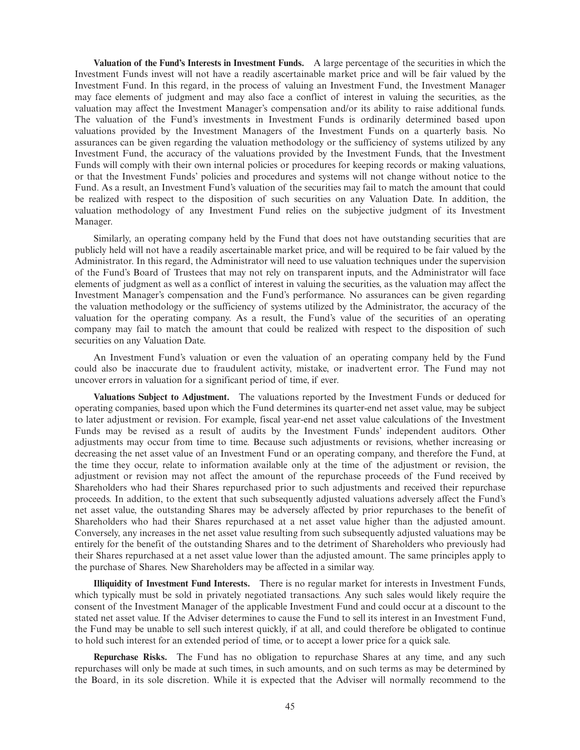**Valuation of the Fund's Interests in Investment Funds.** A large percentage of the securities in which the Investment Funds invest will not have a readily ascertainable market price and will be fair valued by the Investment Fund. In this regard, in the process of valuing an Investment Fund, the Investment Manager may face elements of judgment and may also face a conflict of interest in valuing the securities, as the valuation may affect the Investment Manager's compensation and/or its ability to raise additional funds. The valuation of the Fund's investments in Investment Funds is ordinarily determined based upon valuations provided by the Investment Managers of the Investment Funds on a quarterly basis. No assurances can be given regarding the valuation methodology or the sufficiency of systems utilized by any Investment Fund, the accuracy of the valuations provided by the Investment Funds, that the Investment Funds will comply with their own internal policies or procedures for keeping records or making valuations, or that the Investment Funds' policies and procedures and systems will not change without notice to the Fund. As a result, an Investment Fund's valuation of the securities may fail to match the amount that could be realized with respect to the disposition of such securities on any Valuation Date. In addition, the valuation methodology of any Investment Fund relies on the subjective judgment of its Investment Manager.

Similarly, an operating company held by the Fund that does not have outstanding securities that are publicly held will not have a readily ascertainable market price, and will be required to be fair valued by the Administrator. In this regard, the Administrator will need to use valuation techniques under the supervision of the Fund's Board of Trustees that may not rely on transparent inputs, and the Administrator will face elements of judgment as well as a conflict of interest in valuing the securities, as the valuation may affect the Investment Manager's compensation and the Fund's performance. No assurances can be given regarding the valuation methodology or the sufficiency of systems utilized by the Administrator, the accuracy of the valuation for the operating company. As a result, the Fund's value of the securities of an operating company may fail to match the amount that could be realized with respect to the disposition of such securities on any Valuation Date.

An Investment Fund's valuation or even the valuation of an operating company held by the Fund could also be inaccurate due to fraudulent activity, mistake, or inadvertent error. The Fund may not uncover errors in valuation for a significant period of time, if ever.

**Valuations Subject to Adjustment.** The valuations reported by the Investment Funds or deduced for operating companies, based upon which the Fund determines its quarter-end net asset value, may be subject to later adjustment or revision. For example, fiscal year-end net asset value calculations of the Investment Funds may be revised as a result of audits by the Investment Funds' independent auditors. Other adjustments may occur from time to time. Because such adjustments or revisions, whether increasing or decreasing the net asset value of an Investment Fund or an operating company, and therefore the Fund, at the time they occur, relate to information available only at the time of the adjustment or revision, the adjustment or revision may not affect the amount of the repurchase proceeds of the Fund received by Shareholders who had their Shares repurchased prior to such adjustments and received their repurchase proceeds. In addition, to the extent that such subsequently adjusted valuations adversely affect the Fund's net asset value, the outstanding Shares may be adversely affected by prior repurchases to the benefit of Shareholders who had their Shares repurchased at a net asset value higher than the adjusted amount. Conversely, any increases in the net asset value resulting from such subsequently adjusted valuations may be entirely for the benefit of the outstanding Shares and to the detriment of Shareholders who previously had their Shares repurchased at a net asset value lower than the adjusted amount. The same principles apply to the purchase of Shares. New Shareholders may be affected in a similar way.

**Illiquidity of Investment Fund Interests.** There is no regular market for interests in Investment Funds, which typically must be sold in privately negotiated transactions. Any such sales would likely require the consent of the Investment Manager of the applicable Investment Fund and could occur at a discount to the stated net asset value. If the Adviser determines to cause the Fund to sell its interest in an Investment Fund, the Fund may be unable to sell such interest quickly, if at all, and could therefore be obligated to continue to hold such interest for an extended period of time, or to accept a lower price for a quick sale.

**Repurchase Risks.** The Fund has no obligation to repurchase Shares at any time, and any such repurchases will only be made at such times, in such amounts, and on such terms as may be determined by the Board, in its sole discretion. While it is expected that the Adviser will normally recommend to the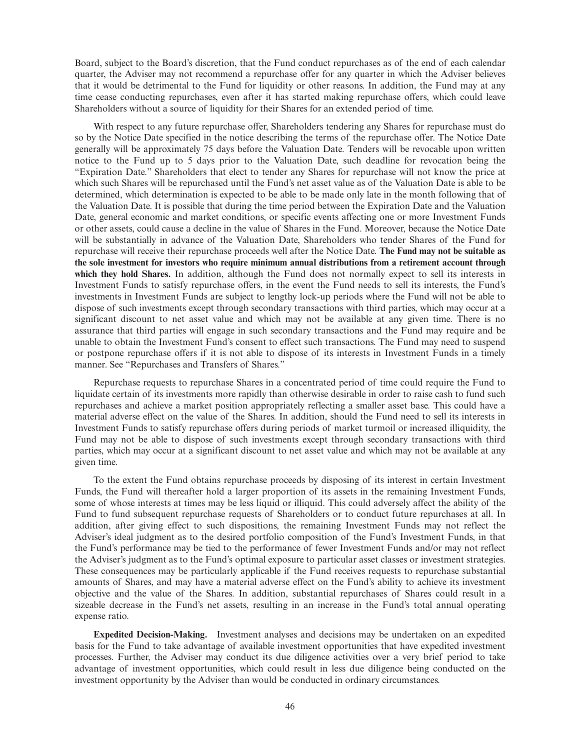Board, subject to the Board's discretion, that the Fund conduct repurchases as of the end of each calendar quarter, the Adviser may not recommend a repurchase offer for any quarter in which the Adviser believes that it would be detrimental to the Fund for liquidity or other reasons. In addition, the Fund may at any time cease conducting repurchases, even after it has started making repurchase offers, which could leave Shareholders without a source of liquidity for their Shares for an extended period of time.

With respect to any future repurchase offer, Shareholders tendering any Shares for repurchase must do so by the Notice Date specified in the notice describing the terms of the repurchase offer. The Notice Date generally will be approximately 75 days before the Valuation Date. Tenders will be revocable upon written notice to the Fund up to 5 days prior to the Valuation Date, such deadline for revocation being the "Expiration Date." Shareholders that elect to tender any Shares for repurchase will not know the price at which such Shares will be repurchased until the Fund's net asset value as of the Valuation Date is able to be determined, which determination is expected to be able to be made only late in the month following that of the Valuation Date. It is possible that during the time period between the Expiration Date and the Valuation Date, general economic and market conditions, or specific events affecting one or more Investment Funds or other assets, could cause a decline in the value of Shares in the Fund. Moreover, because the Notice Date will be substantially in advance of the Valuation Date, Shareholders who tender Shares of the Fund for repurchase will receive their repurchase proceeds well after the Notice Date. **The Fund may not be suitable as the sole investment for investors who require minimum annual distributions from a retirement account through which they hold Shares.** In addition, although the Fund does not normally expect to sell its interests in Investment Funds to satisfy repurchase offers, in the event the Fund needs to sell its interests, the Fund's investments in Investment Funds are subject to lengthy lock-up periods where the Fund will not be able to dispose of such investments except through secondary transactions with third parties, which may occur at a significant discount to net asset value and which may not be available at any given time. There is no assurance that third parties will engage in such secondary transactions and the Fund may require and be unable to obtain the Investment Fund's consent to effect such transactions. The Fund may need to suspend or postpone repurchase offers if it is not able to dispose of its interests in Investment Funds in a timely manner. See "Repurchases and Transfers of Shares."

Repurchase requests to repurchase Shares in a concentrated period of time could require the Fund to liquidate certain of its investments more rapidly than otherwise desirable in order to raise cash to fund such repurchases and achieve a market position appropriately reflecting a smaller asset base. This could have a material adverse effect on the value of the Shares. In addition, should the Fund need to sell its interests in Investment Funds to satisfy repurchase offers during periods of market turmoil or increased illiquidity, the Fund may not be able to dispose of such investments except through secondary transactions with third parties, which may occur at a significant discount to net asset value and which may not be available at any given time.

To the extent the Fund obtains repurchase proceeds by disposing of its interest in certain Investment Funds, the Fund will thereafter hold a larger proportion of its assets in the remaining Investment Funds, some of whose interests at times may be less liquid or illiquid. This could adversely affect the ability of the Fund to fund subsequent repurchase requests of Shareholders or to conduct future repurchases at all. In addition, after giving effect to such dispositions, the remaining Investment Funds may not reflect the Adviser's ideal judgment as to the desired portfolio composition of the Fund's Investment Funds, in that the Fund's performance may be tied to the performance of fewer Investment Funds and/or may not reflect the Adviser's judgment as to the Fund's optimal exposure to particular asset classes or investment strategies. These consequences may be particularly applicable if the Fund receives requests to repurchase substantial amounts of Shares, and may have a material adverse effect on the Fund's ability to achieve its investment objective and the value of the Shares. In addition, substantial repurchases of Shares could result in a sizeable decrease in the Fund's net assets, resulting in an increase in the Fund's total annual operating expense ratio.

**Expedited Decision-Making.** Investment analyses and decisions may be undertaken on an expedited basis for the Fund to take advantage of available investment opportunities that have expedited investment processes. Further, the Adviser may conduct its due diligence activities over a very brief period to take advantage of investment opportunities, which could result in less due diligence being conducted on the investment opportunity by the Adviser than would be conducted in ordinary circumstances.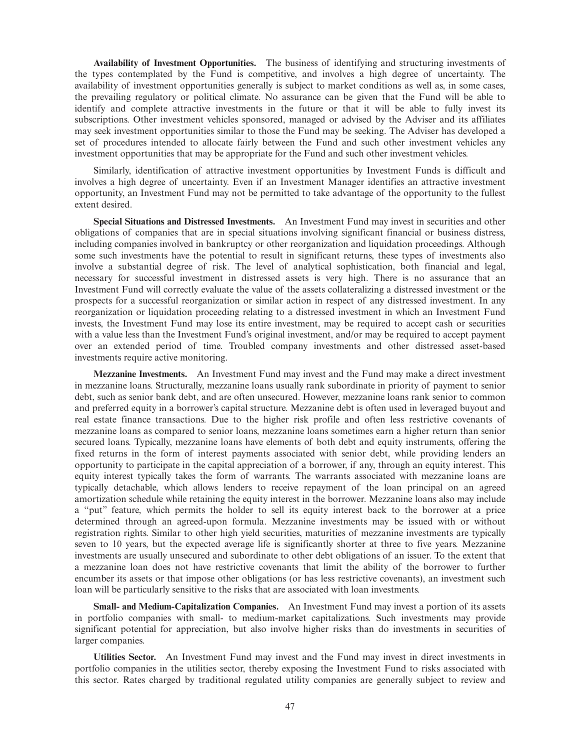**Availability of Investment Opportunities.** The business of identifying and structuring investments of the types contemplated by the Fund is competitive, and involves a high degree of uncertainty. The availability of investment opportunities generally is subject to market conditions as well as, in some cases, the prevailing regulatory or political climate. No assurance can be given that the Fund will be able to identify and complete attractive investments in the future or that it will be able to fully invest its subscriptions. Other investment vehicles sponsored, managed or advised by the Adviser and its affiliates may seek investment opportunities similar to those the Fund may be seeking. The Adviser has developed a set of procedures intended to allocate fairly between the Fund and such other investment vehicles any investment opportunities that may be appropriate for the Fund and such other investment vehicles.

Similarly, identification of attractive investment opportunities by Investment Funds is difficult and involves a high degree of uncertainty. Even if an Investment Manager identifies an attractive investment opportunity, an Investment Fund may not be permitted to take advantage of the opportunity to the fullest extent desired.

**Special Situations and Distressed Investments.** An Investment Fund may invest in securities and other obligations of companies that are in special situations involving significant financial or business distress, including companies involved in bankruptcy or other reorganization and liquidation proceedings. Although some such investments have the potential to result in significant returns, these types of investments also involve a substantial degree of risk. The level of analytical sophistication, both financial and legal, necessary for successful investment in distressed assets is very high. There is no assurance that an Investment Fund will correctly evaluate the value of the assets collateralizing a distressed investment or the prospects for a successful reorganization or similar action in respect of any distressed investment. In any reorganization or liquidation proceeding relating to a distressed investment in which an Investment Fund invests, the Investment Fund may lose its entire investment, may be required to accept cash or securities with a value less than the Investment Fund's original investment, and/or may be required to accept payment over an extended period of time. Troubled company investments and other distressed asset-based investments require active monitoring.

**Mezzanine Investments.** An Investment Fund may invest and the Fund may make a direct investment in mezzanine loans. Structurally, mezzanine loans usually rank subordinate in priority of payment to senior debt, such as senior bank debt, and are often unsecured. However, mezzanine loans rank senior to common and preferred equity in a borrower's capital structure. Mezzanine debt is often used in leveraged buyout and real estate finance transactions. Due to the higher risk profile and often less restrictive covenants of mezzanine loans as compared to senior loans, mezzanine loans sometimes earn a higher return than senior secured loans. Typically, mezzanine loans have elements of both debt and equity instruments, offering the fixed returns in the form of interest payments associated with senior debt, while providing lenders an opportunity to participate in the capital appreciation of a borrower, if any, through an equity interest. This equity interest typically takes the form of warrants. The warrants associated with mezzanine loans are typically detachable, which allows lenders to receive repayment of the loan principal on an agreed amortization schedule while retaining the equity interest in the borrower. Mezzanine loans also may include a "put" feature, which permits the holder to sell its equity interest back to the borrower at a price determined through an agreed-upon formula. Mezzanine investments may be issued with or without registration rights. Similar to other high yield securities, maturities of mezzanine investments are typically seven to 10 years, but the expected average life is significantly shorter at three to five years. Mezzanine investments are usually unsecured and subordinate to other debt obligations of an issuer. To the extent that a mezzanine loan does not have restrictive covenants that limit the ability of the borrower to further encumber its assets or that impose other obligations (or has less restrictive covenants), an investment such loan will be particularly sensitive to the risks that are associated with loan investments.

**Small- and Medium-Capitalization Companies.** An Investment Fund may invest a portion of its assets in portfolio companies with small- to medium-market capitalizations. Such investments may provide significant potential for appreciation, but also involve higher risks than do investments in securities of larger companies.

**Utilities Sector.** An Investment Fund may invest and the Fund may invest in direct investments in portfolio companies in the utilities sector, thereby exposing the Investment Fund to risks associated with this sector. Rates charged by traditional regulated utility companies are generally subject to review and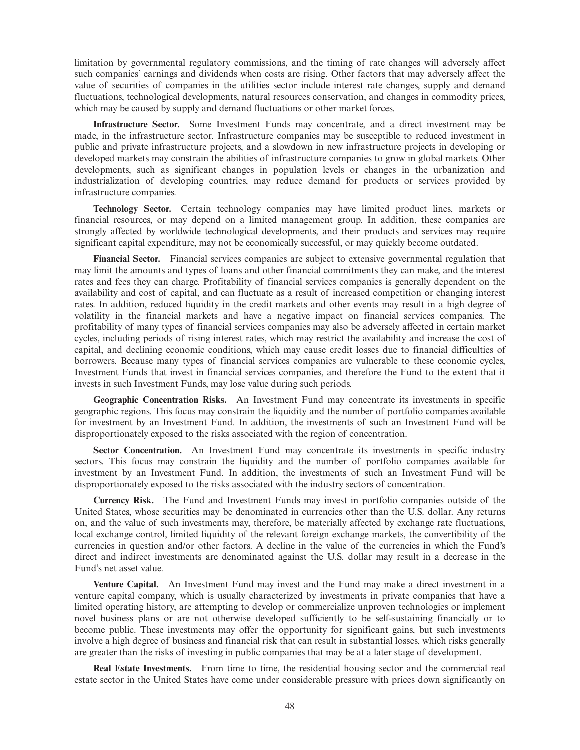limitation by governmental regulatory commissions, and the timing of rate changes will adversely affect such companies' earnings and dividends when costs are rising. Other factors that may adversely affect the value of securities of companies in the utilities sector include interest rate changes, supply and demand fluctuations, technological developments, natural resources conservation, and changes in commodity prices, which may be caused by supply and demand fluctuations or other market forces.

**Infrastructure Sector.** Some Investment Funds may concentrate, and a direct investment may be made, in the infrastructure sector. Infrastructure companies may be susceptible to reduced investment in public and private infrastructure projects, and a slowdown in new infrastructure projects in developing or developed markets may constrain the abilities of infrastructure companies to grow in global markets. Other developments, such as significant changes in population levels or changes in the urbanization and industrialization of developing countries, may reduce demand for products or services provided by infrastructure companies.

**Technology Sector.** Certain technology companies may have limited product lines, markets or financial resources, or may depend on a limited management group. In addition, these companies are strongly affected by worldwide technological developments, and their products and services may require significant capital expenditure, may not be economically successful, or may quickly become outdated.

**Financial Sector.** Financial services companies are subject to extensive governmental regulation that may limit the amounts and types of loans and other financial commitments they can make, and the interest rates and fees they can charge. Profitability of financial services companies is generally dependent on the availability and cost of capital, and can fluctuate as a result of increased competition or changing interest rates. In addition, reduced liquidity in the credit markets and other events may result in a high degree of volatility in the financial markets and have a negative impact on financial services companies. The profitability of many types of financial services companies may also be adversely affected in certain market cycles, including periods of rising interest rates, which may restrict the availability and increase the cost of capital, and declining economic conditions, which may cause credit losses due to financial difficulties of borrowers. Because many types of financial services companies are vulnerable to these economic cycles, Investment Funds that invest in financial services companies, and therefore the Fund to the extent that it invests in such Investment Funds, may lose value during such periods.

**Geographic Concentration Risks.** An Investment Fund may concentrate its investments in specific geographic regions. This focus may constrain the liquidity and the number of portfolio companies available for investment by an Investment Fund. In addition, the investments of such an Investment Fund will be disproportionately exposed to the risks associated with the region of concentration.

**Sector Concentration.** An Investment Fund may concentrate its investments in specific industry sectors. This focus may constrain the liquidity and the number of portfolio companies available for investment by an Investment Fund. In addition, the investments of such an Investment Fund will be disproportionately exposed to the risks associated with the industry sectors of concentration.

**Currency Risk.** The Fund and Investment Funds may invest in portfolio companies outside of the United States, whose securities may be denominated in currencies other than the U.S. dollar. Any returns on, and the value of such investments may, therefore, be materially affected by exchange rate fluctuations, local exchange control, limited liquidity of the relevant foreign exchange markets, the convertibility of the currencies in question and/or other factors. A decline in the value of the currencies in which the Fund's direct and indirect investments are denominated against the U.S. dollar may result in a decrease in the Fund's net asset value.

**Venture Capital.** An Investment Fund may invest and the Fund may make a direct investment in a venture capital company, which is usually characterized by investments in private companies that have a limited operating history, are attempting to develop or commercialize unproven technologies or implement novel business plans or are not otherwise developed sufficiently to be self-sustaining financially or to become public. These investments may offer the opportunity for significant gains, but such investments involve a high degree of business and financial risk that can result in substantial losses, which risks generally are greater than the risks of investing in public companies that may be at a later stage of development.

**Real Estate Investments.** From time to time, the residential housing sector and the commercial real estate sector in the United States have come under considerable pressure with prices down significantly on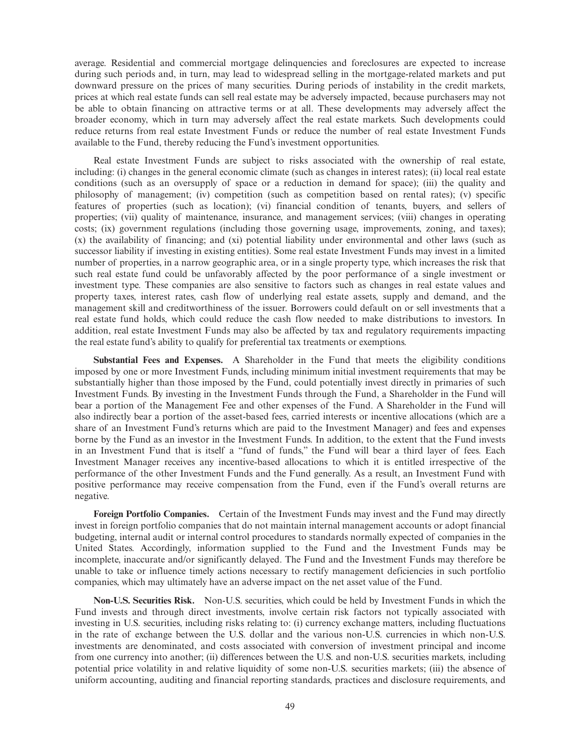average. Residential and commercial mortgage delinquencies and foreclosures are expected to increase during such periods and, in turn, may lead to widespread selling in the mortgage-related markets and put downward pressure on the prices of many securities. During periods of instability in the credit markets, prices at which real estate funds can sell real estate may be adversely impacted, because purchasers may not be able to obtain financing on attractive terms or at all. These developments may adversely affect the broader economy, which in turn may adversely affect the real estate markets. Such developments could reduce returns from real estate Investment Funds or reduce the number of real estate Investment Funds available to the Fund, thereby reducing the Fund's investment opportunities.

Real estate Investment Funds are subject to risks associated with the ownership of real estate, including: (i) changes in the general economic climate (such as changes in interest rates); (ii) local real estate conditions (such as an oversupply of space or a reduction in demand for space); (iii) the quality and philosophy of management; (iv) competition (such as competition based on rental rates); (v) specific features of properties (such as location); (vi) financial condition of tenants, buyers, and sellers of properties; (vii) quality of maintenance, insurance, and management services; (viii) changes in operating costs; (ix) government regulations (including those governing usage, improvements, zoning, and taxes); (x) the availability of financing; and (xi) potential liability under environmental and other laws (such as successor liability if investing in existing entities). Some real estate Investment Funds may invest in a limited number of properties, in a narrow geographic area, or in a single property type, which increases the risk that such real estate fund could be unfavorably affected by the poor performance of a single investment or investment type. These companies are also sensitive to factors such as changes in real estate values and property taxes, interest rates, cash flow of underlying real estate assets, supply and demand, and the management skill and creditworthiness of the issuer. Borrowers could default on or sell investments that a real estate fund holds, which could reduce the cash flow needed to make distributions to investors. In addition, real estate Investment Funds may also be affected by tax and regulatory requirements impacting the real estate fund's ability to qualify for preferential tax treatments or exemptions.

**Substantial Fees and Expenses.** A Shareholder in the Fund that meets the eligibility conditions imposed by one or more Investment Funds, including minimum initial investment requirements that may be substantially higher than those imposed by the Fund, could potentially invest directly in primaries of such Investment Funds. By investing in the Investment Funds through the Fund, a Shareholder in the Fund will bear a portion of the Management Fee and other expenses of the Fund. A Shareholder in the Fund will also indirectly bear a portion of the asset-based fees, carried interests or incentive allocations (which are a share of an Investment Fund's returns which are paid to the Investment Manager) and fees and expenses borne by the Fund as an investor in the Investment Funds. In addition, to the extent that the Fund invests in an Investment Fund that is itself a "fund of funds," the Fund will bear a third layer of fees. Each Investment Manager receives any incentive-based allocations to which it is entitled irrespective of the performance of the other Investment Funds and the Fund generally. As a result, an Investment Fund with positive performance may receive compensation from the Fund, even if the Fund's overall returns are negative.

**Foreign Portfolio Companies.** Certain of the Investment Funds may invest and the Fund may directly invest in foreign portfolio companies that do not maintain internal management accounts or adopt financial budgeting, internal audit or internal control procedures to standards normally expected of companies in the United States. Accordingly, information supplied to the Fund and the Investment Funds may be incomplete, inaccurate and/or significantly delayed. The Fund and the Investment Funds may therefore be unable to take or influence timely actions necessary to rectify management deficiencies in such portfolio companies, which may ultimately have an adverse impact on the net asset value of the Fund.

**Non-U.S. Securities Risk.** Non-U.S. securities, which could be held by Investment Funds in which the Fund invests and through direct investments, involve certain risk factors not typically associated with investing in U.S. securities, including risks relating to: (i) currency exchange matters, including fluctuations in the rate of exchange between the U.S. dollar and the various non-U.S. currencies in which non-U.S. investments are denominated, and costs associated with conversion of investment principal and income from one currency into another; (ii) differences between the U.S. and non-U.S. securities markets, including potential price volatility in and relative liquidity of some non-U.S. securities markets; (iii) the absence of uniform accounting, auditing and financial reporting standards, practices and disclosure requirements, and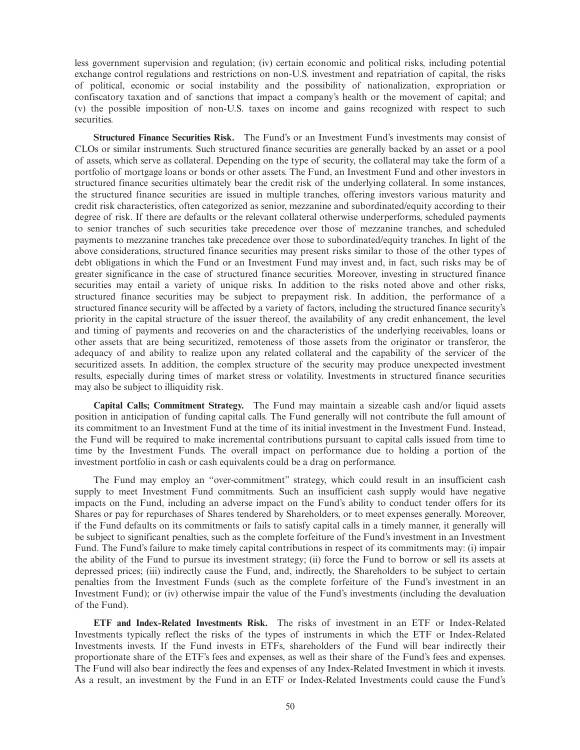less government supervision and regulation; (iv) certain economic and political risks, including potential exchange control regulations and restrictions on non-U.S. investment and repatriation of capital, the risks of political, economic or social instability and the possibility of nationalization, expropriation or confiscatory taxation and of sanctions that impact a company's health or the movement of capital; and (v) the possible imposition of non-U.S. taxes on income and gains recognized with respect to such securities.

**Structured Finance Securities Risk.** The Fund's or an Investment Fund's investments may consist of CLOs or similar instruments. Such structured finance securities are generally backed by an asset or a pool of assets, which serve as collateral. Depending on the type of security, the collateral may take the form of a portfolio of mortgage loans or bonds or other assets. The Fund, an Investment Fund and other investors in structured finance securities ultimately bear the credit risk of the underlying collateral. In some instances, the structured finance securities are issued in multiple tranches, offering investors various maturity and credit risk characteristics, often categorized as senior, mezzanine and subordinated/equity according to their degree of risk. If there are defaults or the relevant collateral otherwise underperforms, scheduled payments to senior tranches of such securities take precedence over those of mezzanine tranches, and scheduled payments to mezzanine tranches take precedence over those to subordinated/equity tranches. In light of the above considerations, structured finance securities may present risks similar to those of the other types of debt obligations in which the Fund or an Investment Fund may invest and, in fact, such risks may be of greater significance in the case of structured finance securities. Moreover, investing in structured finance securities may entail a variety of unique risks. In addition to the risks noted above and other risks, structured finance securities may be subject to prepayment risk. In addition, the performance of a structured finance security will be affected by a variety of factors, including the structured finance security's priority in the capital structure of the issuer thereof, the availability of any credit enhancement, the level and timing of payments and recoveries on and the characteristics of the underlying receivables, loans or other assets that are being securitized, remoteness of those assets from the originator or transferor, the adequacy of and ability to realize upon any related collateral and the capability of the servicer of the securitized assets. In addition, the complex structure of the security may produce unexpected investment results, especially during times of market stress or volatility. Investments in structured finance securities may also be subject to illiquidity risk.

**Capital Calls; Commitment Strategy.** The Fund may maintain a sizeable cash and/or liquid assets position in anticipation of funding capital calls. The Fund generally will not contribute the full amount of its commitment to an Investment Fund at the time of its initial investment in the Investment Fund. Instead, the Fund will be required to make incremental contributions pursuant to capital calls issued from time to time by the Investment Funds. The overall impact on performance due to holding a portion of the investment portfolio in cash or cash equivalents could be a drag on performance.

The Fund may employ an "over-commitment" strategy, which could result in an insufficient cash supply to meet Investment Fund commitments. Such an insufficient cash supply would have negative impacts on the Fund, including an adverse impact on the Fund's ability to conduct tender offers for its Shares or pay for repurchases of Shares tendered by Shareholders, or to meet expenses generally. Moreover, if the Fund defaults on its commitments or fails to satisfy capital calls in a timely manner, it generally will be subject to significant penalties, such as the complete forfeiture of the Fund's investment in an Investment Fund. The Fund's failure to make timely capital contributions in respect of its commitments may: (i) impair the ability of the Fund to pursue its investment strategy; (ii) force the Fund to borrow or sell its assets at depressed prices; (iii) indirectly cause the Fund, and, indirectly, the Shareholders to be subject to certain penalties from the Investment Funds (such as the complete forfeiture of the Fund's investment in an Investment Fund); or (iv) otherwise impair the value of the Fund's investments (including the devaluation of the Fund).

**ETF and Index-Related Investments Risk.** The risks of investment in an ETF or Index-Related Investments typically reflect the risks of the types of instruments in which the ETF or Index-Related Investments invests. If the Fund invests in ETFs, shareholders of the Fund will bear indirectly their proportionate share of the ETF's fees and expenses, as well as their share of the Fund's fees and expenses. The Fund will also bear indirectly the fees and expenses of any Index-Related Investment in which it invests. As a result, an investment by the Fund in an ETF or Index-Related Investments could cause the Fund's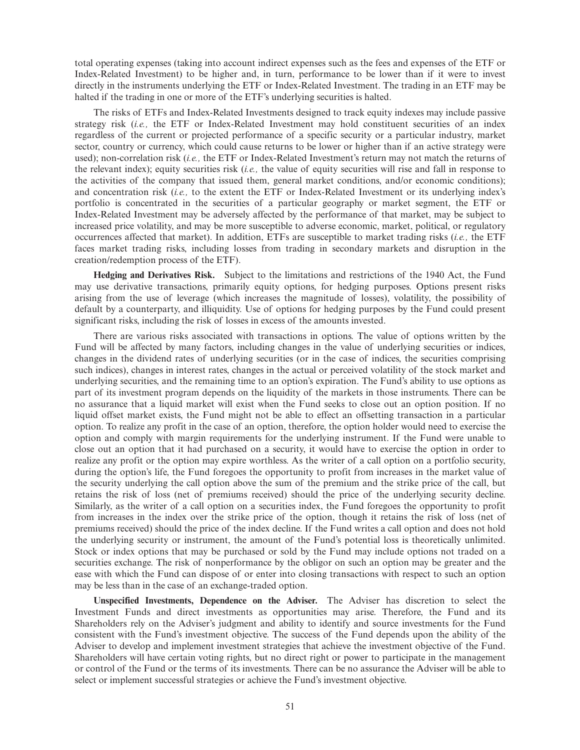total operating expenses (taking into account indirect expenses such as the fees and expenses of the ETF or Index-Related Investment) to be higher and, in turn, performance to be lower than if it were to invest directly in the instruments underlying the ETF or Index-Related Investment. The trading in an ETF may be halted if the trading in one or more of the ETF's underlying securities is halted.

The risks of ETFs and Index-Related Investments designed to track equity indexes may include passive strategy risk (i.e., the ETF or Index-Related Investment may hold constituent securities of an index regardless of the current or projected performance of a specific security or a particular industry, market sector, country or currency, which could cause returns to be lower or higher than if an active strategy were used); non-correlation risk (*i.e.,* the ETF or Index-Related Investment's return may not match the returns of the relevant index); equity securities risk (*i.e.,* the value of equity securities will rise and fall in response to the activities of the company that issued them, general market conditions, and/or economic conditions); and concentration risk (*i.e.,* to the extent the ETF or Index-Related Investment or its underlying index's portfolio is concentrated in the securities of a particular geography or market segment, the ETF or Index-Related Investment may be adversely affected by the performance of that market, may be subject to increased price volatility, and may be more susceptible to adverse economic, market, political, or regulatory occurrences affected that market). In addition, ETFs are susceptible to market trading risks (*i.e.,* the ETF faces market trading risks, including losses from trading in secondary markets and disruption in the creation/redemption process of the ETF).

**Hedging and Derivatives Risk.** Subject to the limitations and restrictions of the 1940 Act, the Fund may use derivative transactions, primarily equity options, for hedging purposes. Options present risks arising from the use of leverage (which increases the magnitude of losses), volatility, the possibility of default by a counterparty, and illiquidity. Use of options for hedging purposes by the Fund could present significant risks, including the risk of losses in excess of the amounts invested.

There are various risks associated with transactions in options. The value of options written by the Fund will be affected by many factors, including changes in the value of underlying securities or indices, changes in the dividend rates of underlying securities (or in the case of indices, the securities comprising such indices), changes in interest rates, changes in the actual or perceived volatility of the stock market and underlying securities, and the remaining time to an option's expiration. The Fund's ability to use options as part of its investment program depends on the liquidity of the markets in those instruments. There can be no assurance that a liquid market will exist when the Fund seeks to close out an option position. If no liquid offset market exists, the Fund might not be able to effect an offsetting transaction in a particular option. To realize any profit in the case of an option, therefore, the option holder would need to exercise the option and comply with margin requirements for the underlying instrument. If the Fund were unable to close out an option that it had purchased on a security, it would have to exercise the option in order to realize any profit or the option may expire worthless. As the writer of a call option on a portfolio security, during the option's life, the Fund foregoes the opportunity to profit from increases in the market value of the security underlying the call option above the sum of the premium and the strike price of the call, but retains the risk of loss (net of premiums received) should the price of the underlying security decline. Similarly, as the writer of a call option on a securities index, the Fund foregoes the opportunity to profit from increases in the index over the strike price of the option, though it retains the risk of loss (net of premiums received) should the price of the index decline. If the Fund writes a call option and does not hold the underlying security or instrument, the amount of the Fund's potential loss is theoretically unlimited. Stock or index options that may be purchased or sold by the Fund may include options not traded on a securities exchange. The risk of nonperformance by the obligor on such an option may be greater and the ease with which the Fund can dispose of or enter into closing transactions with respect to such an option may be less than in the case of an exchange-traded option.

**Unspecified Investments, Dependence on the Adviser.** The Adviser has discretion to select the Investment Funds and direct investments as opportunities may arise. Therefore, the Fund and its Shareholders rely on the Adviser's judgment and ability to identify and source investments for the Fund consistent with the Fund's investment objective. The success of the Fund depends upon the ability of the Adviser to develop and implement investment strategies that achieve the investment objective of the Fund. Shareholders will have certain voting rights, but no direct right or power to participate in the management or control of the Fund or the terms of its investments. There can be no assurance the Adviser will be able to select or implement successful strategies or achieve the Fund's investment objective.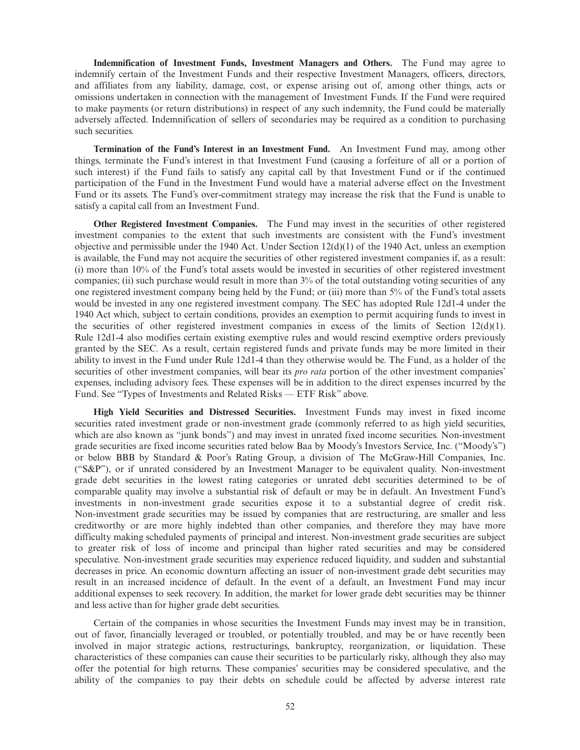**Indemnification of Investment Funds, Investment Managers and Others.** The Fund may agree to indemnify certain of the Investment Funds and their respective Investment Managers, officers, directors, and affiliates from any liability, damage, cost, or expense arising out of, among other things, acts or omissions undertaken in connection with the management of Investment Funds. If the Fund were required to make payments (or return distributions) in respect of any such indemnity, the Fund could be materially adversely affected. Indemnification of sellers of secondaries may be required as a condition to purchasing such securities.

**Termination of the Fund's Interest in an Investment Fund.** An Investment Fund may, among other things, terminate the Fund's interest in that Investment Fund (causing a forfeiture of all or a portion of such interest) if the Fund fails to satisfy any capital call by that Investment Fund or if the continued participation of the Fund in the Investment Fund would have a material adverse effect on the Investment Fund or its assets. The Fund's over-commitment strategy may increase the risk that the Fund is unable to satisfy a capital call from an Investment Fund.

**Other Registered Investment Companies.** The Fund may invest in the securities of other registered investment companies to the extent that such investments are consistent with the Fund's investment objective and permissible under the 1940 Act. Under Section 12(d)(1) of the 1940 Act, unless an exemption is available, the Fund may not acquire the securities of other registered investment companies if, as a result: (i) more than 10% of the Fund's total assets would be invested in securities of other registered investment companies; (ii) such purchase would result in more than  $3\%$  of the total outstanding voting securities of any one registered investment company being held by the Fund; or (iii) more than 5% of the Fund's total assets would be invested in any one registered investment company. The SEC has adopted Rule 12d1-4 under the 1940 Act which, subject to certain conditions, provides an exemption to permit acquiring funds to invest in the securities of other registered investment companies in excess of the limits of Section  $12(d)(1)$ . Rule 12d1-4 also modifies certain existing exemptive rules and would rescind exemptive orders previously granted by the SEC. As a result, certain registered funds and private funds may be more limited in their ability to invest in the Fund under Rule 12d1-4 than they otherwise would be. The Fund, as a holder of the securities of other investment companies, will bear its *pro rata* portion of the other investment companies' expenses, including advisory fees. These expenses will be in addition to the direct expenses incurred by the Fund. See "Types of Investments and Related Risks — ETF Risk" above.

**High Yield Securities and Distressed Securities.** Investment Funds may invest in fixed income securities rated investment grade or non-investment grade (commonly referred to as high yield securities, which are also known as "junk bonds") and may invest in unrated fixed income securities. Non-investment grade securities are fixed income securities rated below Baa by Moody's Investors Service, Inc. ("Moody's") or below BBB by Standard & Poor's Rating Group, a division of The McGraw-Hill Companies, Inc. ("S&P"), or if unrated considered by an Investment Manager to be equivalent quality. Non-investment grade debt securities in the lowest rating categories or unrated debt securities determined to be of comparable quality may involve a substantial risk of default or may be in default. An Investment Fund's investments in non-investment grade securities expose it to a substantial degree of credit risk. Non-investment grade securities may be issued by companies that are restructuring, are smaller and less creditworthy or are more highly indebted than other companies, and therefore they may have more difficulty making scheduled payments of principal and interest. Non-investment grade securities are subject to greater risk of loss of income and principal than higher rated securities and may be considered speculative. Non-investment grade securities may experience reduced liquidity, and sudden and substantial decreases in price. An economic downturn affecting an issuer of non-investment grade debt securities may result in an increased incidence of default. In the event of a default, an Investment Fund may incur additional expenses to seek recovery. In addition, the market for lower grade debt securities may be thinner and less active than for higher grade debt securities.

Certain of the companies in whose securities the Investment Funds may invest may be in transition, out of favor, financially leveraged or troubled, or potentially troubled, and may be or have recently been involved in major strategic actions, restructurings, bankruptcy, reorganization, or liquidation. These characteristics of these companies can cause their securities to be particularly risky, although they also may offer the potential for high returns. These companies' securities may be considered speculative, and the ability of the companies to pay their debts on schedule could be affected by adverse interest rate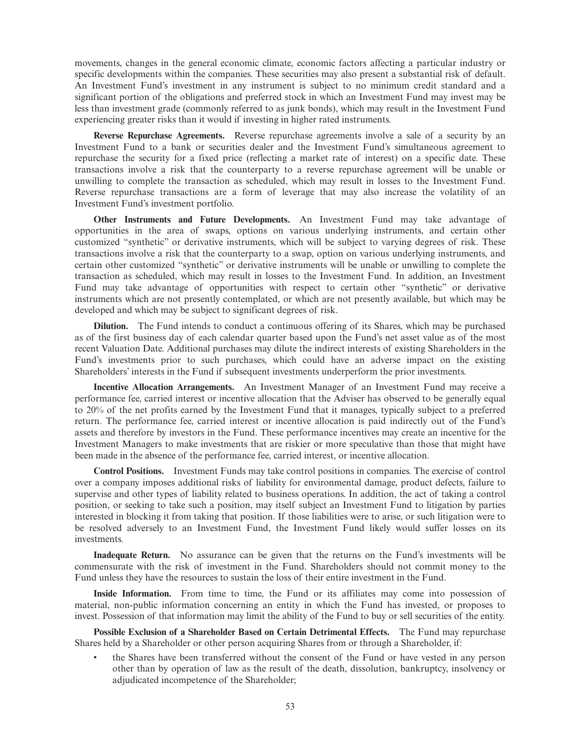movements, changes in the general economic climate, economic factors affecting a particular industry or specific developments within the companies. These securities may also present a substantial risk of default. An Investment Fund's investment in any instrument is subject to no minimum credit standard and a significant portion of the obligations and preferred stock in which an Investment Fund may invest may be less than investment grade (commonly referred to as junk bonds), which may result in the Investment Fund experiencing greater risks than it would if investing in higher rated instruments.

**Reverse Repurchase Agreements.** Reverse repurchase agreements involve a sale of a security by an Investment Fund to a bank or securities dealer and the Investment Fund's simultaneous agreement to repurchase the security for a fixed price (reflecting a market rate of interest) on a specific date. These transactions involve a risk that the counterparty to a reverse repurchase agreement will be unable or unwilling to complete the transaction as scheduled, which may result in losses to the Investment Fund. Reverse repurchase transactions are a form of leverage that may also increase the volatility of an Investment Fund's investment portfolio.

**Other Instruments and Future Developments.** An Investment Fund may take advantage of opportunities in the area of swaps, options on various underlying instruments, and certain other customized "synthetic" or derivative instruments, which will be subject to varying degrees of risk. These transactions involve a risk that the counterparty to a swap, option on various underlying instruments, and certain other customized "synthetic" or derivative instruments will be unable or unwilling to complete the transaction as scheduled, which may result in losses to the Investment Fund. In addition, an Investment Fund may take advantage of opportunities with respect to certain other "synthetic" or derivative instruments which are not presently contemplated, or which are not presently available, but which may be developed and which may be subject to significant degrees of risk.

**Dilution.** The Fund intends to conduct a continuous offering of its Shares, which may be purchased as of the first business day of each calendar quarter based upon the Fund's net asset value as of the most recent Valuation Date. Additional purchases may dilute the indirect interests of existing Shareholders in the Fund's investments prior to such purchases, which could have an adverse impact on the existing Shareholders' interests in the Fund if subsequent investments underperform the prior investments.

**Incentive Allocation Arrangements.** An Investment Manager of an Investment Fund may receive a performance fee, carried interest or incentive allocation that the Adviser has observed to be generally equal to 20% of the net profits earned by the Investment Fund that it manages, typically subject to a preferred return. The performance fee, carried interest or incentive allocation is paid indirectly out of the Fund's assets and therefore by investors in the Fund. These performance incentives may create an incentive for the Investment Managers to make investments that are riskier or more speculative than those that might have been made in the absence of the performance fee, carried interest, or incentive allocation.

**Control Positions.** Investment Funds may take control positions in companies. The exercise of control over a company imposes additional risks of liability for environmental damage, product defects, failure to supervise and other types of liability related to business operations. In addition, the act of taking a control position, or seeking to take such a position, may itself subject an Investment Fund to litigation by parties interested in blocking it from taking that position. If those liabilities were to arise, or such litigation were to be resolved adversely to an Investment Fund, the Investment Fund likely would suffer losses on its investments.

**Inadequate Return.** No assurance can be given that the returns on the Fund's investments will be commensurate with the risk of investment in the Fund. Shareholders should not commit money to the Fund unless they have the resources to sustain the loss of their entire investment in the Fund.

**Inside Information.** From time to time, the Fund or its affiliates may come into possession of material, non-public information concerning an entity in which the Fund has invested, or proposes to invest. Possession of that information may limit the ability of the Fund to buy or sell securities of the entity.

**Possible Exclusion of a Shareholder Based on Certain Detrimental Effects.** The Fund may repurchase Shares held by a Shareholder or other person acquiring Shares from or through a Shareholder, if:

• the Shares have been transferred without the consent of the Fund or have vested in any person other than by operation of law as the result of the death, dissolution, bankruptcy, insolvency or adjudicated incompetence of the Shareholder;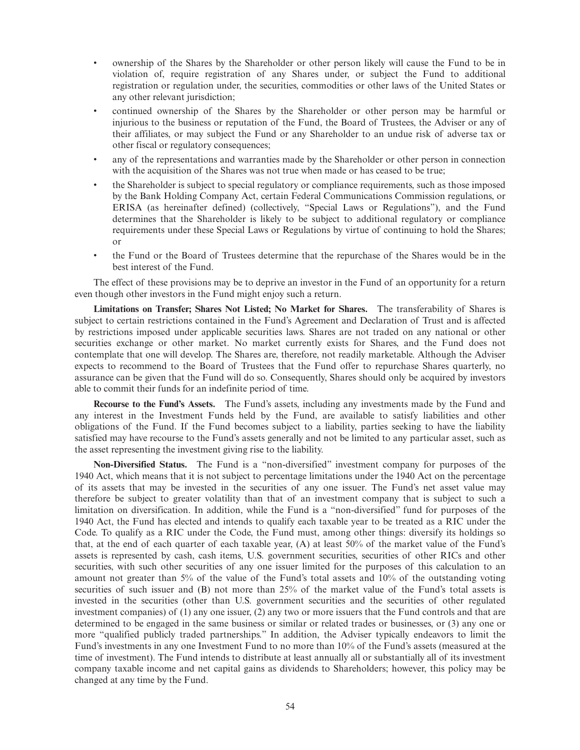- ownership of the Shares by the Shareholder or other person likely will cause the Fund to be in violation of, require registration of any Shares under, or subject the Fund to additional registration or regulation under, the securities, commodities or other laws of the United States or any other relevant jurisdiction;
- continued ownership of the Shares by the Shareholder or other person may be harmful or injurious to the business or reputation of the Fund, the Board of Trustees, the Adviser or any of their affiliates, or may subject the Fund or any Shareholder to an undue risk of adverse tax or other fiscal or regulatory consequences;
- any of the representations and warranties made by the Shareholder or other person in connection with the acquisition of the Shares was not true when made or has ceased to be true;
- the Shareholder is subject to special regulatory or compliance requirements, such as those imposed by the Bank Holding Company Act, certain Federal Communications Commission regulations, or ERISA (as hereinafter defined) (collectively, "Special Laws or Regulations"), and the Fund determines that the Shareholder is likely to be subject to additional regulatory or compliance requirements under these Special Laws or Regulations by virtue of continuing to hold the Shares; or
- the Fund or the Board of Trustees determine that the repurchase of the Shares would be in the best interest of the Fund.

The effect of these provisions may be to deprive an investor in the Fund of an opportunity for a return even though other investors in the Fund might enjoy such a return.

**Limitations on Transfer; Shares Not Listed; No Market for Shares.** The transferability of Shares is subject to certain restrictions contained in the Fund's Agreement and Declaration of Trust and is affected by restrictions imposed under applicable securities laws. Shares are not traded on any national or other securities exchange or other market. No market currently exists for Shares, and the Fund does not contemplate that one will develop. The Shares are, therefore, not readily marketable. Although the Adviser expects to recommend to the Board of Trustees that the Fund offer to repurchase Shares quarterly, no assurance can be given that the Fund will do so. Consequently, Shares should only be acquired by investors able to commit their funds for an indefinite period of time.

**Recourse to the Fund's Assets.** The Fund's assets, including any investments made by the Fund and any interest in the Investment Funds held by the Fund, are available to satisfy liabilities and other obligations of the Fund. If the Fund becomes subject to a liability, parties seeking to have the liability satisfied may have recourse to the Fund's assets generally and not be limited to any particular asset, such as the asset representing the investment giving rise to the liability.

**Non-Diversified Status.** The Fund is a "non-diversified" investment company for purposes of the 1940 Act, which means that it is not subject to percentage limitations under the 1940 Act on the percentage of its assets that may be invested in the securities of any one issuer. The Fund's net asset value may therefore be subject to greater volatility than that of an investment company that is subject to such a limitation on diversification. In addition, while the Fund is a "non-diversified" fund for purposes of the 1940 Act, the Fund has elected and intends to qualify each taxable year to be treated as a RIC under the Code. To qualify as a RIC under the Code, the Fund must, among other things: diversify its holdings so that, at the end of each quarter of each taxable year, (A) at least 50% of the market value of the Fund's assets is represented by cash, cash items, U.S. government securities, securities of other RICs and other securities, with such other securities of any one issuer limited for the purposes of this calculation to an amount not greater than 5% of the value of the Fund's total assets and 10% of the outstanding voting securities of such issuer and (B) not more than 25% of the market value of the Fund's total assets is invested in the securities (other than U.S. government securities and the securities of other regulated investment companies) of (1) any one issuer, (2) any two or more issuers that the Fund controls and that are determined to be engaged in the same business or similar or related trades or businesses, or (3) any one or more "qualified publicly traded partnerships." In addition, the Adviser typically endeavors to limit the Fund's investments in any one Investment Fund to no more than 10% of the Fund's assets (measured at the time of investment). The Fund intends to distribute at least annually all or substantially all of its investment company taxable income and net capital gains as dividends to Shareholders; however, this policy may be changed at any time by the Fund.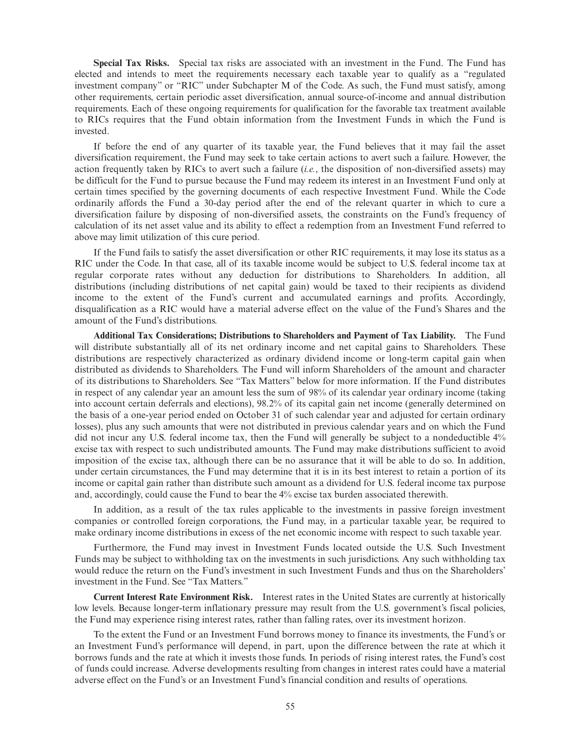**Special Tax Risks.** Special tax risks are associated with an investment in the Fund. The Fund has elected and intends to meet the requirements necessary each taxable year to qualify as a "regulated investment company" or "RIC" under Subchapter M of the Code. As such, the Fund must satisfy, among other requirements, certain periodic asset diversification, annual source-of-income and annual distribution requirements. Each of these ongoing requirements for qualification for the favorable tax treatment available to RICs requires that the Fund obtain information from the Investment Funds in which the Fund is invested.

If before the end of any quarter of its taxable year, the Fund believes that it may fail the asset diversification requirement, the Fund may seek to take certain actions to avert such a failure. However, the action frequently taken by RICs to avert such a failure (*i.e.*, the disposition of non-diversified assets) may be difficult for the Fund to pursue because the Fund may redeem its interest in an Investment Fund only at certain times specified by the governing documents of each respective Investment Fund. While the Code ordinarily affords the Fund a 30-day period after the end of the relevant quarter in which to cure a diversification failure by disposing of non-diversified assets, the constraints on the Fund's frequency of calculation of its net asset value and its ability to effect a redemption from an Investment Fund referred to above may limit utilization of this cure period.

If the Fund fails to satisfy the asset diversification or other RIC requirements, it may lose its status as a RIC under the Code. In that case, all of its taxable income would be subject to U.S. federal income tax at regular corporate rates without any deduction for distributions to Shareholders. In addition, all distributions (including distributions of net capital gain) would be taxed to their recipients as dividend income to the extent of the Fund's current and accumulated earnings and profits. Accordingly, disqualification as a RIC would have a material adverse effect on the value of the Fund's Shares and the amount of the Fund's distributions.

**Additional Tax Considerations; Distributions to Shareholders and Payment of Tax Liability.** The Fund will distribute substantially all of its net ordinary income and net capital gains to Shareholders. These distributions are respectively characterized as ordinary dividend income or long-term capital gain when distributed as dividends to Shareholders. The Fund will inform Shareholders of the amount and character of its distributions to Shareholders. See "Tax Matters" below for more information. If the Fund distributes in respect of any calendar year an amount less the sum of 98% of its calendar year ordinary income (taking into account certain deferrals and elections), 98.2% of its capital gain net income (generally determined on the basis of a one-year period ended on October 31 of such calendar year and adjusted for certain ordinary losses), plus any such amounts that were not distributed in previous calendar years and on which the Fund did not incur any U.S. federal income tax, then the Fund will generally be subject to a nondeductible 4% excise tax with respect to such undistributed amounts. The Fund may make distributions sufficient to avoid imposition of the excise tax, although there can be no assurance that it will be able to do so. In addition, under certain circumstances, the Fund may determine that it is in its best interest to retain a portion of its income or capital gain rather than distribute such amount as a dividend for U.S. federal income tax purpose and, accordingly, could cause the Fund to bear the 4% excise tax burden associated therewith.

In addition, as a result of the tax rules applicable to the investments in passive foreign investment companies or controlled foreign corporations, the Fund may, in a particular taxable year, be required to make ordinary income distributions in excess of the net economic income with respect to such taxable year.

Furthermore, the Fund may invest in Investment Funds located outside the U.S. Such Investment Funds may be subject to withholding tax on the investments in such jurisdictions. Any such withholding tax would reduce the return on the Fund's investment in such Investment Funds and thus on the Shareholders' investment in the Fund. See "Tax Matters."

**Current Interest Rate Environment Risk.** Interest rates in the United States are currently at historically low levels. Because longer-term inflationary pressure may result from the U.S. government's fiscal policies, the Fund may experience rising interest rates, rather than falling rates, over its investment horizon.

To the extent the Fund or an Investment Fund borrows money to finance its investments, the Fund's or an Investment Fund's performance will depend, in part, upon the difference between the rate at which it borrows funds and the rate at which it invests those funds. In periods of rising interest rates, the Fund's cost of funds could increase. Adverse developments resulting from changes in interest rates could have a material adverse effect on the Fund's or an Investment Fund's financial condition and results of operations.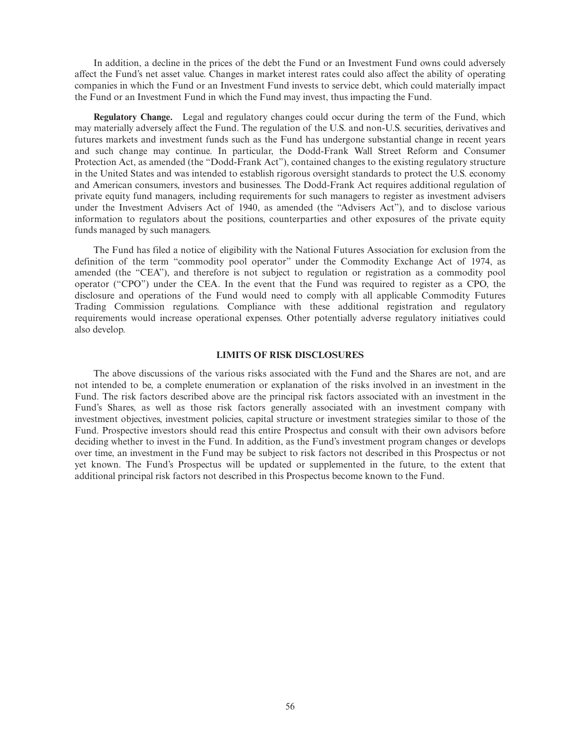In addition, a decline in the prices of the debt the Fund or an Investment Fund owns could adversely affect the Fund's net asset value. Changes in market interest rates could also affect the ability of operating companies in which the Fund or an Investment Fund invests to service debt, which could materially impact the Fund or an Investment Fund in which the Fund may invest, thus impacting the Fund.

**Regulatory Change.** Legal and regulatory changes could occur during the term of the Fund, which may materially adversely affect the Fund. The regulation of the U.S. and non-U.S. securities, derivatives and futures markets and investment funds such as the Fund has undergone substantial change in recent years and such change may continue. In particular, the Dodd-Frank Wall Street Reform and Consumer Protection Act, as amended (the "Dodd-Frank Act"), contained changes to the existing regulatory structure in the United States and was intended to establish rigorous oversight standards to protect the U.S. economy and American consumers, investors and businesses. The Dodd-Frank Act requires additional regulation of private equity fund managers, including requirements for such managers to register as investment advisers under the Investment Advisers Act of 1940, as amended (the "Advisers Act"), and to disclose various information to regulators about the positions, counterparties and other exposures of the private equity funds managed by such managers.

The Fund has filed a notice of eligibility with the National Futures Association for exclusion from the definition of the term "commodity pool operator" under the Commodity Exchange Act of 1974, as amended (the "CEA"), and therefore is not subject to regulation or registration as a commodity pool operator ("CPO") under the CEA. In the event that the Fund was required to register as a CPO, the disclosure and operations of the Fund would need to comply with all applicable Commodity Futures Trading Commission regulations. Compliance with these additional registration and regulatory requirements would increase operational expenses. Other potentially adverse regulatory initiatives could also develop.

### **LIMITS OF RISK DISCLOSURES**

The above discussions of the various risks associated with the Fund and the Shares are not, and are not intended to be, a complete enumeration or explanation of the risks involved in an investment in the Fund. The risk factors described above are the principal risk factors associated with an investment in the Fund's Shares, as well as those risk factors generally associated with an investment company with investment objectives, investment policies, capital structure or investment strategies similar to those of the Fund. Prospective investors should read this entire Prospectus and consult with their own advisors before deciding whether to invest in the Fund. In addition, as the Fund's investment program changes or develops over time, an investment in the Fund may be subject to risk factors not described in this Prospectus or not yet known. The Fund's Prospectus will be updated or supplemented in the future, to the extent that additional principal risk factors not described in this Prospectus become known to the Fund.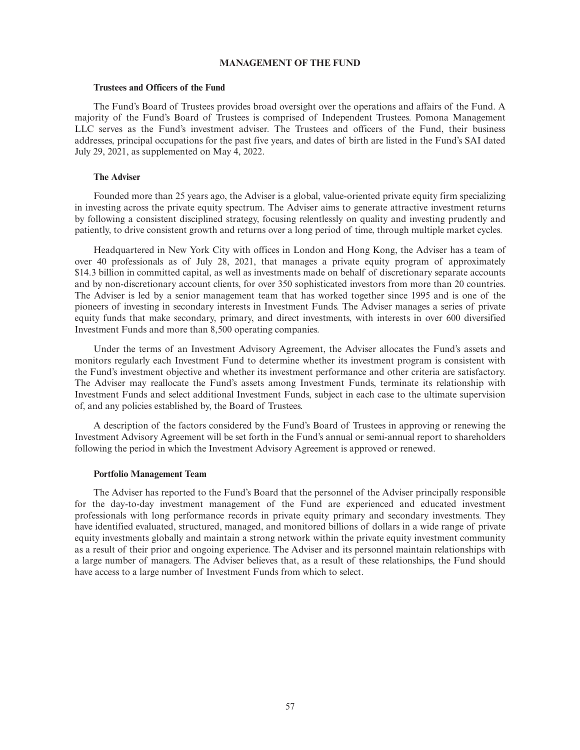### **MANAGEMENT OF THE FUND**

### **Trustees and Officers of the Fund**

The Fund's Board of Trustees provides broad oversight over the operations and affairs of the Fund. A majority of the Fund's Board of Trustees is comprised of Independent Trustees. Pomona Management LLC serves as the Fund's investment adviser. The Trustees and officers of the Fund, their business addresses, principal occupations for the past five years, and dates of birth are listed in the Fund's SAI dated July 29, 2021, as supplemented on May 4, 2022.

#### **The Adviser**

Founded more than 25 years ago, the Adviser is a global, value-oriented private equity firm specializing in investing across the private equity spectrum. The Adviser aims to generate attractive investment returns by following a consistent disciplined strategy, focusing relentlessly on quality and investing prudently and patiently, to drive consistent growth and returns over a long period of time, through multiple market cycles.

Headquartered in New York City with offices in London and Hong Kong, the Adviser has a team of over 40 professionals as of July 28, 2021, that manages a private equity program of approximately \$14.3 billion in committed capital, as well as investments made on behalf of discretionary separate accounts and by non-discretionary account clients, for over 350 sophisticated investors from more than 20 countries. The Adviser is led by a senior management team that has worked together since 1995 and is one of the pioneers of investing in secondary interests in Investment Funds. The Adviser manages a series of private equity funds that make secondary, primary, and direct investments, with interests in over 600 diversified Investment Funds and more than 8,500 operating companies.

Under the terms of an Investment Advisory Agreement, the Adviser allocates the Fund's assets and monitors regularly each Investment Fund to determine whether its investment program is consistent with the Fund's investment objective and whether its investment performance and other criteria are satisfactory. The Adviser may reallocate the Fund's assets among Investment Funds, terminate its relationship with Investment Funds and select additional Investment Funds, subject in each case to the ultimate supervision of, and any policies established by, the Board of Trustees.

A description of the factors considered by the Fund's Board of Trustees in approving or renewing the Investment Advisory Agreement will be set forth in the Fund's annual or semi-annual report to shareholders following the period in which the Investment Advisory Agreement is approved or renewed.

#### **Portfolio Management Team**

The Adviser has reported to the Fund's Board that the personnel of the Adviser principally responsible for the day-to-day investment management of the Fund are experienced and educated investment professionals with long performance records in private equity primary and secondary investments. They have identified evaluated, structured, managed, and monitored billions of dollars in a wide range of private equity investments globally and maintain a strong network within the private equity investment community as a result of their prior and ongoing experience. The Adviser and its personnel maintain relationships with a large number of managers. The Adviser believes that, as a result of these relationships, the Fund should have access to a large number of Investment Funds from which to select.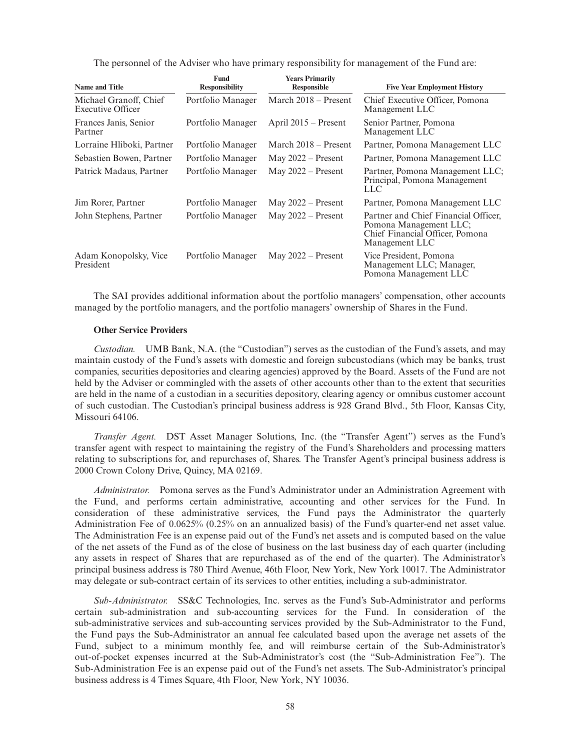The personnel of the Adviser who have primary responsibility for management of the Fund are:

| <b>Name and Title</b>                       | <b>Fund</b><br><b>Responsibility</b> | <b>Years Primarily</b><br><b>Responsible</b> | <b>Five Year Employment History</b>                                                                                 |
|---------------------------------------------|--------------------------------------|----------------------------------------------|---------------------------------------------------------------------------------------------------------------------|
| Michael Granoff, Chief<br>Executive Officer | Portfolio Manager                    | March $2018 -$ Present                       | Chief Executive Officer, Pomona<br>Management LLC                                                                   |
| Frances Janis, Senior<br>Partner            | Portfolio Manager                    | April $2015$ – Present                       | Senior Partner, Pomona<br>Management LLC                                                                            |
| Lorraine Hliboki, Partner                   | Portfolio Manager                    | March $2018 -$ Present                       | Partner, Pomona Management LLC                                                                                      |
| Sebastien Bowen, Partner                    | Portfolio Manager                    | May $2022 -$ Present                         | Partner, Pomona Management LLC                                                                                      |
| Patrick Madaus, Partner                     | Portfolio Manager                    | May $2022 -$ Present                         | Partner, Pomona Management LLC;<br>Principal, Pomona Management<br>LLC                                              |
| Jim Rorer, Partner                          | Portfolio Manager                    | May $2022 -$ Present                         | Partner, Pomona Management LLC                                                                                      |
| John Stephens, Partner                      | Portfolio Manager                    | May $2022 -$ Present                         | Partner and Chief Financial Officer,<br>Pomona Management LLC;<br>Chief Financial Officer, Pomona<br>Management LLC |
| Adam Konopolsky, Vice<br>President          | Portfolio Manager                    | May $2022 -$ Present                         | Vice President, Pomona<br>Management LLC; Manager,<br>Pomona Management LLC                                         |

The SAI provides additional information about the portfolio managers' compensation, other accounts managed by the portfolio managers, and the portfolio managers' ownership of Shares in the Fund.

# **Other Service Providers**

*Custodian.* UMB Bank, N.A. (the "Custodian") serves as the custodian of the Fund's assets, and may maintain custody of the Fund's assets with domestic and foreign subcustodians (which may be banks, trust companies, securities depositories and clearing agencies) approved by the Board. Assets of the Fund are not held by the Adviser or commingled with the assets of other accounts other than to the extent that securities are held in the name of a custodian in a securities depository, clearing agency or omnibus customer account of such custodian. The Custodian's principal business address is 928 Grand Blvd., 5th Floor, Kansas City, Missouri 64106.

*Transfer Agent.* DST Asset Manager Solutions, Inc. (the "Transfer Agent") serves as the Fund's transfer agent with respect to maintaining the registry of the Fund's Shareholders and processing matters relating to subscriptions for, and repurchases of, Shares. The Transfer Agent's principal business address is 2000 Crown Colony Drive, Quincy, MA 02169.

*Administrator.* Pomona serves as the Fund's Administrator under an Administration Agreement with the Fund, and performs certain administrative, accounting and other services for the Fund. In consideration of these administrative services, the Fund pays the Administrator the quarterly Administration Fee of 0.0625% (0.25% on an annualized basis) of the Fund's quarter-end net asset value. The Administration Fee is an expense paid out of the Fund's net assets and is computed based on the value of the net assets of the Fund as of the close of business on the last business day of each quarter (including any assets in respect of Shares that are repurchased as of the end of the quarter). The Administrator's principal business address is 780 Third Avenue, 46th Floor, New York, New York 10017. The Administrator may delegate or sub-contract certain of its services to other entities, including a sub-administrator.

*Sub-Administrator.* SS&C Technologies, Inc. serves as the Fund's Sub-Administrator and performs certain sub-administration and sub-accounting services for the Fund. In consideration of the sub-administrative services and sub-accounting services provided by the Sub-Administrator to the Fund, the Fund pays the Sub-Administrator an annual fee calculated based upon the average net assets of the Fund, subject to a minimum monthly fee, and will reimburse certain of the Sub-Administrator's out-of-pocket expenses incurred at the Sub-Administrator's cost (the "Sub-Administration Fee"). The Sub-Administration Fee is an expense paid out of the Fund's net assets. The Sub-Administrator's principal business address is 4 Times Square, 4th Floor, New York, NY 10036.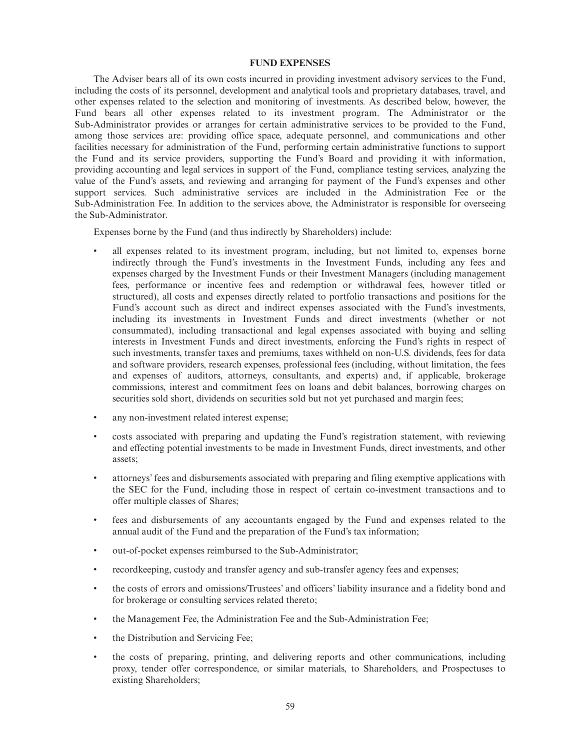### **FUND EXPENSES**

The Adviser bears all of its own costs incurred in providing investment advisory services to the Fund, including the costs of its personnel, development and analytical tools and proprietary databases, travel, and other expenses related to the selection and monitoring of investments. As described below, however, the Fund bears all other expenses related to its investment program. The Administrator or the Sub-Administrator provides or arranges for certain administrative services to be provided to the Fund, among those services are: providing office space, adequate personnel, and communications and other facilities necessary for administration of the Fund, performing certain administrative functions to support the Fund and its service providers, supporting the Fund's Board and providing it with information, providing accounting and legal services in support of the Fund, compliance testing services, analyzing the value of the Fund's assets, and reviewing and arranging for payment of the Fund's expenses and other support services. Such administrative services are included in the Administration Fee or the Sub-Administration Fee. In addition to the services above, the Administrator is responsible for overseeing the Sub-Administrator.

Expenses borne by the Fund (and thus indirectly by Shareholders) include:

- all expenses related to its investment program, including, but not limited to, expenses borne indirectly through the Fund's investments in the Investment Funds, including any fees and expenses charged by the Investment Funds or their Investment Managers (including management fees, performance or incentive fees and redemption or withdrawal fees, however titled or structured), all costs and expenses directly related to portfolio transactions and positions for the Fund's account such as direct and indirect expenses associated with the Fund's investments, including its investments in Investment Funds and direct investments (whether or not consummated), including transactional and legal expenses associated with buying and selling interests in Investment Funds and direct investments, enforcing the Fund's rights in respect of such investments, transfer taxes and premiums, taxes withheld on non-U.S. dividends, fees for data and software providers, research expenses, professional fees (including, without limitation, the fees and expenses of auditors, attorneys, consultants, and experts) and, if applicable, brokerage commissions, interest and commitment fees on loans and debit balances, borrowing charges on securities sold short, dividends on securities sold but not yet purchased and margin fees;
- any non-investment related interest expense;
- costs associated with preparing and updating the Fund's registration statement, with reviewing and effecting potential investments to be made in Investment Funds, direct investments, and other assets;
- attorneys' fees and disbursements associated with preparing and filing exemptive applications with the SEC for the Fund, including those in respect of certain co-investment transactions and to offer multiple classes of Shares;
- fees and disbursements of any accountants engaged by the Fund and expenses related to the annual audit of the Fund and the preparation of the Fund's tax information;
- out-of-pocket expenses reimbursed to the Sub-Administrator;
- recordkeeping, custody and transfer agency and sub-transfer agency fees and expenses;
- the costs of errors and omissions/Trustees' and officers' liability insurance and a fidelity bond and for brokerage or consulting services related thereto;
- the Management Fee, the Administration Fee and the Sub-Administration Fee;
- the Distribution and Servicing Fee;
- the costs of preparing, printing, and delivering reports and other communications, including proxy, tender offer correspondence, or similar materials, to Shareholders, and Prospectuses to existing Shareholders;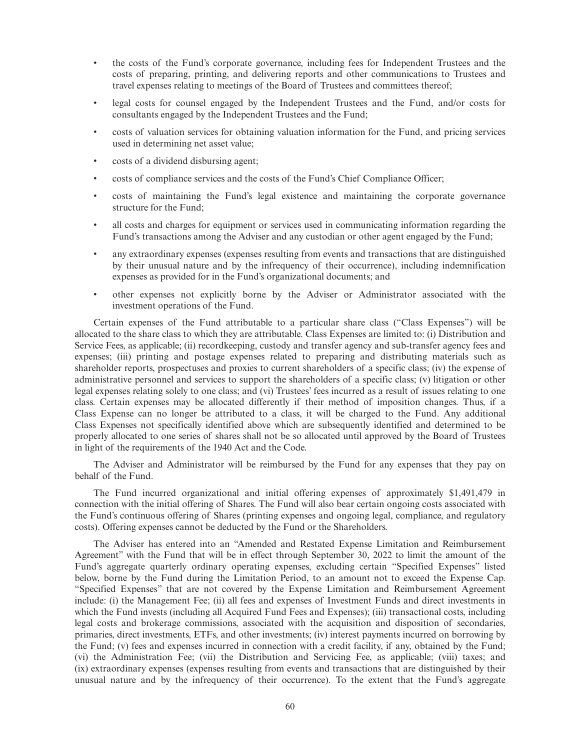- the costs of the Fund's corporate governance, including fees for Independent Trustees and the costs of preparing, printing, and delivering reports and other communications to Trustees and travel expenses relating to meetings of the Board of Trustees and committees thereof;
- legal costs for counsel engaged by the Independent Trustees and the Fund, and/or costs for consultants engaged by the Independent Trustees and the Fund;
- costs of valuation services for obtaining valuation information for the Fund, and pricing services used in determining net asset value;
- costs of a dividend disbursing agent;
- costs of compliance services and the costs of the Fund's Chief Compliance Officer;
- costs of maintaining the Fund's legal existence and maintaining the corporate governance structure for the Fund;
- all costs and charges for equipment or services used in communicating information regarding the Fund's transactions among the Adviser and any custodian or other agent engaged by the Fund;
- any extraordinary expenses (expenses resulting from events and transactions that are distinguished by their unusual nature and by the infrequency of their occurrence), including indemnification expenses as provided for in the Fund's organizational documents; and
- other expenses not explicitly borne by the Adviser or Administrator associated with the investment operations of the Fund.

Certain expenses of the Fund attributable to a particular share class ("Class Expenses") will be allocated to the share class to which they are attributable. Class Expenses are limited to: (i) Distribution and Service Fees, as applicable; (ii) recordkeeping, custody and transfer agency and sub-transfer agency fees and expenses; (iii) printing and postage expenses related to preparing and distributing materials such as shareholder reports, prospectuses and proxies to current shareholders of a specific class; (iv) the expense of administrative personnel and services to support the shareholders of a specific class; (v) litigation or other legal expenses relating solely to one class; and (vi) Trustees' fees incurred as a result of issues relating to one class. Certain expenses may be allocated differently if their method of imposition changes. Thus, if a Class Expense can no longer be attributed to a class, it will be charged to the Fund. Any additional Class Expenses not specifically identified above which are subsequently identified and determined to be properly allocated to one series of shares shall not be so allocated until approved by the Board of Trustees in light of the requirements of the 1940 Act and the Code.

The Adviser and Administrator will be reimbursed by the Fund for any expenses that they pay on behalf of the Fund.

The Fund incurred organizational and initial offering expenses of approximately \$1,491,479 in connection with the initial offering of Shares. The Fund will also bear certain ongoing costs associated with the Fund's continuous offering of Shares (printing expenses and ongoing legal, compliance, and regulatory costs). Offering expenses cannot be deducted by the Fund or the Shareholders.

The Adviser has entered into an "Amended and Restated Expense Limitation and Reimbursement Agreement" with the Fund that will be in effect through September 30, 2022 to limit the amount of the Fund's aggregate quarterly ordinary operating expenses, excluding certain "Specified Expenses" listed below, borne by the Fund during the Limitation Period, to an amount not to exceed the Expense Cap. "Specified Expenses" that are not covered by the Expense Limitation and Reimbursement Agreement include: (i) the Management Fee; (ii) all fees and expenses of Investment Funds and direct investments in which the Fund invests (including all Acquired Fund Fees and Expenses); (iii) transactional costs, including legal costs and brokerage commissions, associated with the acquisition and disposition of secondaries, primaries, direct investments, ETFs, and other investments; (iv) interest payments incurred on borrowing by the Fund; (v) fees and expenses incurred in connection with a credit facility, if any, obtained by the Fund; (vi) the Administration Fee; (vii) the Distribution and Servicing Fee, as applicable; (viii) taxes; and (ix) extraordinary expenses (expenses resulting from events and transactions that are distinguished by their unusual nature and by the infrequency of their occurrence). To the extent that the Fund's aggregate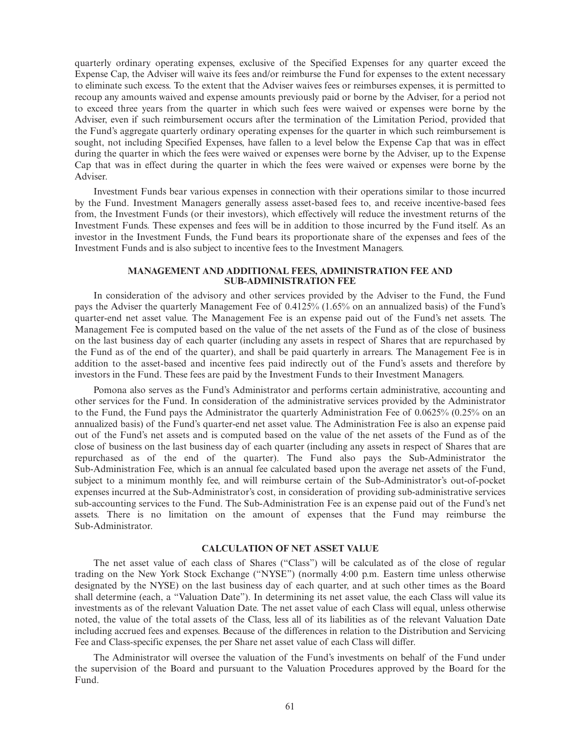quarterly ordinary operating expenses, exclusive of the Specified Expenses for any quarter exceed the Expense Cap, the Adviser will waive its fees and/or reimburse the Fund for expenses to the extent necessary to eliminate such excess. To the extent that the Adviser waives fees or reimburses expenses, it is permitted to recoup any amounts waived and expense amounts previously paid or borne by the Adviser, for a period not to exceed three years from the quarter in which such fees were waived or expenses were borne by the Adviser, even if such reimbursement occurs after the termination of the Limitation Period, provided that the Fund's aggregate quarterly ordinary operating expenses for the quarter in which such reimbursement is sought, not including Specified Expenses, have fallen to a level below the Expense Cap that was in effect during the quarter in which the fees were waived or expenses were borne by the Adviser, up to the Expense Cap that was in effect during the quarter in which the fees were waived or expenses were borne by the Adviser.

Investment Funds bear various expenses in connection with their operations similar to those incurred by the Fund. Investment Managers generally assess asset-based fees to, and receive incentive-based fees from, the Investment Funds (or their investors), which effectively will reduce the investment returns of the Investment Funds. These expenses and fees will be in addition to those incurred by the Fund itself. As an investor in the Investment Funds, the Fund bears its proportionate share of the expenses and fees of the Investment Funds and is also subject to incentive fees to the Investment Managers.

### **MANAGEMENT AND ADDITIONAL FEES, ADMINISTRATION FEE AND SUB-ADMINISTRATION FEE**

In consideration of the advisory and other services provided by the Adviser to the Fund, the Fund pays the Adviser the quarterly Management Fee of 0.4125% (1.65% on an annualized basis) of the Fund's quarter-end net asset value. The Management Fee is an expense paid out of the Fund's net assets. The Management Fee is computed based on the value of the net assets of the Fund as of the close of business on the last business day of each quarter (including any assets in respect of Shares that are repurchased by the Fund as of the end of the quarter), and shall be paid quarterly in arrears. The Management Fee is in addition to the asset-based and incentive fees paid indirectly out of the Fund's assets and therefore by investors in the Fund. These fees are paid by the Investment Funds to their Investment Managers.

Pomona also serves as the Fund's Administrator and performs certain administrative, accounting and other services for the Fund. In consideration of the administrative services provided by the Administrator to the Fund, the Fund pays the Administrator the quarterly Administration Fee of 0.0625% (0.25% on an annualized basis) of the Fund's quarter-end net asset value. The Administration Fee is also an expense paid out of the Fund's net assets and is computed based on the value of the net assets of the Fund as of the close of business on the last business day of each quarter (including any assets in respect of Shares that are repurchased as of the end of the quarter). The Fund also pays the Sub-Administrator the Sub-Administration Fee, which is an annual fee calculated based upon the average net assets of the Fund, subject to a minimum monthly fee, and will reimburse certain of the Sub-Administrator's out-of-pocket expenses incurred at the Sub-Administrator's cost, in consideration of providing sub-administrative services sub-accounting services to the Fund. The Sub-Administration Fee is an expense paid out of the Fund's net assets. There is no limitation on the amount of expenses that the Fund may reimburse the Sub-Administrator.

### **CALCULATION OF NET ASSET VALUE**

The net asset value of each class of Shares ("Class") will be calculated as of the close of regular trading on the New York Stock Exchange ("NYSE") (normally 4:00 p.m. Eastern time unless otherwise designated by the NYSE) on the last business day of each quarter, and at such other times as the Board shall determine (each, a "Valuation Date"). In determining its net asset value, the each Class will value its investments as of the relevant Valuation Date. The net asset value of each Class will equal, unless otherwise noted, the value of the total assets of the Class, less all of its liabilities as of the relevant Valuation Date including accrued fees and expenses. Because of the differences in relation to the Distribution and Servicing Fee and Class-specific expenses, the per Share net asset value of each Class will differ.

The Administrator will oversee the valuation of the Fund's investments on behalf of the Fund under the supervision of the Board and pursuant to the Valuation Procedures approved by the Board for the Fund.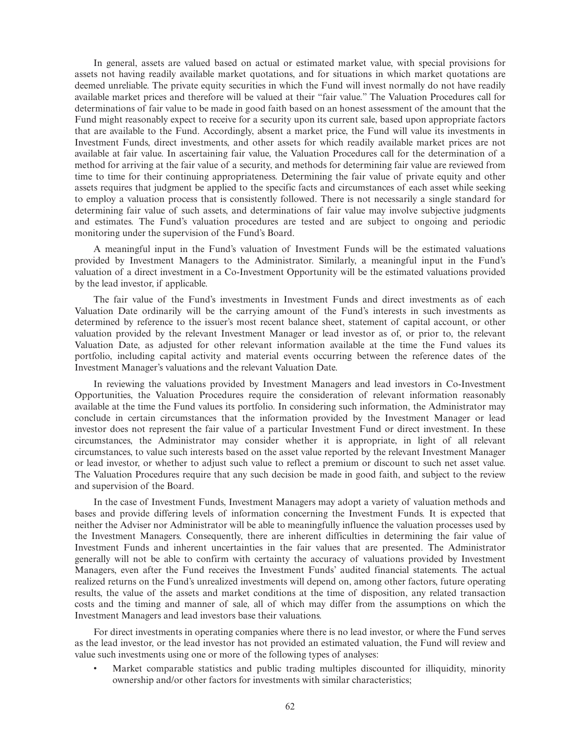In general, assets are valued based on actual or estimated market value, with special provisions for assets not having readily available market quotations, and for situations in which market quotations are deemed unreliable. The private equity securities in which the Fund will invest normally do not have readily available market prices and therefore will be valued at their "fair value." The Valuation Procedures call for determinations of fair value to be made in good faith based on an honest assessment of the amount that the Fund might reasonably expect to receive for a security upon its current sale, based upon appropriate factors that are available to the Fund. Accordingly, absent a market price, the Fund will value its investments in Investment Funds, direct investments, and other assets for which readily available market prices are not available at fair value. In ascertaining fair value, the Valuation Procedures call for the determination of a method for arriving at the fair value of a security, and methods for determining fair value are reviewed from time to time for their continuing appropriateness. Determining the fair value of private equity and other assets requires that judgment be applied to the specific facts and circumstances of each asset while seeking to employ a valuation process that is consistently followed. There is not necessarily a single standard for determining fair value of such assets, and determinations of fair value may involve subjective judgments and estimates. The Fund's valuation procedures are tested and are subject to ongoing and periodic monitoring under the supervision of the Fund's Board.

A meaningful input in the Fund's valuation of Investment Funds will be the estimated valuations provided by Investment Managers to the Administrator. Similarly, a meaningful input in the Fund's valuation of a direct investment in a Co-Investment Opportunity will be the estimated valuations provided by the lead investor, if applicable.

The fair value of the Fund's investments in Investment Funds and direct investments as of each Valuation Date ordinarily will be the carrying amount of the Fund's interests in such investments as determined by reference to the issuer's most recent balance sheet, statement of capital account, or other valuation provided by the relevant Investment Manager or lead investor as of, or prior to, the relevant Valuation Date, as adjusted for other relevant information available at the time the Fund values its portfolio, including capital activity and material events occurring between the reference dates of the Investment Manager's valuations and the relevant Valuation Date.

In reviewing the valuations provided by Investment Managers and lead investors in Co-Investment Opportunities, the Valuation Procedures require the consideration of relevant information reasonably available at the time the Fund values its portfolio. In considering such information, the Administrator may conclude in certain circumstances that the information provided by the Investment Manager or lead investor does not represent the fair value of a particular Investment Fund or direct investment. In these circumstances, the Administrator may consider whether it is appropriate, in light of all relevant circumstances, to value such interests based on the asset value reported by the relevant Investment Manager or lead investor, or whether to adjust such value to reflect a premium or discount to such net asset value. The Valuation Procedures require that any such decision be made in good faith, and subject to the review and supervision of the Board.

In the case of Investment Funds, Investment Managers may adopt a variety of valuation methods and bases and provide differing levels of information concerning the Investment Funds. It is expected that neither the Adviser nor Administrator will be able to meaningfully influence the valuation processes used by the Investment Managers. Consequently, there are inherent difficulties in determining the fair value of Investment Funds and inherent uncertainties in the fair values that are presented. The Administrator generally will not be able to confirm with certainty the accuracy of valuations provided by Investment Managers, even after the Fund receives the Investment Funds' audited financial statements. The actual realized returns on the Fund's unrealized investments will depend on, among other factors, future operating results, the value of the assets and market conditions at the time of disposition, any related transaction costs and the timing and manner of sale, all of which may differ from the assumptions on which the Investment Managers and lead investors base their valuations.

For direct investments in operating companies where there is no lead investor, or where the Fund serves as the lead investor, or the lead investor has not provided an estimated valuation, the Fund will review and value such investments using one or more of the following types of analyses:

• Market comparable statistics and public trading multiples discounted for illiquidity, minority ownership and/or other factors for investments with similar characteristics;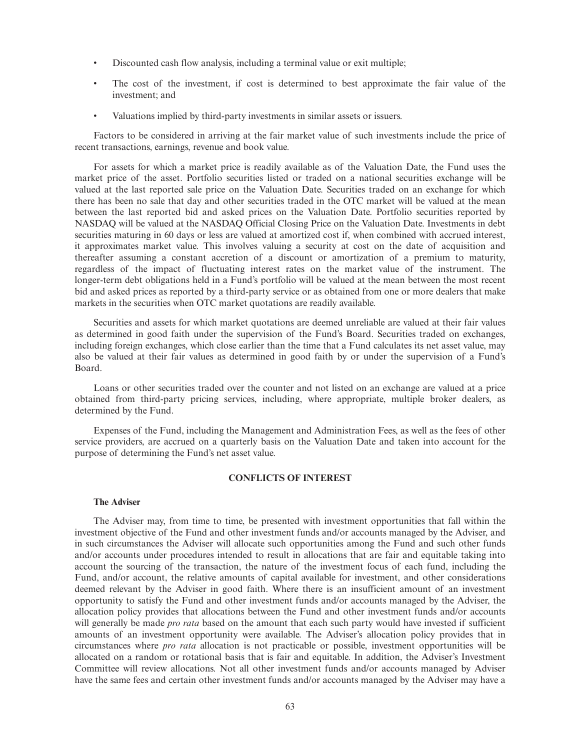- Discounted cash flow analysis, including a terminal value or exit multiple;
- The cost of the investment, if cost is determined to best approximate the fair value of the investment; and
- Valuations implied by third-party investments in similar assets or issuers.

Factors to be considered in arriving at the fair market value of such investments include the price of recent transactions, earnings, revenue and book value.

For assets for which a market price is readily available as of the Valuation Date, the Fund uses the market price of the asset. Portfolio securities listed or traded on a national securities exchange will be valued at the last reported sale price on the Valuation Date. Securities traded on an exchange for which there has been no sale that day and other securities traded in the OTC market will be valued at the mean between the last reported bid and asked prices on the Valuation Date. Portfolio securities reported by NASDAQ will be valued at the NASDAQ Official Closing Price on the Valuation Date. Investments in debt securities maturing in 60 days or less are valued at amortized cost if, when combined with accrued interest, it approximates market value. This involves valuing a security at cost on the date of acquisition and thereafter assuming a constant accretion of a discount or amortization of a premium to maturity, regardless of the impact of fluctuating interest rates on the market value of the instrument. The longer-term debt obligations held in a Fund's portfolio will be valued at the mean between the most recent bid and asked prices as reported by a third-party service or as obtained from one or more dealers that make markets in the securities when OTC market quotations are readily available.

Securities and assets for which market quotations are deemed unreliable are valued at their fair values as determined in good faith under the supervision of the Fund's Board. Securities traded on exchanges, including foreign exchanges, which close earlier than the time that a Fund calculates its net asset value, may also be valued at their fair values as determined in good faith by or under the supervision of a Fund's Board.

Loans or other securities traded over the counter and not listed on an exchange are valued at a price obtained from third-party pricing services, including, where appropriate, multiple broker dealers, as determined by the Fund.

Expenses of the Fund, including the Management and Administration Fees, as well as the fees of other service providers, are accrued on a quarterly basis on the Valuation Date and taken into account for the purpose of determining the Fund's net asset value.

# **CONFLICTS OF INTEREST**

# **The Adviser**

The Adviser may, from time to time, be presented with investment opportunities that fall within the investment objective of the Fund and other investment funds and/or accounts managed by the Adviser, and in such circumstances the Adviser will allocate such opportunities among the Fund and such other funds and/or accounts under procedures intended to result in allocations that are fair and equitable taking into account the sourcing of the transaction, the nature of the investment focus of each fund, including the Fund, and/or account, the relative amounts of capital available for investment, and other considerations deemed relevant by the Adviser in good faith. Where there is an insufficient amount of an investment opportunity to satisfy the Fund and other investment funds and/or accounts managed by the Adviser, the allocation policy provides that allocations between the Fund and other investment funds and/or accounts will generally be made *pro rata* based on the amount that each such party would have invested if sufficient amounts of an investment opportunity were available. The Adviser's allocation policy provides that in circumstances where *pro rata* allocation is not practicable or possible, investment opportunities will be allocated on a random or rotational basis that is fair and equitable. In addition, the Adviser's Investment Committee will review allocations. Not all other investment funds and/or accounts managed by Adviser have the same fees and certain other investment funds and/or accounts managed by the Adviser may have a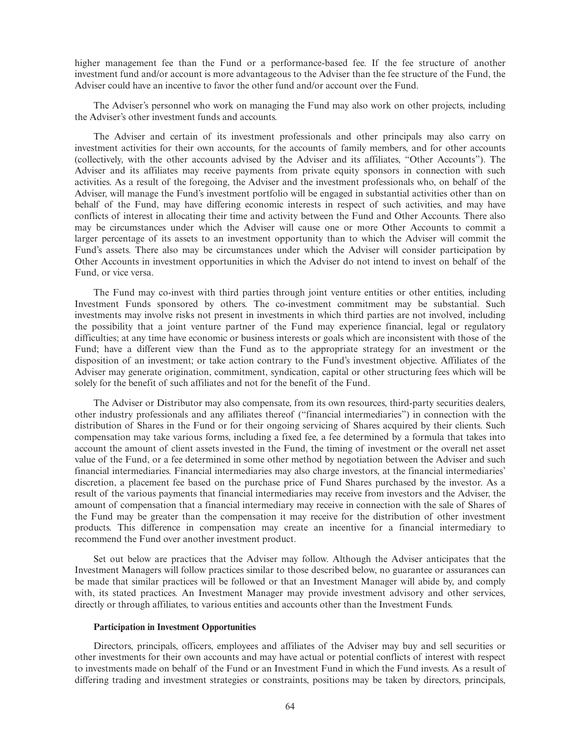higher management fee than the Fund or a performance-based fee. If the fee structure of another investment fund and/or account is more advantageous to the Adviser than the fee structure of the Fund, the Adviser could have an incentive to favor the other fund and/or account over the Fund.

The Adviser's personnel who work on managing the Fund may also work on other projects, including the Adviser's other investment funds and accounts.

The Adviser and certain of its investment professionals and other principals may also carry on investment activities for their own accounts, for the accounts of family members, and for other accounts (collectively, with the other accounts advised by the Adviser and its affiliates, "Other Accounts"). The Adviser and its affiliates may receive payments from private equity sponsors in connection with such activities. As a result of the foregoing, the Adviser and the investment professionals who, on behalf of the Adviser, will manage the Fund's investment portfolio will be engaged in substantial activities other than on behalf of the Fund, may have differing economic interests in respect of such activities, and may have conflicts of interest in allocating their time and activity between the Fund and Other Accounts. There also may be circumstances under which the Adviser will cause one or more Other Accounts to commit a larger percentage of its assets to an investment opportunity than to which the Adviser will commit the Fund's assets. There also may be circumstances under which the Adviser will consider participation by Other Accounts in investment opportunities in which the Adviser do not intend to invest on behalf of the Fund, or vice versa.

The Fund may co-invest with third parties through joint venture entities or other entities, including Investment Funds sponsored by others. The co-investment commitment may be substantial. Such investments may involve risks not present in investments in which third parties are not involved, including the possibility that a joint venture partner of the Fund may experience financial, legal or regulatory difficulties; at any time have economic or business interests or goals which are inconsistent with those of the Fund; have a different view than the Fund as to the appropriate strategy for an investment or the disposition of an investment; or take action contrary to the Fund's investment objective. Affiliates of the Adviser may generate origination, commitment, syndication, capital or other structuring fees which will be solely for the benefit of such affiliates and not for the benefit of the Fund.

The Adviser or Distributor may also compensate, from its own resources, third-party securities dealers, other industry professionals and any affiliates thereof ("financial intermediaries") in connection with the distribution of Shares in the Fund or for their ongoing servicing of Shares acquired by their clients. Such compensation may take various forms, including a fixed fee, a fee determined by a formula that takes into account the amount of client assets invested in the Fund, the timing of investment or the overall net asset value of the Fund, or a fee determined in some other method by negotiation between the Adviser and such financial intermediaries. Financial intermediaries may also charge investors, at the financial intermediaries' discretion, a placement fee based on the purchase price of Fund Shares purchased by the investor. As a result of the various payments that financial intermediaries may receive from investors and the Adviser, the amount of compensation that a financial intermediary may receive in connection with the sale of Shares of the Fund may be greater than the compensation it may receive for the distribution of other investment products. This difference in compensation may create an incentive for a financial intermediary to recommend the Fund over another investment product.

Set out below are practices that the Adviser may follow. Although the Adviser anticipates that the Investment Managers will follow practices similar to those described below, no guarantee or assurances can be made that similar practices will be followed or that an Investment Manager will abide by, and comply with, its stated practices. An Investment Manager may provide investment advisory and other services, directly or through affiliates, to various entities and accounts other than the Investment Funds.

#### **Participation in Investment Opportunities**

Directors, principals, officers, employees and affiliates of the Adviser may buy and sell securities or other investments for their own accounts and may have actual or potential conflicts of interest with respect to investments made on behalf of the Fund or an Investment Fund in which the Fund invests. As a result of differing trading and investment strategies or constraints, positions may be taken by directors, principals,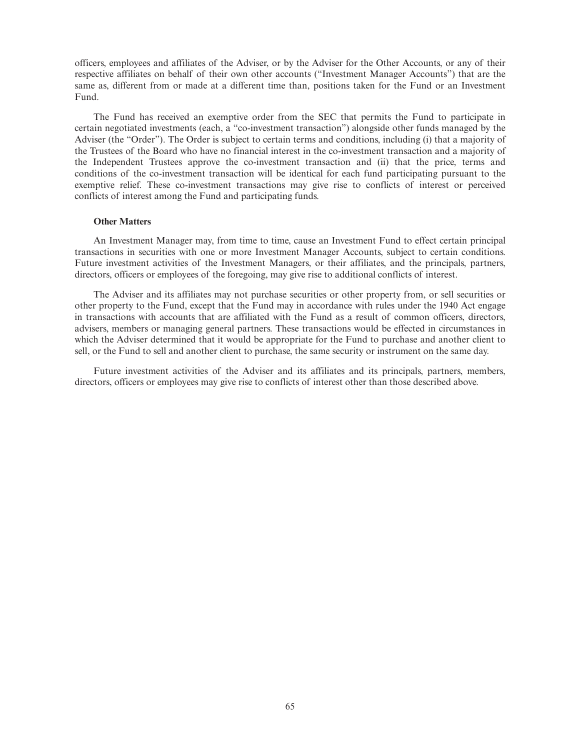officers, employees and affiliates of the Adviser, or by the Adviser for the Other Accounts, or any of their respective affiliates on behalf of their own other accounts ("Investment Manager Accounts") that are the same as, different from or made at a different time than, positions taken for the Fund or an Investment Fund.

The Fund has received an exemptive order from the SEC that permits the Fund to participate in certain negotiated investments (each, a "co-investment transaction") alongside other funds managed by the Adviser (the "Order"). The Order is subject to certain terms and conditions, including (i) that a majority of the Trustees of the Board who have no financial interest in the co-investment transaction and a majority of the Independent Trustees approve the co-investment transaction and (ii) that the price, terms and conditions of the co-investment transaction will be identical for each fund participating pursuant to the exemptive relief. These co-investment transactions may give rise to conflicts of interest or perceived conflicts of interest among the Fund and participating funds.

### **Other Matters**

An Investment Manager may, from time to time, cause an Investment Fund to effect certain principal transactions in securities with one or more Investment Manager Accounts, subject to certain conditions. Future investment activities of the Investment Managers, or their affiliates, and the principals, partners, directors, officers or employees of the foregoing, may give rise to additional conflicts of interest.

The Adviser and its affiliates may not purchase securities or other property from, or sell securities or other property to the Fund, except that the Fund may in accordance with rules under the 1940 Act engage in transactions with accounts that are affiliated with the Fund as a result of common officers, directors, advisers, members or managing general partners. These transactions would be effected in circumstances in which the Adviser determined that it would be appropriate for the Fund to purchase and another client to sell, or the Fund to sell and another client to purchase, the same security or instrument on the same day.

Future investment activities of the Adviser and its affiliates and its principals, partners, members, directors, officers or employees may give rise to conflicts of interest other than those described above.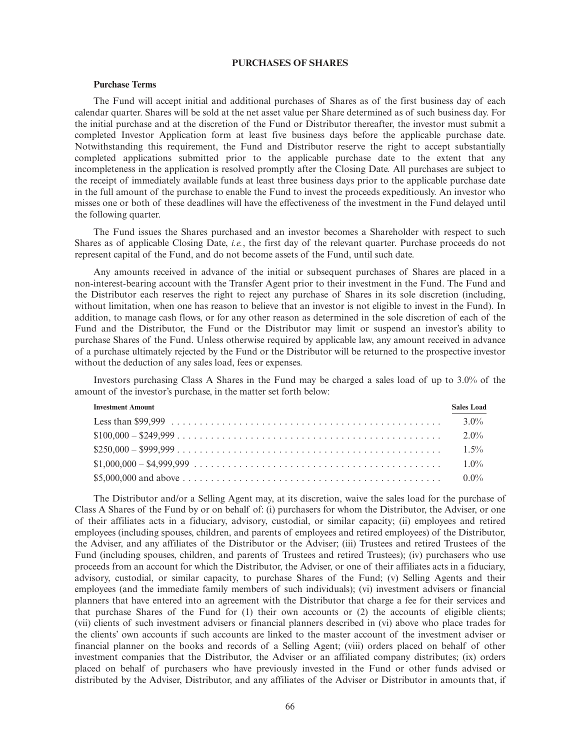# **PURCHASES OF SHARES**

### **Purchase Terms**

The Fund will accept initial and additional purchases of Shares as of the first business day of each calendar quarter. Shares will be sold at the net asset value per Share determined as of such business day. For the initial purchase and at the discretion of the Fund or Distributor thereafter, the investor must submit a completed Investor Application form at least five business days before the applicable purchase date. Notwithstanding this requirement, the Fund and Distributor reserve the right to accept substantially completed applications submitted prior to the applicable purchase date to the extent that any incompleteness in the application is resolved promptly after the Closing Date. All purchases are subject to the receipt of immediately available funds at least three business days prior to the applicable purchase date in the full amount of the purchase to enable the Fund to invest the proceeds expeditiously. An investor who misses one or both of these deadlines will have the effectiveness of the investment in the Fund delayed until the following quarter.

The Fund issues the Shares purchased and an investor becomes a Shareholder with respect to such Shares as of applicable Closing Date, *i.e.*, the first day of the relevant quarter. Purchase proceeds do not represent capital of the Fund, and do not become assets of the Fund, until such date.

Any amounts received in advance of the initial or subsequent purchases of Shares are placed in a non-interest-bearing account with the Transfer Agent prior to their investment in the Fund. The Fund and the Distributor each reserves the right to reject any purchase of Shares in its sole discretion (including, without limitation, when one has reason to believe that an investor is not eligible to invest in the Fund). In addition, to manage cash flows, or for any other reason as determined in the sole discretion of each of the Fund and the Distributor, the Fund or the Distributor may limit or suspend an investor's ability to purchase Shares of the Fund. Unless otherwise required by applicable law, any amount received in advance of a purchase ultimately rejected by the Fund or the Distributor will be returned to the prospective investor without the deduction of any sales load, fees or expenses.

Investors purchasing Class A Shares in the Fund may be charged a sales load of up to 3.0% of the amount of the investor's purchase, in the matter set forth below:

| <b>Investment Amount</b>                | <b>Sales Load</b> |
|-----------------------------------------|-------------------|
|                                         | $3.0\%$           |
|                                         | $2.0\%$           |
|                                         | $1.5\%$           |
| $$1,000,000 - $4,999,999              $ | $1.0\%$           |
|                                         | $0.0\%$           |

The Distributor and/or a Selling Agent may, at its discretion, waive the sales load for the purchase of Class A Shares of the Fund by or on behalf of: (i) purchasers for whom the Distributor, the Adviser, or one of their affiliates acts in a fiduciary, advisory, custodial, or similar capacity; (ii) employees and retired employees (including spouses, children, and parents of employees and retired employees) of the Distributor, the Adviser, and any affiliates of the Distributor or the Adviser; (iii) Trustees and retired Trustees of the Fund (including spouses, children, and parents of Trustees and retired Trustees); (iv) purchasers who use proceeds from an account for which the Distributor, the Adviser, or one of their affiliates acts in a fiduciary, advisory, custodial, or similar capacity, to purchase Shares of the Fund; (v) Selling Agents and their employees (and the immediate family members of such individuals); (vi) investment advisers or financial planners that have entered into an agreement with the Distributor that charge a fee for their services and that purchase Shares of the Fund for (1) their own accounts or (2) the accounts of eligible clients; (vii) clients of such investment advisers or financial planners described in (vi) above who place trades for the clients' own accounts if such accounts are linked to the master account of the investment adviser or financial planner on the books and records of a Selling Agent; (viii) orders placed on behalf of other investment companies that the Distributor, the Adviser or an affiliated company distributes; (ix) orders placed on behalf of purchasers who have previously invested in the Fund or other funds advised or distributed by the Adviser, Distributor, and any affiliates of the Adviser or Distributor in amounts that, if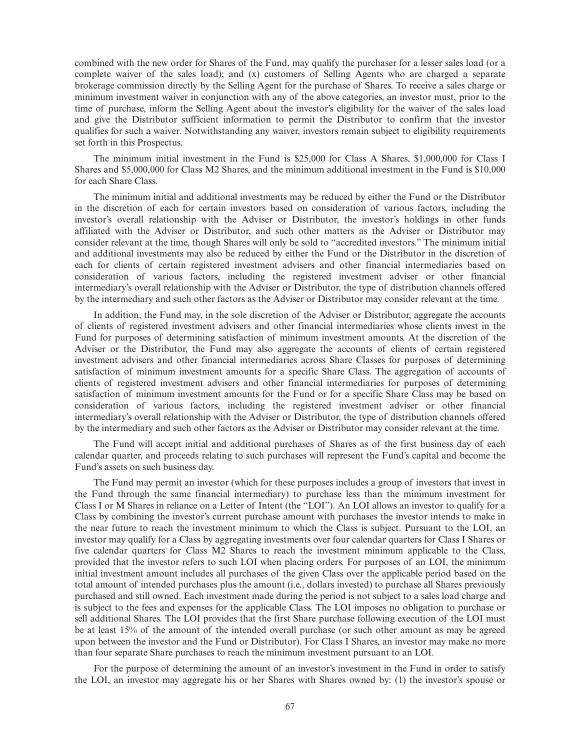combined with the new order for Shares of the Fund, may qualify the purchaser for a lesser sales load (or a complete waiver of the sales load); and (x) customers of Selling Agents who are charged a separate brokerage commission directly by the Selling Agent for the purchase of Shares. To receive a sales charge or minimum investment waiver in conjunction with any of the above categories, an investor must, prior to the time of purchase, inform the Selling Agent about the investor's eligibility for the waiver of the sales load and give the Distributor sufficient information to permit the Distributor to confirm that the investor qualifies for such a waiver. Notwithstanding any waiver, investors remain subject to eligibility requirements set forth in this Prospectus.

The minimum initial investment in the Fund is \$25,000 for Class A Shares, \$1,000,000 for Class I Shares and \$5,000,000 for Class M2 Shares, and the minimum additional investment in the Fund is \$10,000 for each Share Class.

The minimum initial and additional investments may be reduced by either the Fund or the Distributor in the discretion of each for certain investors based on consideration of various factors, including the investor's overall relationship with the Adviser or Distributor, the investor's holdings in other funds affiliated with the Adviser or Distributor, and such other matters as the Adviser or Distributor may consider relevant at the time, though Shares will only be sold to "accredited investors." The minimum initial and additional investments may also be reduced by either the Fund or the Distributor in the discretion of each for clients of certain registered investment advisers and other financial intermediaries based on consideration of various factors, including the registered investment adviser or other financial intermediary's overall relationship with the Adviser or Distributor, the type of distribution channels offered by the intermediary and such other factors as the Adviser or Distributor may consider relevant at the time.

In addition, the Fund may, in the sole discretion of the Adviser or Distributor, aggregate the accounts of clients of registered investment advisers and other financial intermediaries whose clients invest in the Fund for purposes of determining satisfaction of minimum investment amounts. At the discretion of the Adviser or the Distributor, the Fund may also aggregate the accounts of clients of certain registered investment advisers and other financial intermediaries across Share Classes for purposes of determining satisfaction of minimum investment amounts for a specific Share Class. The aggregation of accounts of clients of registered investment advisers and other financial intermediaries for purposes of determining satisfaction of minimum investment amounts for the Fund or for a specific Share Class may be based on consideration of various factors, including the registered investment adviser or other financial intermediary's overall relationship with the Adviser or Distributor, the type of distribution channels offered by the intermediary and such other factors as the Adviser or Distributor may consider relevant at the time.

The Fund will accept initial and additional purchases of Shares as of the first business day of each calendar quarter, and proceeds relating to such purchases will represent the Fund's capital and become the Fund's assets on such business day.

The Fund may permit an investor (which for these purposes includes a group of investors that invest in the Fund through the same financial intermediary) to purchase less than the minimum investment for Class I or M Shares in reliance on a Letter of Intent (the "LOI"). An LOI allows an investor to qualify for a Class by combining the investor's current purchase amount with purchases the investor intends to make in the near future to reach the investment minimum to which the Class is subject. Pursuant to the LOI, an investor may qualify for a Class by aggregating investments over four calendar quarters for Class I Shares or five calendar quarters for Class M2 Shares to reach the investment minimum applicable to the Class, provided that the investor refers to such LOI when placing orders. For purposes of an LOI, the minimum initial investment amount includes all purchases of the given Class over the applicable period based on the total amount of intended purchases plus the amount (i.e., dollars invested) to purchase all Shares previously purchased and still owned. Each investment made during the period is not subject to a sales load charge and is subject to the fees and expenses for the applicable Class. The LOI imposes no obligation to purchase or sell additional Shares. The LOI provides that the first Share purchase following execution of the LOI must be at least 15% of the amount of the intended overall purchase (or such other amount as may be agreed upon between the investor and the Fund or Distributor). For Class I Shares, an investor may make no more than four separate Share purchases to reach the minimum investment pursuant to an LOI.

For the purpose of determining the amount of an investor's investment in the Fund in order to satisfy the LOI, an investor may aggregate his or her Shares with Shares owned by: (1) the investor's spouse or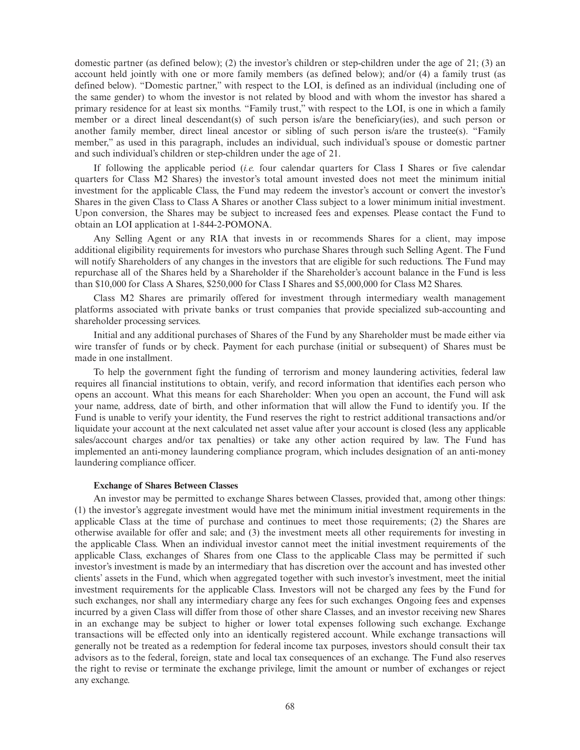domestic partner (as defined below); (2) the investor's children or step-children under the age of 21; (3) an account held jointly with one or more family members (as defined below); and/or (4) a family trust (as defined below). "Domestic partner," with respect to the LOI, is defined as an individual (including one of the same gender) to whom the investor is not related by blood and with whom the investor has shared a primary residence for at least six months. "Family trust," with respect to the LOI, is one in which a family member or a direct lineal descendant(s) of such person is/are the beneficiary(ies), and such person or another family member, direct lineal ancestor or sibling of such person is/are the trustee(s). "Family member," as used in this paragraph, includes an individual, such individual's spouse or domestic partner and such individual's children or step-children under the age of 21.

If following the applicable period (*i.e.* four calendar quarters for Class I Shares or five calendar quarters for Class M2 Shares) the investor's total amount invested does not meet the minimum initial investment for the applicable Class, the Fund may redeem the investor's account or convert the investor's Shares in the given Class to Class A Shares or another Class subject to a lower minimum initial investment. Upon conversion, the Shares may be subject to increased fees and expenses. Please contact the Fund to obtain an LOI application at 1-844-2-POMONA.

Any Selling Agent or any RIA that invests in or recommends Shares for a client, may impose additional eligibility requirements for investors who purchase Shares through such Selling Agent. The Fund will notify Shareholders of any changes in the investors that are eligible for such reductions. The Fund may repurchase all of the Shares held by a Shareholder if the Shareholder's account balance in the Fund is less than \$10,000 for Class A Shares, \$250,000 for Class I Shares and \$5,000,000 for Class M2 Shares.

Class M2 Shares are primarily offered for investment through intermediary wealth management platforms associated with private banks or trust companies that provide specialized sub-accounting and shareholder processing services.

Initial and any additional purchases of Shares of the Fund by any Shareholder must be made either via wire transfer of funds or by check. Payment for each purchase (initial or subsequent) of Shares must be made in one installment.

To help the government fight the funding of terrorism and money laundering activities, federal law requires all financial institutions to obtain, verify, and record information that identifies each person who opens an account. What this means for each Shareholder: When you open an account, the Fund will ask your name, address, date of birth, and other information that will allow the Fund to identify you. If the Fund is unable to verify your identity, the Fund reserves the right to restrict additional transactions and/or liquidate your account at the next calculated net asset value after your account is closed (less any applicable sales/account charges and/or tax penalties) or take any other action required by law. The Fund has implemented an anti-money laundering compliance program, which includes designation of an anti-money laundering compliance officer.

### **Exchange of Shares Between Classes**

An investor may be permitted to exchange Shares between Classes, provided that, among other things: (1) the investor's aggregate investment would have met the minimum initial investment requirements in the applicable Class at the time of purchase and continues to meet those requirements; (2) the Shares are otherwise available for offer and sale; and (3) the investment meets all other requirements for investing in the applicable Class. When an individual investor cannot meet the initial investment requirements of the applicable Class, exchanges of Shares from one Class to the applicable Class may be permitted if such investor's investment is made by an intermediary that has discretion over the account and has invested other clients' assets in the Fund, which when aggregated together with such investor's investment, meet the initial investment requirements for the applicable Class. Investors will not be charged any fees by the Fund for such exchanges, nor shall any intermediary charge any fees for such exchanges. Ongoing fees and expenses incurred by a given Class will differ from those of other share Classes, and an investor receiving new Shares in an exchange may be subject to higher or lower total expenses following such exchange. Exchange transactions will be effected only into an identically registered account. While exchange transactions will generally not be treated as a redemption for federal income tax purposes, investors should consult their tax advisors as to the federal, foreign, state and local tax consequences of an exchange. The Fund also reserves the right to revise or terminate the exchange privilege, limit the amount or number of exchanges or reject any exchange.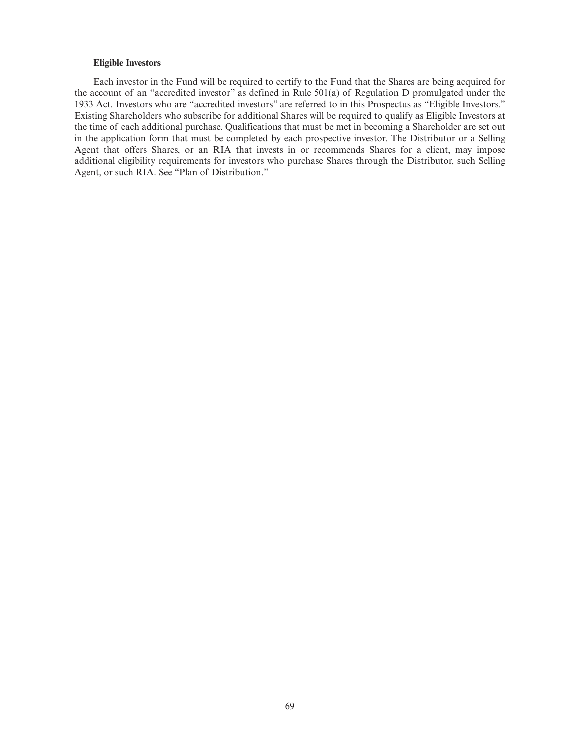# **Eligible Investors**

Each investor in the Fund will be required to certify to the Fund that the Shares are being acquired for the account of an "accredited investor" as defined in Rule 501(a) of Regulation D promulgated under the 1933 Act. Investors who are "accredited investors" are referred to in this Prospectus as "Eligible Investors." Existing Shareholders who subscribe for additional Shares will be required to qualify as Eligible Investors at the time of each additional purchase. Qualifications that must be met in becoming a Shareholder are set out in the application form that must be completed by each prospective investor. The Distributor or a Selling Agent that offers Shares, or an RIA that invests in or recommends Shares for a client, may impose additional eligibility requirements for investors who purchase Shares through the Distributor, such Selling Agent, or such RIA. See "Plan of Distribution."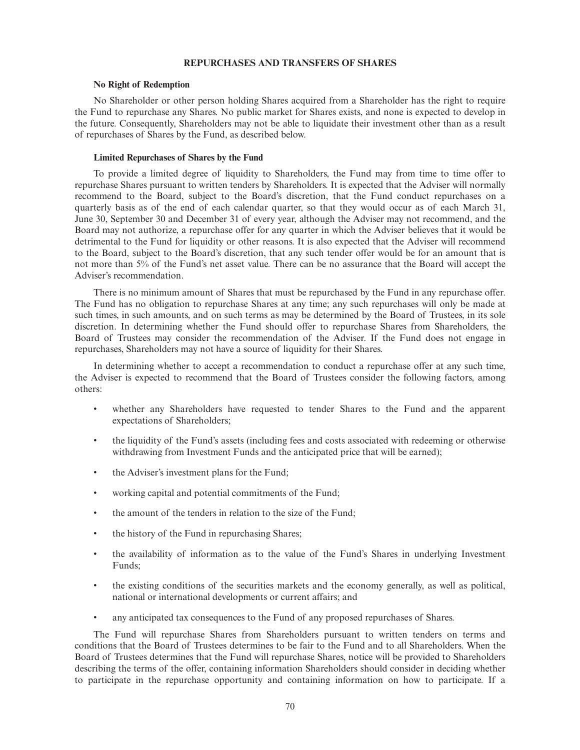# **REPURCHASES AND TRANSFERS OF SHARES**

#### **No Right of Redemption**

No Shareholder or other person holding Shares acquired from a Shareholder has the right to require the Fund to repurchase any Shares. No public market for Shares exists, and none is expected to develop in the future. Consequently, Shareholders may not be able to liquidate their investment other than as a result of repurchases of Shares by the Fund, as described below.

### **Limited Repurchases of Shares by the Fund**

To provide a limited degree of liquidity to Shareholders, the Fund may from time to time offer to repurchase Shares pursuant to written tenders by Shareholders. It is expected that the Adviser will normally recommend to the Board, subject to the Board's discretion, that the Fund conduct repurchases on a quarterly basis as of the end of each calendar quarter, so that they would occur as of each March 31, June 30, September 30 and December 31 of every year, although the Adviser may not recommend, and the Board may not authorize, a repurchase offer for any quarter in which the Adviser believes that it would be detrimental to the Fund for liquidity or other reasons. It is also expected that the Adviser will recommend to the Board, subject to the Board's discretion, that any such tender offer would be for an amount that is not more than 5% of the Fund's net asset value. There can be no assurance that the Board will accept the Adviser's recommendation.

There is no minimum amount of Shares that must be repurchased by the Fund in any repurchase offer. The Fund has no obligation to repurchase Shares at any time; any such repurchases will only be made at such times, in such amounts, and on such terms as may be determined by the Board of Trustees, in its sole discretion. In determining whether the Fund should offer to repurchase Shares from Shareholders, the Board of Trustees may consider the recommendation of the Adviser. If the Fund does not engage in repurchases, Shareholders may not have a source of liquidity for their Shares.

In determining whether to accept a recommendation to conduct a repurchase offer at any such time, the Adviser is expected to recommend that the Board of Trustees consider the following factors, among others:

- whether any Shareholders have requested to tender Shares to the Fund and the apparent expectations of Shareholders;
- the liquidity of the Fund's assets (including fees and costs associated with redeeming or otherwise withdrawing from Investment Funds and the anticipated price that will be earned);
- the Adviser's investment plans for the Fund;
- working capital and potential commitments of the Fund;
- the amount of the tenders in relation to the size of the Fund;
- the history of the Fund in repurchasing Shares;
- the availability of information as to the value of the Fund's Shares in underlying Investment Funds;
- the existing conditions of the securities markets and the economy generally, as well as political, national or international developments or current affairs; and
- any anticipated tax consequences to the Fund of any proposed repurchases of Shares.

The Fund will repurchase Shares from Shareholders pursuant to written tenders on terms and conditions that the Board of Trustees determines to be fair to the Fund and to all Shareholders. When the Board of Trustees determines that the Fund will repurchase Shares, notice will be provided to Shareholders describing the terms of the offer, containing information Shareholders should consider in deciding whether to participate in the repurchase opportunity and containing information on how to participate. If a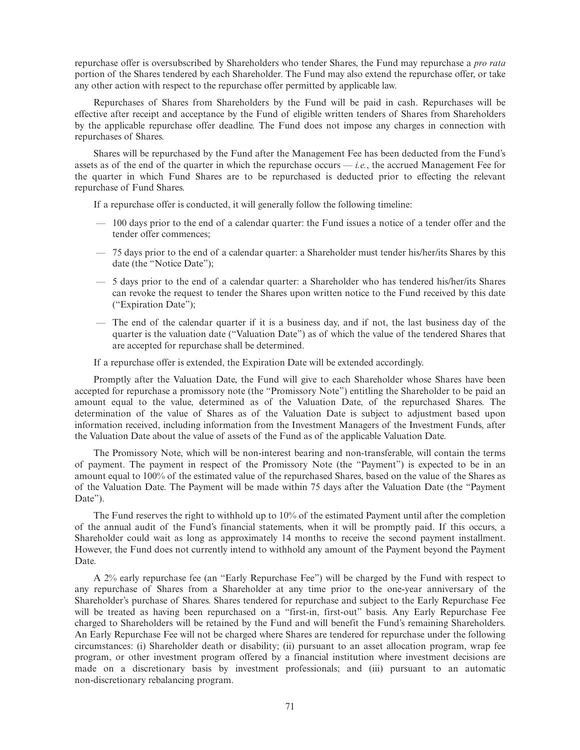repurchase offer is oversubscribed by Shareholders who tender Shares, the Fund may repurchase a *pro rata* portion of the Shares tendered by each Shareholder. The Fund may also extend the repurchase offer, or take any other action with respect to the repurchase offer permitted by applicable law.

Repurchases of Shares from Shareholders by the Fund will be paid in cash. Repurchases will be effective after receipt and acceptance by the Fund of eligible written tenders of Shares from Shareholders by the applicable repurchase offer deadline. The Fund does not impose any charges in connection with repurchases of Shares.

Shares will be repurchased by the Fund after the Management Fee has been deducted from the Fund's assets as of the end of the quarter in which the repurchase occurs — *i.e.*, the accrued Management Fee for the quarter in which Fund Shares are to be repurchased is deducted prior to effecting the relevant repurchase of Fund Shares.

If a repurchase offer is conducted, it will generally follow the following timeline:

- 100 days prior to the end of a calendar quarter: the Fund issues a notice of a tender offer and the tender offer commences;
- 75 days prior to the end of a calendar quarter: a Shareholder must tender his/her/its Shares by this date (the "Notice Date");
- 5 days prior to the end of a calendar quarter: a Shareholder who has tendered his/her/its Shares can revoke the request to tender the Shares upon written notice to the Fund received by this date ("Expiration Date");
- The end of the calendar quarter if it is a business day, and if not, the last business day of the quarter is the valuation date ("Valuation Date") as of which the value of the tendered Shares that are accepted for repurchase shall be determined.

If a repurchase offer is extended, the Expiration Date will be extended accordingly.

Promptly after the Valuation Date, the Fund will give to each Shareholder whose Shares have been accepted for repurchase a promissory note (the "Promissory Note") entitling the Shareholder to be paid an amount equal to the value, determined as of the Valuation Date, of the repurchased Shares. The determination of the value of Shares as of the Valuation Date is subject to adjustment based upon information received, including information from the Investment Managers of the Investment Funds, after the Valuation Date about the value of assets of the Fund as of the applicable Valuation Date.

The Promissory Note, which will be non-interest bearing and non-transferable, will contain the terms of payment. The payment in respect of the Promissory Note (the "Payment") is expected to be in an amount equal to 100% of the estimated value of the repurchased Shares, based on the value of the Shares as of the Valuation Date. The Payment will be made within 75 days after the Valuation Date (the "Payment Date").

The Fund reserves the right to withhold up to  $10\%$  of the estimated Payment until after the completion of the annual audit of the Fund's financial statements, when it will be promptly paid. If this occurs, a Shareholder could wait as long as approximately 14 months to receive the second payment installment. However, the Fund does not currently intend to withhold any amount of the Payment beyond the Payment Date.

A 2% early repurchase fee (an "Early Repurchase Fee") will be charged by the Fund with respect to any repurchase of Shares from a Shareholder at any time prior to the one-year anniversary of the Shareholder's purchase of Shares. Shares tendered for repurchase and subject to the Early Repurchase Fee will be treated as having been repurchased on a "first-in, first-out" basis. Any Early Repurchase Fee charged to Shareholders will be retained by the Fund and will benefit the Fund's remaining Shareholders. An Early Repurchase Fee will not be charged where Shares are tendered for repurchase under the following circumstances: (i) Shareholder death or disability; (ii) pursuant to an asset allocation program, wrap fee program, or other investment program offered by a financial institution where investment decisions are made on a discretionary basis by investment professionals; and (iii) pursuant to an automatic non-discretionary rebalancing program.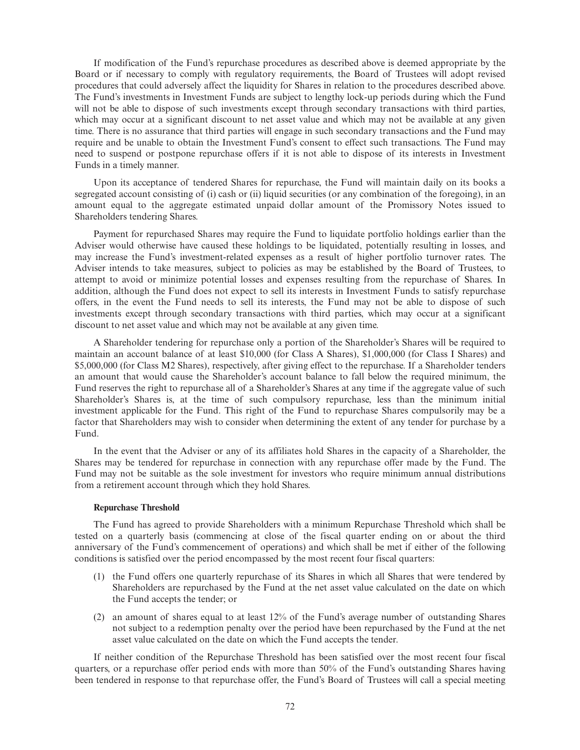If modification of the Fund's repurchase procedures as described above is deemed appropriate by the Board or if necessary to comply with regulatory requirements, the Board of Trustees will adopt revised procedures that could adversely affect the liquidity for Shares in relation to the procedures described above. The Fund's investments in Investment Funds are subject to lengthy lock-up periods during which the Fund will not be able to dispose of such investments except through secondary transactions with third parties, which may occur at a significant discount to net asset value and which may not be available at any given time. There is no assurance that third parties will engage in such secondary transactions and the Fund may require and be unable to obtain the Investment Fund's consent to effect such transactions. The Fund may need to suspend or postpone repurchase offers if it is not able to dispose of its interests in Investment Funds in a timely manner.

Upon its acceptance of tendered Shares for repurchase, the Fund will maintain daily on its books a segregated account consisting of (i) cash or (ii) liquid securities (or any combination of the foregoing), in an amount equal to the aggregate estimated unpaid dollar amount of the Promissory Notes issued to Shareholders tendering Shares.

Payment for repurchased Shares may require the Fund to liquidate portfolio holdings earlier than the Adviser would otherwise have caused these holdings to be liquidated, potentially resulting in losses, and may increase the Fund's investment-related expenses as a result of higher portfolio turnover rates. The Adviser intends to take measures, subject to policies as may be established by the Board of Trustees, to attempt to avoid or minimize potential losses and expenses resulting from the repurchase of Shares. In addition, although the Fund does not expect to sell its interests in Investment Funds to satisfy repurchase offers, in the event the Fund needs to sell its interests, the Fund may not be able to dispose of such investments except through secondary transactions with third parties, which may occur at a significant discount to net asset value and which may not be available at any given time.

A Shareholder tendering for repurchase only a portion of the Shareholder's Shares will be required to maintain an account balance of at least \$10,000 (for Class A Shares), \$1,000,000 (for Class I Shares) and \$5,000,000 (for Class M2 Shares), respectively, after giving effect to the repurchase. If a Shareholder tenders an amount that would cause the Shareholder's account balance to fall below the required minimum, the Fund reserves the right to repurchase all of a Shareholder's Shares at any time if the aggregate value of such Shareholder's Shares is, at the time of such compulsory repurchase, less than the minimum initial investment applicable for the Fund. This right of the Fund to repurchase Shares compulsorily may be a factor that Shareholders may wish to consider when determining the extent of any tender for purchase by a Fund.

In the event that the Adviser or any of its affiliates hold Shares in the capacity of a Shareholder, the Shares may be tendered for repurchase in connection with any repurchase offer made by the Fund. The Fund may not be suitable as the sole investment for investors who require minimum annual distributions from a retirement account through which they hold Shares.

#### **Repurchase Threshold**

The Fund has agreed to provide Shareholders with a minimum Repurchase Threshold which shall be tested on a quarterly basis (commencing at close of the fiscal quarter ending on or about the third anniversary of the Fund's commencement of operations) and which shall be met if either of the following conditions is satisfied over the period encompassed by the most recent four fiscal quarters:

- (1) the Fund offers one quarterly repurchase of its Shares in which all Shares that were tendered by Shareholders are repurchased by the Fund at the net asset value calculated on the date on which the Fund accepts the tender; or
- (2) an amount of shares equal to at least 12% of the Fund's average number of outstanding Shares not subject to a redemption penalty over the period have been repurchased by the Fund at the net asset value calculated on the date on which the Fund accepts the tender.

If neither condition of the Repurchase Threshold has been satisfied over the most recent four fiscal quarters, or a repurchase offer period ends with more than 50% of the Fund's outstanding Shares having been tendered in response to that repurchase offer, the Fund's Board of Trustees will call a special meeting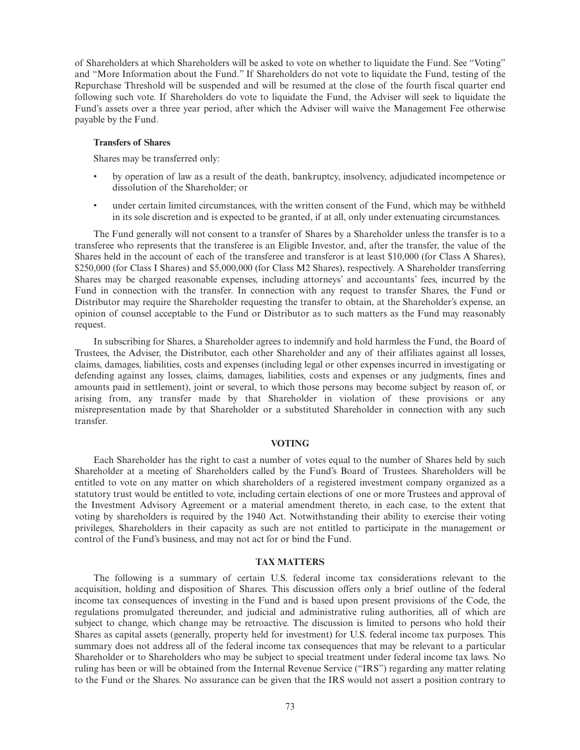of Shareholders at which Shareholders will be asked to vote on whether to liquidate the Fund. See "Voting" and "More Information about the Fund." If Shareholders do not vote to liquidate the Fund, testing of the Repurchase Threshold will be suspended and will be resumed at the close of the fourth fiscal quarter end following such vote. If Shareholders do vote to liquidate the Fund, the Adviser will seek to liquidate the Fund's assets over a three year period, after which the Adviser will waive the Management Fee otherwise payable by the Fund.

### **Transfers of Shares**

Shares may be transferred only:

- by operation of law as a result of the death, bankruptcy, insolvency, adjudicated incompetence or dissolution of the Shareholder; or
- under certain limited circumstances, with the written consent of the Fund, which may be withheld in its sole discretion and is expected to be granted, if at all, only under extenuating circumstances.

The Fund generally will not consent to a transfer of Shares by a Shareholder unless the transfer is to a transferee who represents that the transferee is an Eligible Investor, and, after the transfer, the value of the Shares held in the account of each of the transferee and transferor is at least \$10,000 (for Class A Shares), \$250,000 (for Class I Shares) and \$5,000,000 (for Class M2 Shares), respectively. A Shareholder transferring Shares may be charged reasonable expenses, including attorneys' and accountants' fees, incurred by the Fund in connection with the transfer. In connection with any request to transfer Shares, the Fund or Distributor may require the Shareholder requesting the transfer to obtain, at the Shareholder's expense, an opinion of counsel acceptable to the Fund or Distributor as to such matters as the Fund may reasonably request.

In subscribing for Shares, a Shareholder agrees to indemnify and hold harmless the Fund, the Board of Trustees, the Adviser, the Distributor, each other Shareholder and any of their affiliates against all losses, claims, damages, liabilities, costs and expenses (including legal or other expenses incurred in investigating or defending against any losses, claims, damages, liabilities, costs and expenses or any judgments, fines and amounts paid in settlement), joint or several, to which those persons may become subject by reason of, or arising from, any transfer made by that Shareholder in violation of these provisions or any misrepresentation made by that Shareholder or a substituted Shareholder in connection with any such transfer.

#### **VOTING**

Each Shareholder has the right to cast a number of votes equal to the number of Shares held by such Shareholder at a meeting of Shareholders called by the Fund's Board of Trustees. Shareholders will be entitled to vote on any matter on which shareholders of a registered investment company organized as a statutory trust would be entitled to vote, including certain elections of one or more Trustees and approval of the Investment Advisory Agreement or a material amendment thereto, in each case, to the extent that voting by shareholders is required by the 1940 Act. Notwithstanding their ability to exercise their voting privileges, Shareholders in their capacity as such are not entitled to participate in the management or control of the Fund's business, and may not act for or bind the Fund.

### **TAX MATTERS**

The following is a summary of certain U.S. federal income tax considerations relevant to the acquisition, holding and disposition of Shares. This discussion offers only a brief outline of the federal income tax consequences of investing in the Fund and is based upon present provisions of the Code, the regulations promulgated thereunder, and judicial and administrative ruling authorities, all of which are subject to change, which change may be retroactive. The discussion is limited to persons who hold their Shares as capital assets (generally, property held for investment) for U.S. federal income tax purposes. This summary does not address all of the federal income tax consequences that may be relevant to a particular Shareholder or to Shareholders who may be subject to special treatment under federal income tax laws. No ruling has been or will be obtained from the Internal Revenue Service ("IRS") regarding any matter relating to the Fund or the Shares. No assurance can be given that the IRS would not assert a position contrary to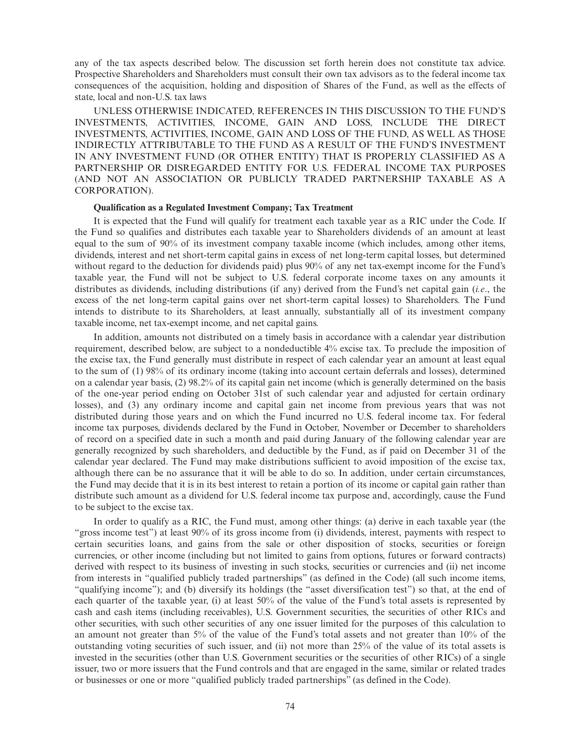any of the tax aspects described below. The discussion set forth herein does not constitute tax advice. Prospective Shareholders and Shareholders must consult their own tax advisors as to the federal income tax consequences of the acquisition, holding and disposition of Shares of the Fund, as well as the effects of state, local and non-U.S. tax laws

UNLESS OTHERWISE INDICATED, REFERENCES IN THIS DISCUSSION TO THE FUND'S INVESTMENTS, ACTIVITIES, INCOME, GAIN AND LOSS, INCLUDE THE DIRECT INVESTMENTS, ACTIVITIES, INCOME, GAIN AND LOSS OF THE FUND, AS WELL AS THOSE INDIRECTLY ATTRIBUTABLE TO THE FUND AS A RESULT OF THE FUND'S INVESTMENT IN ANY INVESTMENT FUND (OR OTHER ENTITY) THAT IS PROPERLY CLASSIFIED AS A PARTNERSHIP OR DISREGARDED ENTITY FOR U.S. FEDERAL INCOME TAX PURPOSES (AND NOT AN ASSOCIATION OR PUBLICLY TRADED PARTNERSHIP TAXABLE AS A CORPORATION).

#### **Qualification as a Regulated Investment Company; Tax Treatment**

It is expected that the Fund will qualify for treatment each taxable year as a RIC under the Code. If the Fund so qualifies and distributes each taxable year to Shareholders dividends of an amount at least equal to the sum of 90% of its investment company taxable income (which includes, among other items, dividends, interest and net short-term capital gains in excess of net long-term capital losses, but determined without regard to the deduction for dividends paid) plus 90% of any net tax-exempt income for the Fund's taxable year, the Fund will not be subject to U.S. federal corporate income taxes on any amounts it distributes as dividends, including distributions (if any) derived from the Fund's net capital gain (*i.e*., the excess of the net long-term capital gains over net short-term capital losses) to Shareholders. The Fund intends to distribute to its Shareholders, at least annually, substantially all of its investment company taxable income, net tax-exempt income, and net capital gains.

In addition, amounts not distributed on a timely basis in accordance with a calendar year distribution requirement, described below, are subject to a nondeductible 4% excise tax. To preclude the imposition of the excise tax, the Fund generally must distribute in respect of each calendar year an amount at least equal to the sum of (1) 98% of its ordinary income (taking into account certain deferrals and losses), determined on a calendar year basis, (2) 98.2% of its capital gain net income (which is generally determined on the basis of the one-year period ending on October 31st of such calendar year and adjusted for certain ordinary losses), and (3) any ordinary income and capital gain net income from previous years that was not distributed during those years and on which the Fund incurred no U.S. federal income tax. For federal income tax purposes, dividends declared by the Fund in October, November or December to shareholders of record on a specified date in such a month and paid during January of the following calendar year are generally recognized by such shareholders, and deductible by the Fund, as if paid on December 31 of the calendar year declared. The Fund may make distributions sufficient to avoid imposition of the excise tax, although there can be no assurance that it will be able to do so. In addition, under certain circumstances, the Fund may decide that it is in its best interest to retain a portion of its income or capital gain rather than distribute such amount as a dividend for U.S. federal income tax purpose and, accordingly, cause the Fund to be subject to the excise tax.

In order to qualify as a RIC, the Fund must, among other things: (a) derive in each taxable year (the "gross income test") at least 90% of its gross income from (i) dividends, interest, payments with respect to certain securities loans, and gains from the sale or other disposition of stocks, securities or foreign currencies, or other income (including but not limited to gains from options, futures or forward contracts) derived with respect to its business of investing in such stocks, securities or currencies and (ii) net income from interests in "qualified publicly traded partnerships" (as defined in the Code) (all such income items, "qualifying income"); and (b) diversify its holdings (the "asset diversification test") so that, at the end of each quarter of the taxable year, (i) at least 50% of the value of the Fund's total assets is represented by cash and cash items (including receivables), U.S. Government securities, the securities of other RICs and other securities, with such other securities of any one issuer limited for the purposes of this calculation to an amount not greater than 5% of the value of the Fund's total assets and not greater than 10% of the outstanding voting securities of such issuer, and (ii) not more than 25% of the value of its total assets is invested in the securities (other than U.S. Government securities or the securities of other RICs) of a single issuer, two or more issuers that the Fund controls and that are engaged in the same, similar or related trades or businesses or one or more "qualified publicly traded partnerships" (as defined in the Code).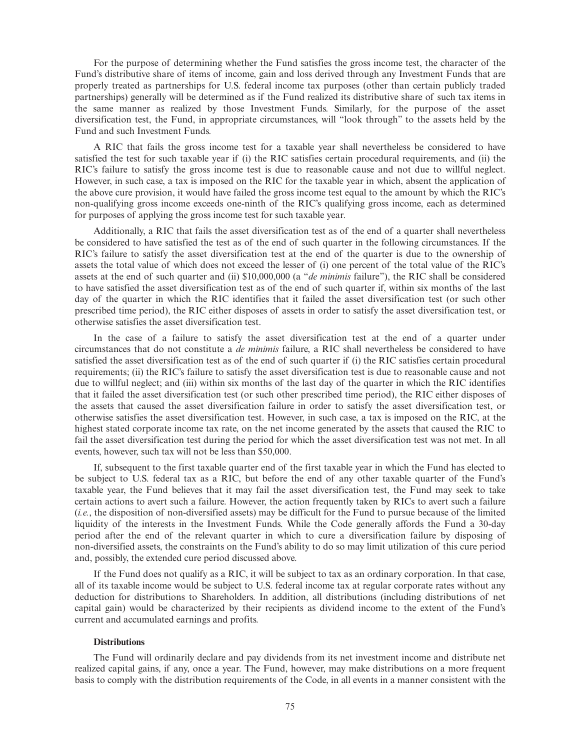For the purpose of determining whether the Fund satisfies the gross income test, the character of the Fund's distributive share of items of income, gain and loss derived through any Investment Funds that are properly treated as partnerships for U.S. federal income tax purposes (other than certain publicly traded partnerships) generally will be determined as if the Fund realized its distributive share of such tax items in the same manner as realized by those Investment Funds. Similarly, for the purpose of the asset diversification test, the Fund, in appropriate circumstances, will "look through" to the assets held by the Fund and such Investment Funds.

A RIC that fails the gross income test for a taxable year shall nevertheless be considered to have satisfied the test for such taxable year if (i) the RIC satisfies certain procedural requirements, and (ii) the RIC's failure to satisfy the gross income test is due to reasonable cause and not due to willful neglect. However, in such case, a tax is imposed on the RIC for the taxable year in which, absent the application of the above cure provision, it would have failed the gross income test equal to the amount by which the RIC's non-qualifying gross income exceeds one-ninth of the RIC's qualifying gross income, each as determined for purposes of applying the gross income test for such taxable year.

Additionally, a RIC that fails the asset diversification test as of the end of a quarter shall nevertheless be considered to have satisfied the test as of the end of such quarter in the following circumstances. If the RIC's failure to satisfy the asset diversification test at the end of the quarter is due to the ownership of assets the total value of which does not exceed the lesser of (i) one percent of the total value of the RIC's assets at the end of such quarter and (ii) \$10,000,000 (a "*de minimis* failure"), the RIC shall be considered to have satisfied the asset diversification test as of the end of such quarter if, within six months of the last day of the quarter in which the RIC identifies that it failed the asset diversification test (or such other prescribed time period), the RIC either disposes of assets in order to satisfy the asset diversification test, or otherwise satisfies the asset diversification test.

In the case of a failure to satisfy the asset diversification test at the end of a quarter under circumstances that do not constitute a *de minimis* failure, a RIC shall nevertheless be considered to have satisfied the asset diversification test as of the end of such quarter if (i) the RIC satisfies certain procedural requirements; (ii) the RIC's failure to satisfy the asset diversification test is due to reasonable cause and not due to willful neglect; and (iii) within six months of the last day of the quarter in which the RIC identifies that it failed the asset diversification test (or such other prescribed time period), the RIC either disposes of the assets that caused the asset diversification failure in order to satisfy the asset diversification test, or otherwise satisfies the asset diversification test. However, in such case, a tax is imposed on the RIC, at the highest stated corporate income tax rate, on the net income generated by the assets that caused the RIC to fail the asset diversification test during the period for which the asset diversification test was not met. In all events, however, such tax will not be less than \$50,000.

If, subsequent to the first taxable quarter end of the first taxable year in which the Fund has elected to be subject to U.S. federal tax as a RIC, but before the end of any other taxable quarter of the Fund's taxable year, the Fund believes that it may fail the asset diversification test, the Fund may seek to take certain actions to avert such a failure. However, the action frequently taken by RICs to avert such a failure (*i.e.*, the disposition of non-diversified assets) may be difficult for the Fund to pursue because of the limited liquidity of the interests in the Investment Funds. While the Code generally affords the Fund a 30-day period after the end of the relevant quarter in which to cure a diversification failure by disposing of non-diversified assets, the constraints on the Fund's ability to do so may limit utilization of this cure period and, possibly, the extended cure period discussed above.

If the Fund does not qualify as a RIC, it will be subject to tax as an ordinary corporation. In that case, all of its taxable income would be subject to U.S. federal income tax at regular corporate rates without any deduction for distributions to Shareholders. In addition, all distributions (including distributions of net capital gain) would be characterized by their recipients as dividend income to the extent of the Fund's current and accumulated earnings and profits.

# **Distributions**

The Fund will ordinarily declare and pay dividends from its net investment income and distribute net realized capital gains, if any, once a year. The Fund, however, may make distributions on a more frequent basis to comply with the distribution requirements of the Code, in all events in a manner consistent with the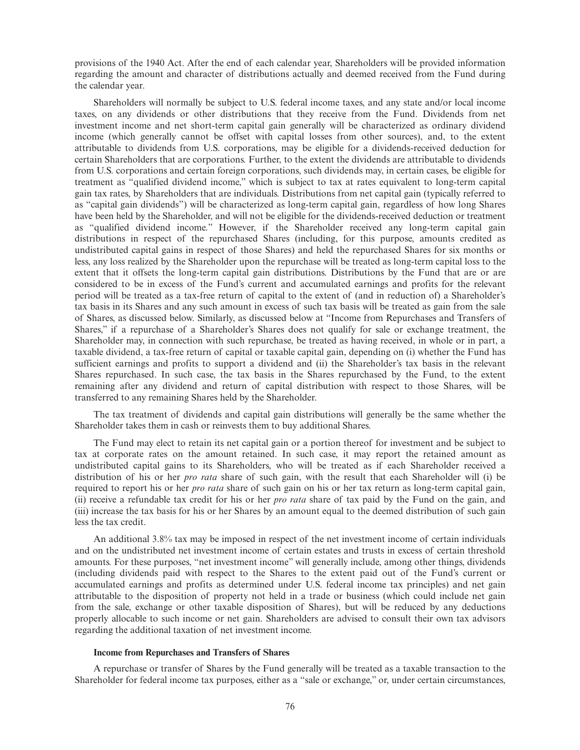provisions of the 1940 Act. After the end of each calendar year, Shareholders will be provided information regarding the amount and character of distributions actually and deemed received from the Fund during the calendar year.

Shareholders will normally be subject to U.S. federal income taxes, and any state and/or local income taxes, on any dividends or other distributions that they receive from the Fund. Dividends from net investment income and net short-term capital gain generally will be characterized as ordinary dividend income (which generally cannot be offset with capital losses from other sources), and, to the extent attributable to dividends from U.S. corporations, may be eligible for a dividends-received deduction for certain Shareholders that are corporations. Further, to the extent the dividends are attributable to dividends from U.S. corporations and certain foreign corporations, such dividends may, in certain cases, be eligible for treatment as "qualified dividend income," which is subject to tax at rates equivalent to long-term capital gain tax rates, by Shareholders that are individuals. Distributions from net capital gain (typically referred to as "capital gain dividends") will be characterized as long-term capital gain, regardless of how long Shares have been held by the Shareholder, and will not be eligible for the dividends-received deduction or treatment as "qualified dividend income." However, if the Shareholder received any long-term capital gain distributions in respect of the repurchased Shares (including, for this purpose, amounts credited as undistributed capital gains in respect of those Shares) and held the repurchased Shares for six months or less, any loss realized by the Shareholder upon the repurchase will be treated as long-term capital loss to the extent that it offsets the long-term capital gain distributions. Distributions by the Fund that are or are considered to be in excess of the Fund's current and accumulated earnings and profits for the relevant period will be treated as a tax-free return of capital to the extent of (and in reduction of) a Shareholder's tax basis in its Shares and any such amount in excess of such tax basis will be treated as gain from the sale of Shares, as discussed below. Similarly, as discussed below at "Income from Repurchases and Transfers of Shares," if a repurchase of a Shareholder's Shares does not qualify for sale or exchange treatment, the Shareholder may, in connection with such repurchase, be treated as having received, in whole or in part, a taxable dividend, a tax-free return of capital or taxable capital gain, depending on (i) whether the Fund has sufficient earnings and profits to support a dividend and (ii) the Shareholder's tax basis in the relevant Shares repurchased. In such case, the tax basis in the Shares repurchased by the Fund, to the extent remaining after any dividend and return of capital distribution with respect to those Shares, will be transferred to any remaining Shares held by the Shareholder.

The tax treatment of dividends and capital gain distributions will generally be the same whether the Shareholder takes them in cash or reinvests them to buy additional Shares.

The Fund may elect to retain its net capital gain or a portion thereof for investment and be subject to tax at corporate rates on the amount retained. In such case, it may report the retained amount as undistributed capital gains to its Shareholders, who will be treated as if each Shareholder received a distribution of his or her *pro rata* share of such gain, with the result that each Shareholder will (i) be required to report his or her *pro rata* share of such gain on his or her tax return as long-term capital gain, (ii) receive a refundable tax credit for his or her *pro rata* share of tax paid by the Fund on the gain, and (iii) increase the tax basis for his or her Shares by an amount equal to the deemed distribution of such gain less the tax credit.

An additional 3.8% tax may be imposed in respect of the net investment income of certain individuals and on the undistributed net investment income of certain estates and trusts in excess of certain threshold amounts. For these purposes, "net investment income" will generally include, among other things, dividends (including dividends paid with respect to the Shares to the extent paid out of the Fund's current or accumulated earnings and profits as determined under U.S. federal income tax principles) and net gain attributable to the disposition of property not held in a trade or business (which could include net gain from the sale, exchange or other taxable disposition of Shares), but will be reduced by any deductions properly allocable to such income or net gain. Shareholders are advised to consult their own tax advisors regarding the additional taxation of net investment income.

#### **Income from Repurchases and Transfers of Shares**

A repurchase or transfer of Shares by the Fund generally will be treated as a taxable transaction to the Shareholder for federal income tax purposes, either as a "sale or exchange," or, under certain circumstances,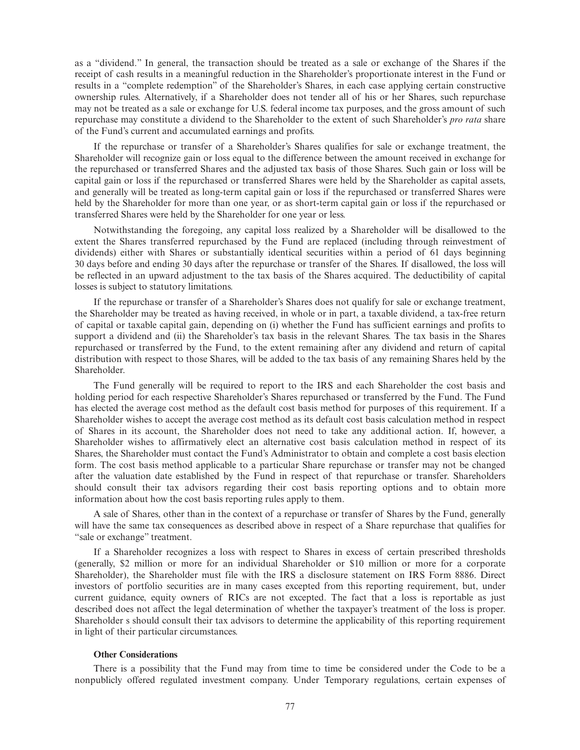as a "dividend." In general, the transaction should be treated as a sale or exchange of the Shares if the receipt of cash results in a meaningful reduction in the Shareholder's proportionate interest in the Fund or results in a "complete redemption" of the Shareholder's Shares, in each case applying certain constructive ownership rules. Alternatively, if a Shareholder does not tender all of his or her Shares, such repurchase may not be treated as a sale or exchange for U.S. federal income tax purposes, and the gross amount of such repurchase may constitute a dividend to the Shareholder to the extent of such Shareholder's *pro rata* share of the Fund's current and accumulated earnings and profits.

If the repurchase or transfer of a Shareholder's Shares qualifies for sale or exchange treatment, the Shareholder will recognize gain or loss equal to the difference between the amount received in exchange for the repurchased or transferred Shares and the adjusted tax basis of those Shares. Such gain or loss will be capital gain or loss if the repurchased or transferred Shares were held by the Shareholder as capital assets, and generally will be treated as long-term capital gain or loss if the repurchased or transferred Shares were held by the Shareholder for more than one year, or as short-term capital gain or loss if the repurchased or transferred Shares were held by the Shareholder for one year or less.

Notwithstanding the foregoing, any capital loss realized by a Shareholder will be disallowed to the extent the Shares transferred repurchased by the Fund are replaced (including through reinvestment of dividends) either with Shares or substantially identical securities within a period of 61 days beginning 30 days before and ending 30 days after the repurchase or transfer of the Shares. If disallowed, the loss will be reflected in an upward adjustment to the tax basis of the Shares acquired. The deductibility of capital losses is subject to statutory limitations.

If the repurchase or transfer of a Shareholder's Shares does not qualify for sale or exchange treatment, the Shareholder may be treated as having received, in whole or in part, a taxable dividend, a tax-free return of capital or taxable capital gain, depending on (i) whether the Fund has sufficient earnings and profits to support a dividend and (ii) the Shareholder's tax basis in the relevant Shares. The tax basis in the Shares repurchased or transferred by the Fund, to the extent remaining after any dividend and return of capital distribution with respect to those Shares, will be added to the tax basis of any remaining Shares held by the Shareholder.

The Fund generally will be required to report to the IRS and each Shareholder the cost basis and holding period for each respective Shareholder's Shares repurchased or transferred by the Fund. The Fund has elected the average cost method as the default cost basis method for purposes of this requirement. If a Shareholder wishes to accept the average cost method as its default cost basis calculation method in respect of Shares in its account, the Shareholder does not need to take any additional action. If, however, a Shareholder wishes to affirmatively elect an alternative cost basis calculation method in respect of its Shares, the Shareholder must contact the Fund's Administrator to obtain and complete a cost basis election form. The cost basis method applicable to a particular Share repurchase or transfer may not be changed after the valuation date established by the Fund in respect of that repurchase or transfer. Shareholders should consult their tax advisors regarding their cost basis reporting options and to obtain more information about how the cost basis reporting rules apply to them.

A sale of Shares, other than in the context of a repurchase or transfer of Shares by the Fund, generally will have the same tax consequences as described above in respect of a Share repurchase that qualifies for "sale or exchange" treatment.

If a Shareholder recognizes a loss with respect to Shares in excess of certain prescribed thresholds (generally, \$2 million or more for an individual Shareholder or \$10 million or more for a corporate Shareholder), the Shareholder must file with the IRS a disclosure statement on IRS Form 8886. Direct investors of portfolio securities are in many cases excepted from this reporting requirement, but, under current guidance, equity owners of RICs are not excepted. The fact that a loss is reportable as just described does not affect the legal determination of whether the taxpayer's treatment of the loss is proper. Shareholder s should consult their tax advisors to determine the applicability of this reporting requirement in light of their particular circumstances.

# **Other Considerations**

There is a possibility that the Fund may from time to time be considered under the Code to be a nonpublicly offered regulated investment company. Under Temporary regulations, certain expenses of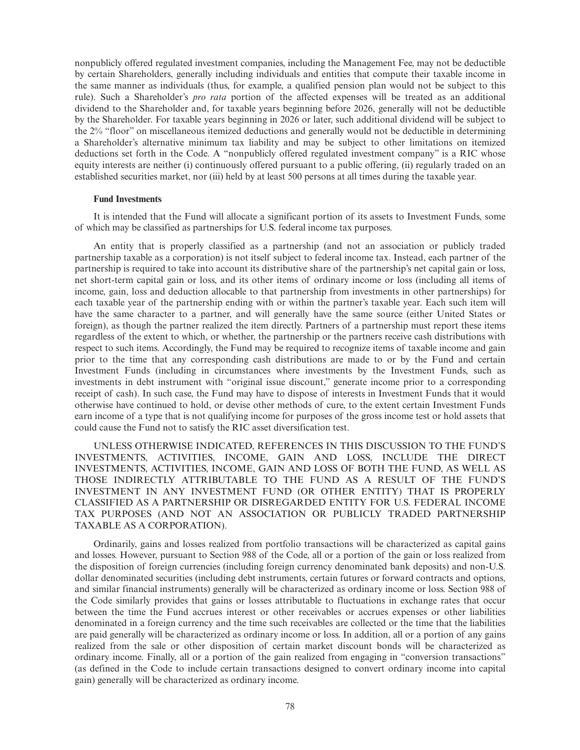nonpublicly offered regulated investment companies, including the Management Fee, may not be deductible by certain Shareholders, generally including individuals and entities that compute their taxable income in the same manner as individuals (thus, for example, a qualified pension plan would not be subject to this rule). Such a Shareholder's *pro rata* portion of the affected expenses will be treated as an additional dividend to the Shareholder and, for taxable years beginning before 2026, generally will not be deductible by the Shareholder. For taxable years beginning in 2026 or later, such additional dividend will be subject to the 2% "floor" on miscellaneous itemized deductions and generally would not be deductible in determining a Shareholder's alternative minimum tax liability and may be subject to other limitations on itemized deductions set forth in the Code. A "nonpublicly offered regulated investment company" is a RIC whose equity interests are neither (i) continuously offered pursuant to a public offering, (ii) regularly traded on an established securities market, nor (iii) held by at least 500 persons at all times during the taxable year.

#### **Fund Investments**

It is intended that the Fund will allocate a significant portion of its assets to Investment Funds, some of which may be classified as partnerships for U.S. federal income tax purposes.

An entity that is properly classified as a partnership (and not an association or publicly traded partnership taxable as a corporation) is not itself subject to federal income tax. Instead, each partner of the partnership is required to take into account its distributive share of the partnership's net capital gain or loss, net short-term capital gain or loss, and its other items of ordinary income or loss (including all items of income, gain, loss and deduction allocable to that partnership from investments in other partnerships) for each taxable year of the partnership ending with or within the partner's taxable year. Each such item will have the same character to a partner, and will generally have the same source (either United States or foreign), as though the partner realized the item directly. Partners of a partnership must report these items regardless of the extent to which, or whether, the partnership or the partners receive cash distributions with respect to such items. Accordingly, the Fund may be required to recognize items of taxable income and gain prior to the time that any corresponding cash distributions are made to or by the Fund and certain Investment Funds (including in circumstances where investments by the Investment Funds, such as investments in debt instrument with "original issue discount," generate income prior to a corresponding receipt of cash). In such case, the Fund may have to dispose of interests in Investment Funds that it would otherwise have continued to hold, or devise other methods of cure, to the extent certain Investment Funds earn income of a type that is not qualifying income for purposes of the gross income test or hold assets that could cause the Fund not to satisfy the RIC asset diversification test.

UNLESS OTHERWISE INDICATED, REFERENCES IN THIS DISCUSSION TO THE FUND'S INVESTMENTS, ACTIVITIES, INCOME, GAIN AND LOSS, INCLUDE THE DIRECT INVESTMENTS, ACTIVITIES, INCOME, GAIN AND LOSS OF BOTH THE FUND, AS WELL AS THOSE INDIRECTLY ATTRIBUTABLE TO THE FUND AS A RESULT OF THE FUND'S INVESTMENT IN ANY INVESTMENT FUND (OR OTHER ENTITY) THAT IS PROPERLY CLASSIFIED AS A PARTNERSHIP OR DISREGARDED ENTITY FOR U.S. FEDERAL INCOME TAX PURPOSES (AND NOT AN ASSOCIATION OR PUBLICLY TRADED PARTNERSHIP TAXABLE AS A CORPORATION).

Ordinarily, gains and losses realized from portfolio transactions will be characterized as capital gains and losses. However, pursuant to Section 988 of the Code, all or a portion of the gain or loss realized from the disposition of foreign currencies (including foreign currency denominated bank deposits) and non-U.S. dollar denominated securities (including debt instruments, certain futures or forward contracts and options, and similar financial instruments) generally will be characterized as ordinary income or loss. Section 988 of the Code similarly provides that gains or losses attributable to fluctuations in exchange rates that occur between the time the Fund accrues interest or other receivables or accrues expenses or other liabilities denominated in a foreign currency and the time such receivables are collected or the time that the liabilities are paid generally will be characterized as ordinary income or loss. In addition, all or a portion of any gains realized from the sale or other disposition of certain market discount bonds will be characterized as ordinary income. Finally, all or a portion of the gain realized from engaging in "conversion transactions" (as defined in the Code to include certain transactions designed to convert ordinary income into capital gain) generally will be characterized as ordinary income.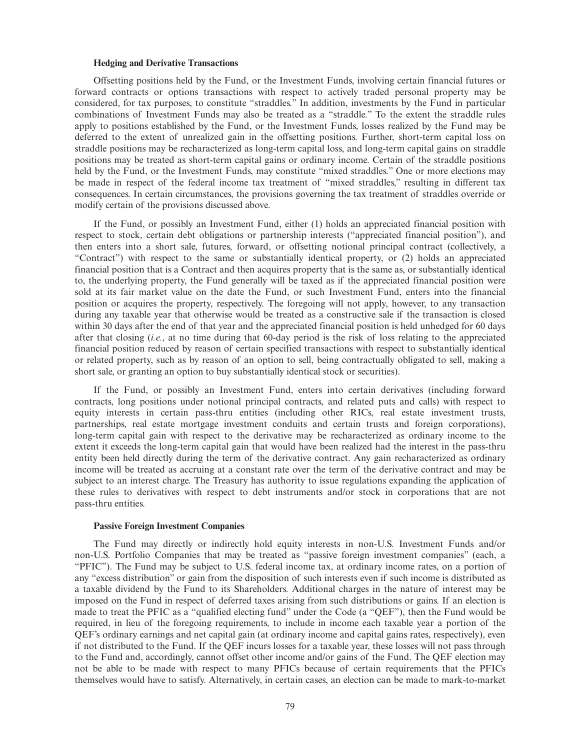#### **Hedging and Derivative Transactions**

Offsetting positions held by the Fund, or the Investment Funds, involving certain financial futures or forward contracts or options transactions with respect to actively traded personal property may be considered, for tax purposes, to constitute "straddles." In addition, investments by the Fund in particular combinations of Investment Funds may also be treated as a "straddle." To the extent the straddle rules apply to positions established by the Fund, or the Investment Funds, losses realized by the Fund may be deferred to the extent of unrealized gain in the offsetting positions. Further, short-term capital loss on straddle positions may be recharacterized as long-term capital loss, and long-term capital gains on straddle positions may be treated as short-term capital gains or ordinary income. Certain of the straddle positions held by the Fund, or the Investment Funds, may constitute "mixed straddles." One or more elections may be made in respect of the federal income tax treatment of "mixed straddles," resulting in different tax consequences. In certain circumstances, the provisions governing the tax treatment of straddles override or modify certain of the provisions discussed above.

If the Fund, or possibly an Investment Fund, either (1) holds an appreciated financial position with respect to stock, certain debt obligations or partnership interests ("appreciated financial position"), and then enters into a short sale, futures, forward, or offsetting notional principal contract (collectively, a "Contract") with respect to the same or substantially identical property, or (2) holds an appreciated financial position that is a Contract and then acquires property that is the same as, or substantially identical to, the underlying property, the Fund generally will be taxed as if the appreciated financial position were sold at its fair market value on the date the Fund, or such Investment Fund, enters into the financial position or acquires the property, respectively. The foregoing will not apply, however, to any transaction during any taxable year that otherwise would be treated as a constructive sale if the transaction is closed within 30 days after the end of that year and the appreciated financial position is held unhedged for 60 days after that closing (*i.e.*, at no time during that 60-day period is the risk of loss relating to the appreciated financial position reduced by reason of certain specified transactions with respect to substantially identical or related property, such as by reason of an option to sell, being contractually obligated to sell, making a short sale, or granting an option to buy substantially identical stock or securities).

If the Fund, or possibly an Investment Fund, enters into certain derivatives (including forward contracts, long positions under notional principal contracts, and related puts and calls) with respect to equity interests in certain pass-thru entities (including other RICs, real estate investment trusts, partnerships, real estate mortgage investment conduits and certain trusts and foreign corporations), long-term capital gain with respect to the derivative may be recharacterized as ordinary income to the extent it exceeds the long-term capital gain that would have been realized had the interest in the pass-thru entity been held directly during the term of the derivative contract. Any gain recharacterized as ordinary income will be treated as accruing at a constant rate over the term of the derivative contract and may be subject to an interest charge. The Treasury has authority to issue regulations expanding the application of these rules to derivatives with respect to debt instruments and/or stock in corporations that are not pass-thru entities.

#### **Passive Foreign Investment Companies**

The Fund may directly or indirectly hold equity interests in non-U.S. Investment Funds and/or non-U.S. Portfolio Companies that may be treated as "passive foreign investment companies" (each, a "PFIC"). The Fund may be subject to U.S. federal income tax, at ordinary income rates, on a portion of any "excess distribution" or gain from the disposition of such interests even if such income is distributed as a taxable dividend by the Fund to its Shareholders. Additional charges in the nature of interest may be imposed on the Fund in respect of deferred taxes arising from such distributions or gains. If an election is made to treat the PFIC as a "qualified electing fund" under the Code (a "QEF"), then the Fund would be required, in lieu of the foregoing requirements, to include in income each taxable year a portion of the QEF's ordinary earnings and net capital gain (at ordinary income and capital gains rates, respectively), even if not distributed to the Fund. If the QEF incurs losses for a taxable year, these losses will not pass through to the Fund and, accordingly, cannot offset other income and/or gains of the Fund. The QEF election may not be able to be made with respect to many PFICs because of certain requirements that the PFICs themselves would have to satisfy. Alternatively, in certain cases, an election can be made to mark-to-market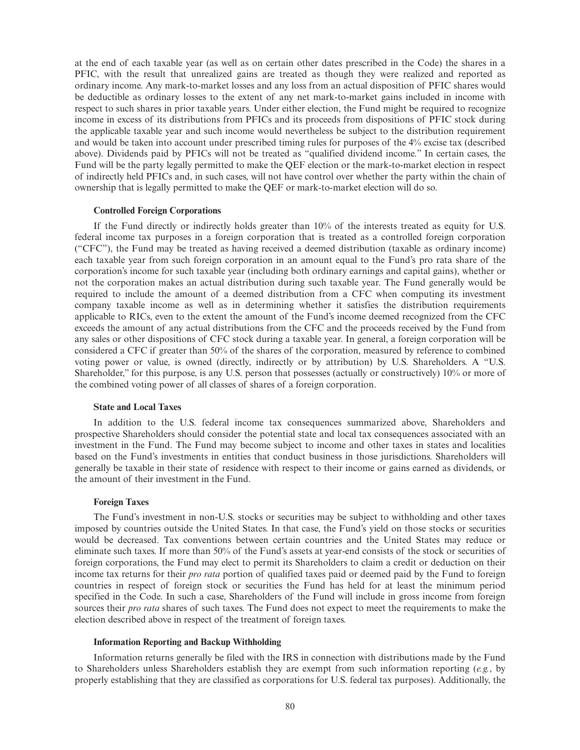at the end of each taxable year (as well as on certain other dates prescribed in the Code) the shares in a PFIC, with the result that unrealized gains are treated as though they were realized and reported as ordinary income. Any mark-to-market losses and any loss from an actual disposition of PFIC shares would be deductible as ordinary losses to the extent of any net mark-to-market gains included in income with respect to such shares in prior taxable years. Under either election, the Fund might be required to recognize income in excess of its distributions from PFICs and its proceeds from dispositions of PFIC stock during the applicable taxable year and such income would nevertheless be subject to the distribution requirement and would be taken into account under prescribed timing rules for purposes of the 4% excise tax (described above). Dividends paid by PFICs will not be treated as "qualified dividend income." In certain cases, the Fund will be the party legally permitted to make the QEF election or the mark-to-market election in respect of indirectly held PFICs and, in such cases, will not have control over whether the party within the chain of ownership that is legally permitted to make the QEF or mark-to-market election will do so.

#### **Controlled Foreign Corporations**

If the Fund directly or indirectly holds greater than 10% of the interests treated as equity for U.S. federal income tax purposes in a foreign corporation that is treated as a controlled foreign corporation ("CFC"), the Fund may be treated as having received a deemed distribution (taxable as ordinary income) each taxable year from such foreign corporation in an amount equal to the Fund's pro rata share of the corporation's income for such taxable year (including both ordinary earnings and capital gains), whether or not the corporation makes an actual distribution during such taxable year. The Fund generally would be required to include the amount of a deemed distribution from a CFC when computing its investment company taxable income as well as in determining whether it satisfies the distribution requirements applicable to RICs, even to the extent the amount of the Fund's income deemed recognized from the CFC exceeds the amount of any actual distributions from the CFC and the proceeds received by the Fund from any sales or other dispositions of CFC stock during a taxable year. In general, a foreign corporation will be considered a CFC if greater than 50% of the shares of the corporation, measured by reference to combined voting power or value, is owned (directly, indirectly or by attribution) by U.S. Shareholders. A "U.S. Shareholder," for this purpose, is any U.S. person that possesses (actually or constructively) 10% or more of the combined voting power of all classes of shares of a foreign corporation.

# **State and Local Taxes**

In addition to the U.S. federal income tax consequences summarized above, Shareholders and prospective Shareholders should consider the potential state and local tax consequences associated with an investment in the Fund. The Fund may become subject to income and other taxes in states and localities based on the Fund's investments in entities that conduct business in those jurisdictions. Shareholders will generally be taxable in their state of residence with respect to their income or gains earned as dividends, or the amount of their investment in the Fund.

#### **Foreign Taxes**

The Fund's investment in non-U.S. stocks or securities may be subject to withholding and other taxes imposed by countries outside the United States. In that case, the Fund's yield on those stocks or securities would be decreased. Tax conventions between certain countries and the United States may reduce or eliminate such taxes. If more than 50% of the Fund's assets at year-end consists of the stock or securities of foreign corporations, the Fund may elect to permit its Shareholders to claim a credit or deduction on their income tax returns for their *pro rata* portion of qualified taxes paid or deemed paid by the Fund to foreign countries in respect of foreign stock or securities the Fund has held for at least the minimum period specified in the Code. In such a case, Shareholders of the Fund will include in gross income from foreign sources their *pro rata* shares of such taxes. The Fund does not expect to meet the requirements to make the election described above in respect of the treatment of foreign taxes.

# **Information Reporting and Backup Withholding**

Information returns generally be filed with the IRS in connection with distributions made by the Fund to Shareholders unless Shareholders establish they are exempt from such information reporting (*e.g.*, by properly establishing that they are classified as corporations for U.S. federal tax purposes). Additionally, the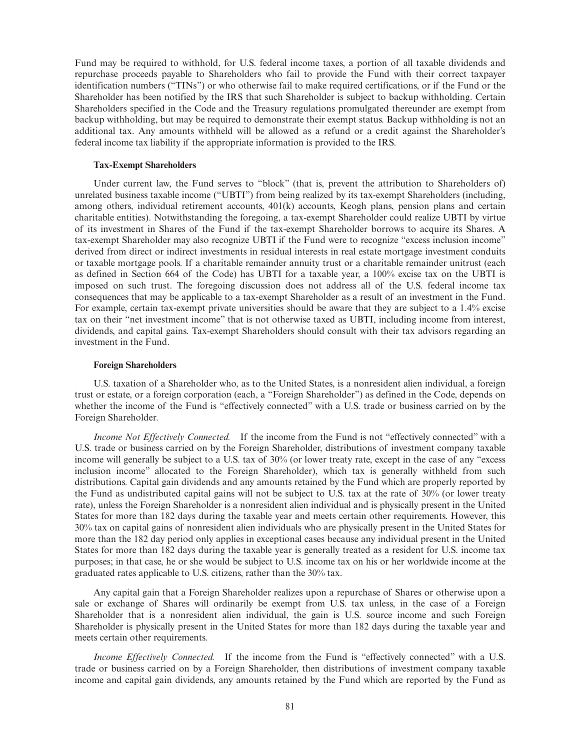Fund may be required to withhold, for U.S. federal income taxes, a portion of all taxable dividends and repurchase proceeds payable to Shareholders who fail to provide the Fund with their correct taxpayer identification numbers ("TINs") or who otherwise fail to make required certifications, or if the Fund or the Shareholder has been notified by the IRS that such Shareholder is subject to backup withholding. Certain Shareholders specified in the Code and the Treasury regulations promulgated thereunder are exempt from backup withholding, but may be required to demonstrate their exempt status. Backup withholding is not an additional tax. Any amounts withheld will be allowed as a refund or a credit against the Shareholder's federal income tax liability if the appropriate information is provided to the IRS.

#### **Tax-Exempt Shareholders**

Under current law, the Fund serves to "block" (that is, prevent the attribution to Shareholders of) unrelated business taxable income ("UBTI") from being realized by its tax-exempt Shareholders (including, among others, individual retirement accounts, 401(k) accounts, Keogh plans, pension plans and certain charitable entities). Notwithstanding the foregoing, a tax-exempt Shareholder could realize UBTI by virtue of its investment in Shares of the Fund if the tax-exempt Shareholder borrows to acquire its Shares. A tax-exempt Shareholder may also recognize UBTI if the Fund were to recognize "excess inclusion income" derived from direct or indirect investments in residual interests in real estate mortgage investment conduits or taxable mortgage pools. If a charitable remainder annuity trust or a charitable remainder unitrust (each as defined in Section 664 of the Code) has UBTI for a taxable year, a 100% excise tax on the UBTI is imposed on such trust. The foregoing discussion does not address all of the U.S. federal income tax consequences that may be applicable to a tax-exempt Shareholder as a result of an investment in the Fund. For example, certain tax-exempt private universities should be aware that they are subject to a 1.4% excise tax on their "net investment income" that is not otherwise taxed as UBTI, including income from interest, dividends, and capital gains. Tax-exempt Shareholders should consult with their tax advisors regarding an investment in the Fund.

#### **Foreign Shareholders**

U.S. taxation of a Shareholder who, as to the United States, is a nonresident alien individual, a foreign trust or estate, or a foreign corporation (each, a "Foreign Shareholder") as defined in the Code, depends on whether the income of the Fund is "effectively connected" with a U.S. trade or business carried on by the Foreign Shareholder.

*Income Not Effectively Connected.* If the income from the Fund is not "effectively connected" with a U.S. trade or business carried on by the Foreign Shareholder, distributions of investment company taxable income will generally be subject to a U.S. tax of 30% (or lower treaty rate, except in the case of any "excess inclusion income" allocated to the Foreign Shareholder), which tax is generally withheld from such distributions. Capital gain dividends and any amounts retained by the Fund which are properly reported by the Fund as undistributed capital gains will not be subject to U.S. tax at the rate of 30% (or lower treaty rate), unless the Foreign Shareholder is a nonresident alien individual and is physically present in the United States for more than 182 days during the taxable year and meets certain other requirements. However, this 30% tax on capital gains of nonresident alien individuals who are physically present in the United States for more than the 182 day period only applies in exceptional cases because any individual present in the United States for more than 182 days during the taxable year is generally treated as a resident for U.S. income tax purposes; in that case, he or she would be subject to U.S. income tax on his or her worldwide income at the graduated rates applicable to U.S. citizens, rather than the 30% tax.

Any capital gain that a Foreign Shareholder realizes upon a repurchase of Shares or otherwise upon a sale or exchange of Shares will ordinarily be exempt from U.S. tax unless, in the case of a Foreign Shareholder that is a nonresident alien individual, the gain is U.S. source income and such Foreign Shareholder is physically present in the United States for more than 182 days during the taxable year and meets certain other requirements.

*Income Effectively Connected.* If the income from the Fund is "effectively connected" with a U.S. trade or business carried on by a Foreign Shareholder, then distributions of investment company taxable income and capital gain dividends, any amounts retained by the Fund which are reported by the Fund as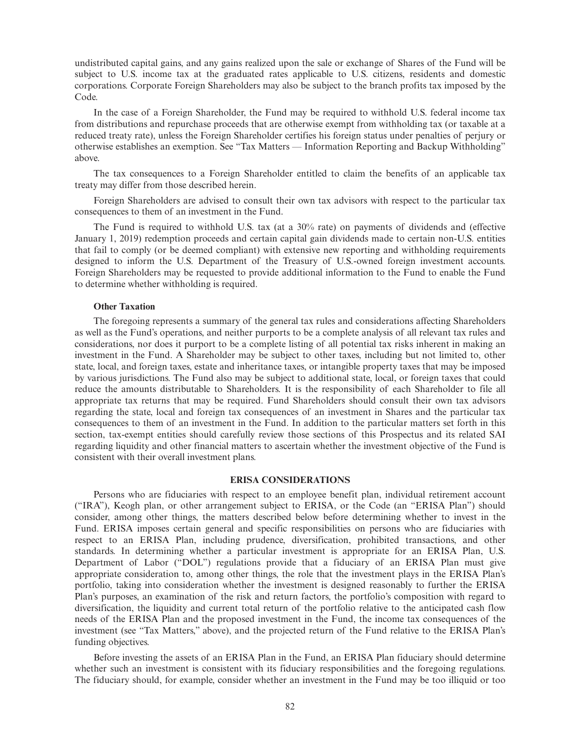undistributed capital gains, and any gains realized upon the sale or exchange of Shares of the Fund will be subject to U.S. income tax at the graduated rates applicable to U.S. citizens, residents and domestic corporations. Corporate Foreign Shareholders may also be subject to the branch profits tax imposed by the Code.

In the case of a Foreign Shareholder, the Fund may be required to withhold U.S. federal income tax from distributions and repurchase proceeds that are otherwise exempt from withholding tax (or taxable at a reduced treaty rate), unless the Foreign Shareholder certifies his foreign status under penalties of perjury or otherwise establishes an exemption. See "Tax Matters — Information Reporting and Backup Withholding" above.

The tax consequences to a Foreign Shareholder entitled to claim the benefits of an applicable tax treaty may differ from those described herein.

Foreign Shareholders are advised to consult their own tax advisors with respect to the particular tax consequences to them of an investment in the Fund.

The Fund is required to withhold U.S. tax (at a 30% rate) on payments of dividends and (effective January 1, 2019) redemption proceeds and certain capital gain dividends made to certain non-U.S. entities that fail to comply (or be deemed compliant) with extensive new reporting and withholding requirements designed to inform the U.S. Department of the Treasury of U.S.-owned foreign investment accounts. Foreign Shareholders may be requested to provide additional information to the Fund to enable the Fund to determine whether withholding is required.

### **Other Taxation**

The foregoing represents a summary of the general tax rules and considerations affecting Shareholders as well as the Fund's operations, and neither purports to be a complete analysis of all relevant tax rules and considerations, nor does it purport to be a complete listing of all potential tax risks inherent in making an investment in the Fund. A Shareholder may be subject to other taxes, including but not limited to, other state, local, and foreign taxes, estate and inheritance taxes, or intangible property taxes that may be imposed by various jurisdictions. The Fund also may be subject to additional state, local, or foreign taxes that could reduce the amounts distributable to Shareholders. It is the responsibility of each Shareholder to file all appropriate tax returns that may be required. Fund Shareholders should consult their own tax advisors regarding the state, local and foreign tax consequences of an investment in Shares and the particular tax consequences to them of an investment in the Fund. In addition to the particular matters set forth in this section, tax-exempt entities should carefully review those sections of this Prospectus and its related SAI regarding liquidity and other financial matters to ascertain whether the investment objective of the Fund is consistent with their overall investment plans.

# **ERISA CONSIDERATIONS**

Persons who are fiduciaries with respect to an employee benefit plan, individual retirement account ("IRA"), Keogh plan, or other arrangement subject to ERISA, or the Code (an "ERISA Plan") should consider, among other things, the matters described below before determining whether to invest in the Fund. ERISA imposes certain general and specific responsibilities on persons who are fiduciaries with respect to an ERISA Plan, including prudence, diversification, prohibited transactions, and other standards. In determining whether a particular investment is appropriate for an ERISA Plan, U.S. Department of Labor ("DOL") regulations provide that a fiduciary of an ERISA Plan must give appropriate consideration to, among other things, the role that the investment plays in the ERISA Plan's portfolio, taking into consideration whether the investment is designed reasonably to further the ERISA Plan's purposes, an examination of the risk and return factors, the portfolio's composition with regard to diversification, the liquidity and current total return of the portfolio relative to the anticipated cash flow needs of the ERISA Plan and the proposed investment in the Fund, the income tax consequences of the investment (see "Tax Matters," above), and the projected return of the Fund relative to the ERISA Plan's funding objectives.

Before investing the assets of an ERISA Plan in the Fund, an ERISA Plan fiduciary should determine whether such an investment is consistent with its fiduciary responsibilities and the foregoing regulations. The fiduciary should, for example, consider whether an investment in the Fund may be too illiquid or too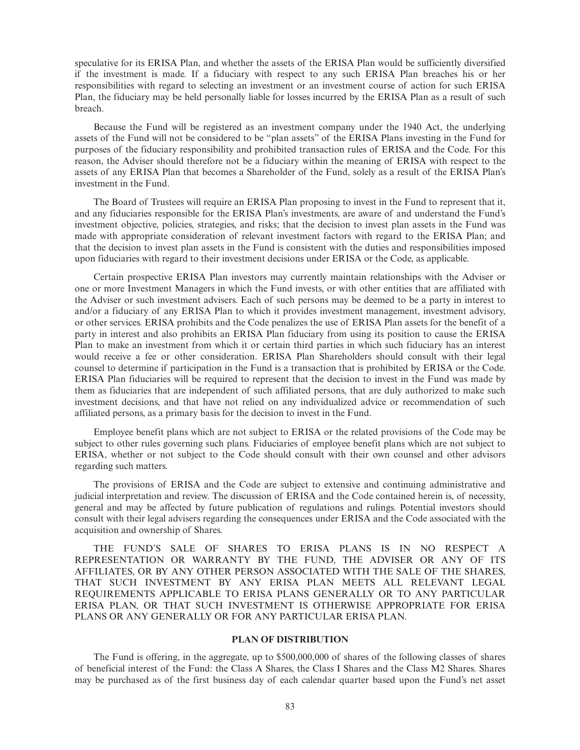speculative for its ERISA Plan, and whether the assets of the ERISA Plan would be sufficiently diversified if the investment is made. If a fiduciary with respect to any such ERISA Plan breaches his or her responsibilities with regard to selecting an investment or an investment course of action for such ERISA Plan, the fiduciary may be held personally liable for losses incurred by the ERISA Plan as a result of such breach.

Because the Fund will be registered as an investment company under the 1940 Act, the underlying assets of the Fund will not be considered to be "plan assets" of the ERISA Plans investing in the Fund for purposes of the fiduciary responsibility and prohibited transaction rules of ERISA and the Code. For this reason, the Adviser should therefore not be a fiduciary within the meaning of ERISA with respect to the assets of any ERISA Plan that becomes a Shareholder of the Fund, solely as a result of the ERISA Plan's investment in the Fund.

The Board of Trustees will require an ERISA Plan proposing to invest in the Fund to represent that it, and any fiduciaries responsible for the ERISA Plan's investments, are aware of and understand the Fund's investment objective, policies, strategies, and risks; that the decision to invest plan assets in the Fund was made with appropriate consideration of relevant investment factors with regard to the ERISA Plan; and that the decision to invest plan assets in the Fund is consistent with the duties and responsibilities imposed upon fiduciaries with regard to their investment decisions under ERISA or the Code, as applicable.

Certain prospective ERISA Plan investors may currently maintain relationships with the Adviser or one or more Investment Managers in which the Fund invests, or with other entities that are affiliated with the Adviser or such investment advisers. Each of such persons may be deemed to be a party in interest to and/or a fiduciary of any ERISA Plan to which it provides investment management, investment advisory, or other services. ERISA prohibits and the Code penalizes the use of ERISA Plan assets for the benefit of a party in interest and also prohibits an ERISA Plan fiduciary from using its position to cause the ERISA Plan to make an investment from which it or certain third parties in which such fiduciary has an interest would receive a fee or other consideration. ERISA Plan Shareholders should consult with their legal counsel to determine if participation in the Fund is a transaction that is prohibited by ERISA or the Code. ERISA Plan fiduciaries will be required to represent that the decision to invest in the Fund was made by them as fiduciaries that are independent of such affiliated persons, that are duly authorized to make such investment decisions, and that have not relied on any individualized advice or recommendation of such affiliated persons, as a primary basis for the decision to invest in the Fund.

Employee benefit plans which are not subject to ERISA or the related provisions of the Code may be subject to other rules governing such plans. Fiduciaries of employee benefit plans which are not subject to ERISA, whether or not subject to the Code should consult with their own counsel and other advisors regarding such matters.

The provisions of ERISA and the Code are subject to extensive and continuing administrative and judicial interpretation and review. The discussion of ERISA and the Code contained herein is, of necessity, general and may be affected by future publication of regulations and rulings. Potential investors should consult with their legal advisers regarding the consequences under ERISA and the Code associated with the acquisition and ownership of Shares.

THE FUND'S SALE OF SHARES TO ERISA PLANS IS IN NO RESPECT A REPRESENTATION OR WARRANTY BY THE FUND, THE ADVISER OR ANY OF ITS AFFILIATES, OR BY ANY OTHER PERSON ASSOCIATED WITH THE SALE OF THE SHARES, THAT SUCH INVESTMENT BY ANY ERISA PLAN MEETS ALL RELEVANT LEGAL REQUIREMENTS APPLICABLE TO ERISA PLANS GENERALLY OR TO ANY PARTICULAR ERISA PLAN, OR THAT SUCH INVESTMENT IS OTHERWISE APPROPRIATE FOR ERISA PLANS OR ANY GENERALLY OR FOR ANY PARTICULAR ERISA PLAN.

#### **PLAN OF DISTRIBUTION**

The Fund is offering, in the aggregate, up to \$500,000,000 of shares of the following classes of shares of beneficial interest of the Fund: the Class A Shares, the Class I Shares and the Class M2 Shares. Shares may be purchased as of the first business day of each calendar quarter based upon the Fund's net asset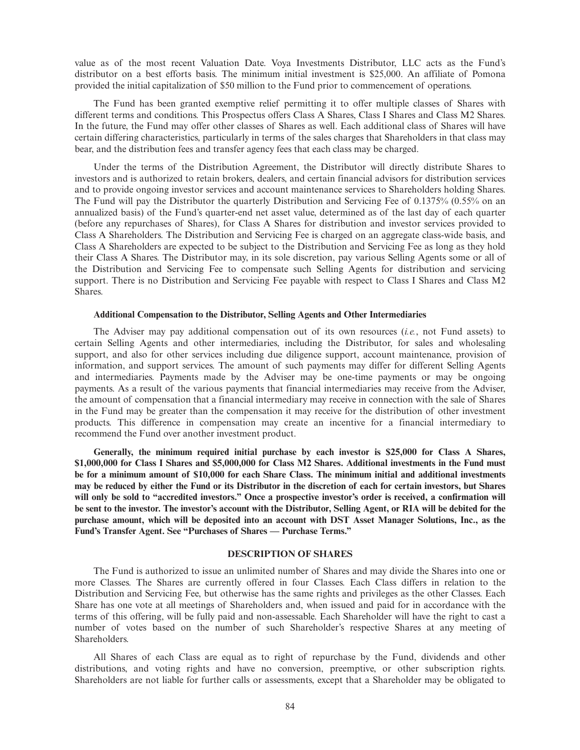value as of the most recent Valuation Date. Voya Investments Distributor, LLC acts as the Fund's distributor on a best efforts basis. The minimum initial investment is \$25,000. An affiliate of Pomona provided the initial capitalization of \$50 million to the Fund prior to commencement of operations.

The Fund has been granted exemptive relief permitting it to offer multiple classes of Shares with different terms and conditions. This Prospectus offers Class A Shares, Class I Shares and Class M2 Shares. In the future, the Fund may offer other classes of Shares as well. Each additional class of Shares will have certain differing characteristics, particularly in terms of the sales charges that Shareholders in that class may bear, and the distribution fees and transfer agency fees that each class may be charged.

Under the terms of the Distribution Agreement, the Distributor will directly distribute Shares to investors and is authorized to retain brokers, dealers, and certain financial advisors for distribution services and to provide ongoing investor services and account maintenance services to Shareholders holding Shares. The Fund will pay the Distributor the quarterly Distribution and Servicing Fee of 0.1375% (0.55% on an annualized basis) of the Fund's quarter-end net asset value, determined as of the last day of each quarter (before any repurchases of Shares), for Class A Shares for distribution and investor services provided to Class A Shareholders. The Distribution and Servicing Fee is charged on an aggregate class-wide basis, and Class A Shareholders are expected to be subject to the Distribution and Servicing Fee as long as they hold their Class A Shares. The Distributor may, in its sole discretion, pay various Selling Agents some or all of the Distribution and Servicing Fee to compensate such Selling Agents for distribution and servicing support. There is no Distribution and Servicing Fee payable with respect to Class I Shares and Class M2 Shares.

# **Additional Compensation to the Distributor, Selling Agents and Other Intermediaries**

The Adviser may pay additional compensation out of its own resources (*i.e.*, not Fund assets) to certain Selling Agents and other intermediaries, including the Distributor, for sales and wholesaling support, and also for other services including due diligence support, account maintenance, provision of information, and support services. The amount of such payments may differ for different Selling Agents and intermediaries. Payments made by the Adviser may be one-time payments or may be ongoing payments. As a result of the various payments that financial intermediaries may receive from the Adviser, the amount of compensation that a financial intermediary may receive in connection with the sale of Shares in the Fund may be greater than the compensation it may receive for the distribution of other investment products. This difference in compensation may create an incentive for a financial intermediary to recommend the Fund over another investment product.

**Generally, the minimum required initial purchase by each investor is \$25,000 for Class A Shares, \$1,000,000 for Class I Shares and \$5,000,000 for Class M2 Shares. Additional investments in the Fund must be for a minimum amount of \$10,000 for each Share Class. The minimum initial and additional investments may be reduced by either the Fund or its Distributor in the discretion of each for certain investors, but Shares will only be sold to "accredited investors." Once a prospective investor's order is received, a confirmation will be sent to the investor. The investor's account with the Distributor, Selling Agent, or RIA will be debited for the purchase amount, which will be deposited into an account with DST Asset Manager Solutions, Inc., as the Fund's Transfer Agent. See "Purchases of Shares — Purchase Terms."**

# **DESCRIPTION OF SHARES**

The Fund is authorized to issue an unlimited number of Shares and may divide the Shares into one or more Classes. The Shares are currently offered in four Classes. Each Class differs in relation to the Distribution and Servicing Fee, but otherwise has the same rights and privileges as the other Classes. Each Share has one vote at all meetings of Shareholders and, when issued and paid for in accordance with the terms of this offering, will be fully paid and non-assessable. Each Shareholder will have the right to cast a number of votes based on the number of such Shareholder's respective Shares at any meeting of Shareholders.

All Shares of each Class are equal as to right of repurchase by the Fund, dividends and other distributions, and voting rights and have no conversion, preemptive, or other subscription rights. Shareholders are not liable for further calls or assessments, except that a Shareholder may be obligated to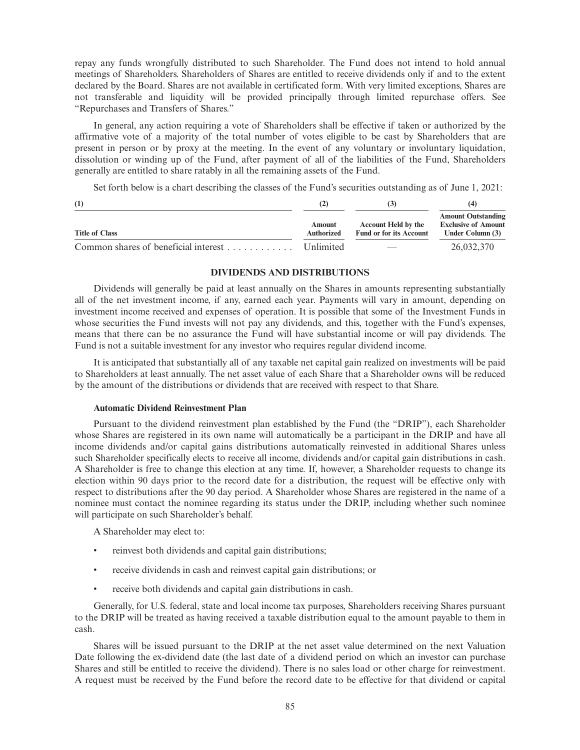repay any funds wrongfully distributed to such Shareholder. The Fund does not intend to hold annual meetings of Shareholders. Shareholders of Shares are entitled to receive dividends only if and to the extent declared by the Board. Shares are not available in certificated form. With very limited exceptions, Shares are not transferable and liquidity will be provided principally through limited repurchase offers. See "Repurchases and Transfers of Shares."

In general, any action requiring a vote of Shareholders shall be effective if taken or authorized by the affirmative vote of a majority of the total number of votes eligible to be cast by Shareholders that are present in person or by proxy at the meeting. In the event of any voluntary or involuntary liquidation, dissolution or winding up of the Fund, after payment of all of the liabilities of the Fund, Shareholders generally are entitled to share ratably in all the remaining assets of the Fund.

Set forth below is a chart describing the classes of the Fund's securities outstanding as of June 1, 2021:

| (1)                                  | (2)                         |                                                              |                                                                             |
|--------------------------------------|-----------------------------|--------------------------------------------------------------|-----------------------------------------------------------------------------|
| <b>Title of Class</b>                | Amount<br><b>Authorized</b> | <b>Account Held by the</b><br><b>Fund or for its Account</b> | <b>Amount Outstanding</b><br><b>Exclusive of Amount</b><br>Under Column (3) |
| Common shares of beneficial interest | <b>Unlimited</b>            | $\overline{\phantom{m}}$                                     | 26,032,370                                                                  |

# **DIVIDENDS AND DISTRIBUTIONS**

Dividends will generally be paid at least annually on the Shares in amounts representing substantially all of the net investment income, if any, earned each year. Payments will vary in amount, depending on investment income received and expenses of operation. It is possible that some of the Investment Funds in whose securities the Fund invests will not pay any dividends, and this, together with the Fund's expenses, means that there can be no assurance the Fund will have substantial income or will pay dividends. The Fund is not a suitable investment for any investor who requires regular dividend income.

It is anticipated that substantially all of any taxable net capital gain realized on investments will be paid to Shareholders at least annually. The net asset value of each Share that a Shareholder owns will be reduced by the amount of the distributions or dividends that are received with respect to that Share.

# **Automatic Dividend Reinvestment Plan**

Pursuant to the dividend reinvestment plan established by the Fund (the "DRIP"), each Shareholder whose Shares are registered in its own name will automatically be a participant in the DRIP and have all income dividends and/or capital gains distributions automatically reinvested in additional Shares unless such Shareholder specifically elects to receive all income, dividends and/or capital gain distributions in cash. A Shareholder is free to change this election at any time. If, however, a Shareholder requests to change its election within 90 days prior to the record date for a distribution, the request will be effective only with respect to distributions after the 90 day period. A Shareholder whose Shares are registered in the name of a nominee must contact the nominee regarding its status under the DRIP, including whether such nominee will participate on such Shareholder's behalf.

A Shareholder may elect to:

- reinvest both dividends and capital gain distributions;
- receive dividends in cash and reinvest capital gain distributions; or
- receive both dividends and capital gain distributions in cash.

Generally, for U.S. federal, state and local income tax purposes, Shareholders receiving Shares pursuant to the DRIP will be treated as having received a taxable distribution equal to the amount payable to them in cash.

Shares will be issued pursuant to the DRIP at the net asset value determined on the next Valuation Date following the ex-dividend date (the last date of a dividend period on which an investor can purchase Shares and still be entitled to receive the dividend). There is no sales load or other charge for reinvestment. A request must be received by the Fund before the record date to be effective for that dividend or capital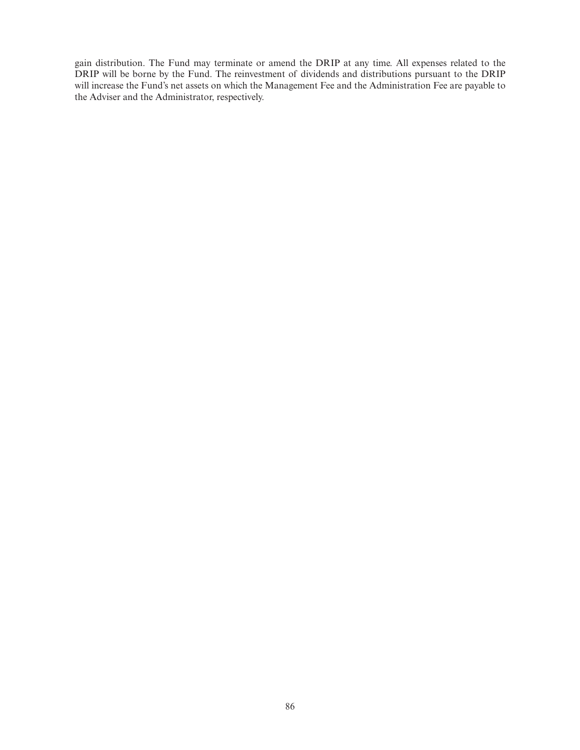gain distribution. The Fund may terminate or amend the DRIP at any time. All expenses related to the DRIP will be borne by the Fund. The reinvestment of dividends and distributions pursuant to the DRIP will increase the Fund's net assets on which the Management Fee and the Administration Fee are payable to the Adviser and the Administrator, respectively.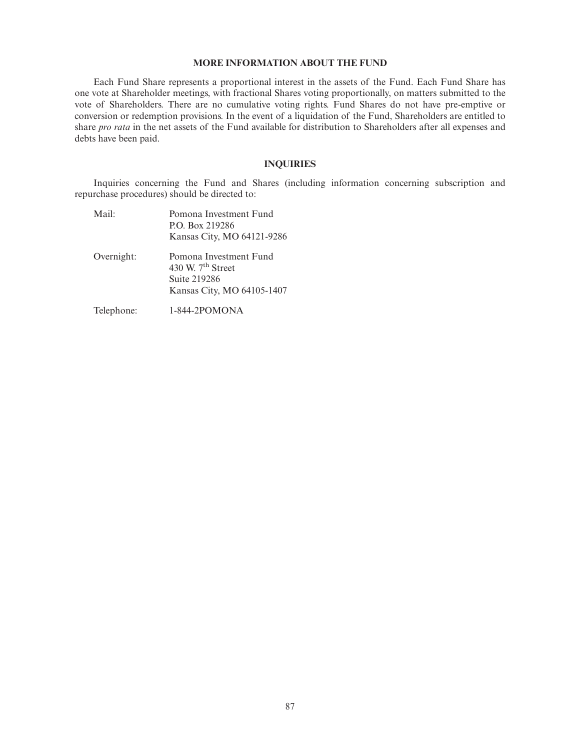# **MORE INFORMATION ABOUT THE FUND**

Each Fund Share represents a proportional interest in the assets of the Fund. Each Fund Share has one vote at Shareholder meetings, with fractional Shares voting proportionally, on matters submitted to the vote of Shareholders. There are no cumulative voting rights. Fund Shares do not have pre-emptive or conversion or redemption provisions. In the event of a liquidation of the Fund, Shareholders are entitled to share *pro rata* in the net assets of the Fund available for distribution to Shareholders after all expenses and debts have been paid.

# **INQUIRIES**

Inquiries concerning the Fund and Shares (including information concerning subscription and repurchase procedures) should be directed to:

| Mail:      | Pomona Investment Fund<br>P.O. Box 219286<br>Kansas City, MO 64121-9286                     |
|------------|---------------------------------------------------------------------------------------------|
| Overnight: | Pomona Investment Fund<br>430 W. $7th$ Street<br>Suite 219286<br>Kansas City, MO 64105-1407 |
| Telephone: | 1-844-2POMONA                                                                               |